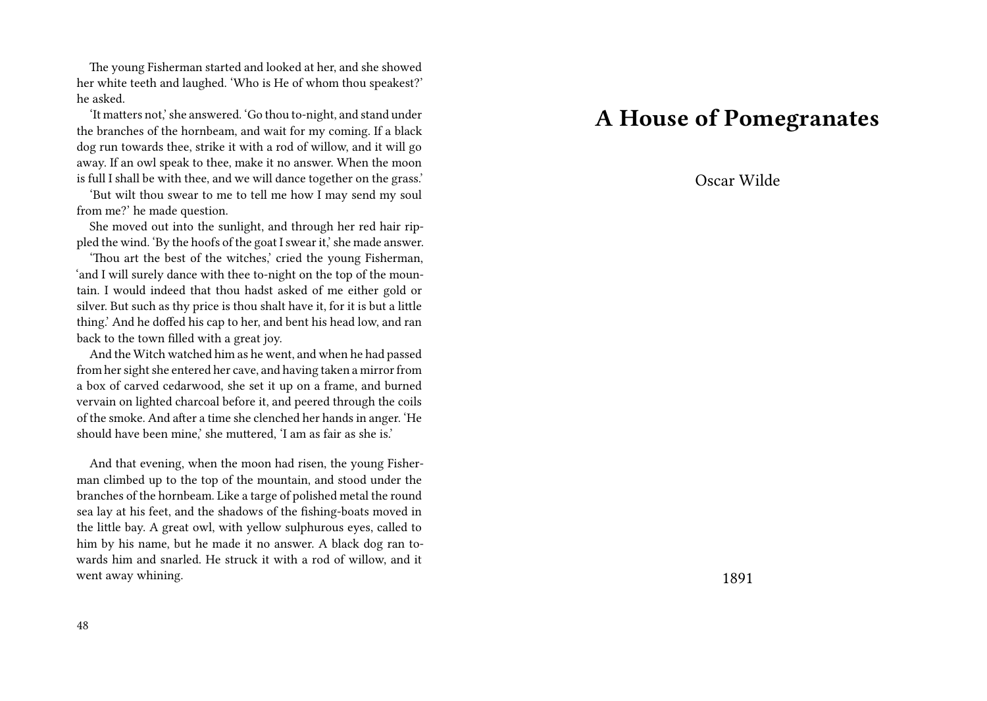The young Fisherman started and looked at her, and she showed her white teeth and laughed. 'Who is He of whom thou speakest?' he asked.

'It matters not,' she answered. 'Go thou to-night, and stand under the branches of the hornbeam, and wait for my coming. If a black dog run towards thee, strike it with a rod of willow, and it will go away. If an owl speak to thee, make it no answer. When the moon is full I shall be with thee, and we will dance together on the grass.'

'But wilt thou swear to me to tell me how I may send my soul from me?' he made question.

She moved out into the sunlight, and through her red hair rippled the wind. 'By the hoofs of the goat I swear it,' she made answer.

'Thou art the best of the witches,' cried the young Fisherman, 'and I will surely dance with thee to-night on the top of the mountain. I would indeed that thou hadst asked of me either gold or silver. But such as thy price is thou shalt have it, for it is but a little thing.' And he doffed his cap to her, and bent his head low, and ran back to the town filled with a great joy.

And the Witch watched him as he went, and when he had passed from her sight she entered her cave, and having taken a mirror from a box of carved cedarwood, she set it up on a frame, and burned vervain on lighted charcoal before it, and peered through the coils of the smoke. And after a time she clenched her hands in anger. 'He should have been mine,' she muttered, 'I am as fair as she is.'

And that evening, when the moon had risen, the young Fisherman climbed up to the top of the mountain, and stood under the branches of the hornbeam. Like a targe of polished metal the round sea lay at his feet, and the shadows of the fishing-boats moved in the little bay. A great owl, with yellow sulphurous eyes, called to him by his name, but he made it no answer. A black dog ran towards him and snarled. He struck it with a rod of willow, and it went away whining.

### **A House of Pomegranates**

Oscar Wilde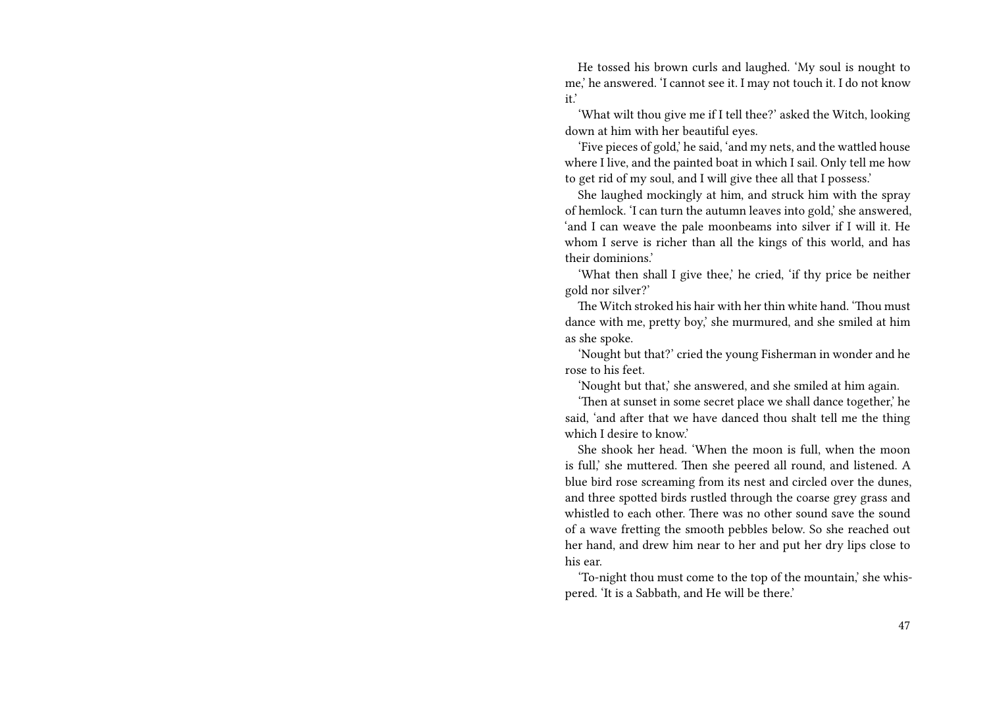He tossed his brown curls and laughed. 'My soul is nought to me,' he answered. 'I cannot see it. I may not touch it. I do not know it.'

'What wilt thou give me if I tell thee?' asked the Witch, looking down at him with her beautiful eyes.

'Five pieces of gold,' he said, 'and my nets, and the wattled house where I live, and the painted boat in which I sail. Only tell me how to get rid of my soul, and I will give thee all that I possess.'

She laughed mockingly at him, and struck him with the spray of hemlock. 'I can turn the autumn leaves into gold,' she answered, 'and I can weave the pale moonbeams into silver if I will it. He whom I serve is richer than all the kings of this world, and has their dominions.'

'What then shall I give thee,' he cried, 'if thy price be neither gold nor silver?'

The Witch stroked his hair with her thin white hand. 'Thou must dance with me, pretty boy,' she murmured, and she smiled at him as she spoke.

'Nought but that?' cried the young Fisherman in wonder and he rose to his feet.

'Nought but that,' she answered, and she smiled at him again.

'Then at sunset in some secret place we shall dance together,' he said, 'and after that we have danced thou shalt tell me the thing which I desire to know.'

She shook her head. 'When the moon is full, when the moon is full,' she muttered. Then she peered all round, and listened. A blue bird rose screaming from its nest and circled over the dunes, and three spotted birds rustled through the coarse grey grass and whistled to each other. There was no other sound save the sound of a wave fretting the smooth pebbles below. So she reached out her hand, and drew him near to her and put her dry lips close to his ear.

'To-night thou must come to the top of the mountain,' she whispered. 'It is a Sabbath, and He will be there.'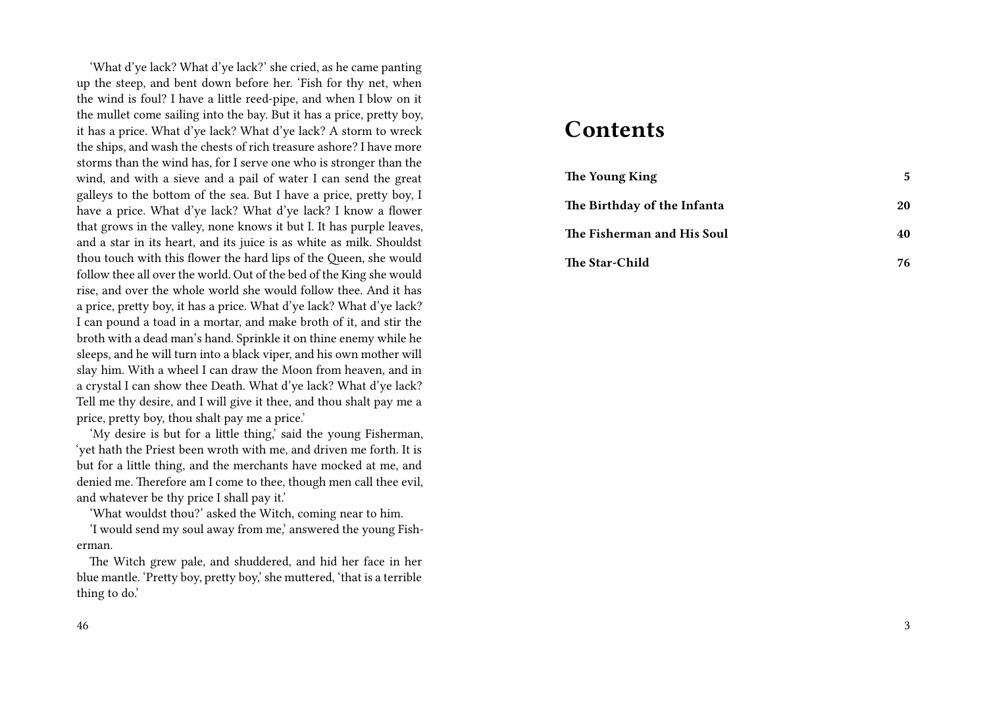'What d'ye lack? What d'ye lack?' she cried, as he came panting up the steep, and bent down before her. 'Fish for thy net, when the wind is foul? I have a little reed-pipe, and when I blow on it the mullet come sailing into the bay. But it has a price, pretty boy, it has a price. What d'ye lack? What d'ye lack? A storm to wreck the ships, and wash the chests of rich treasure ashore? I have more storms than the wind has, for I serve one who is stronger than the wind, and with a sieve and a pail of water I can send the great galleys to the bottom of the sea. But I have a price, pretty boy, I have a price. What d'ye lack? What d'ye lack? I know a flower that grows in the valley, none knows it but I. It has purple leaves, and a star in its heart, and its juice is as white as milk. Shouldst thou touch with this flower the hard lips of the Queen, she would follow thee all over the world. Out of the bed of the King she would rise, and over the whole world she would follow thee. And it has a price, pretty boy, it has a price. What d'ye lack? What d'ye lack? I can pound a toad in a mortar, and make broth of it, and stir the broth with a dead man's hand. Sprinkle it on thine enemy while he sleeps, and he will turn into a black viper, and his own mother will slay him. With a wheel I can draw the Moon from heaven, and in a crystal I can show thee Death. What d'ye lack? What d'ye lack? Tell me thy desire, and I will give it thee, and thou shalt pay me a price, pretty boy, thou shalt pay me a price.'

'My desire is but for a little thing,' said the young Fisherman, 'yet hath the Priest been wroth with me, and driven me forth. It is but for a little thing, and the merchants have mocked at me, and denied me. Therefore am I come to thee, though men call thee evil, and whatever be thy price I shall pay it.'

'What wouldst thou?' asked the Witch, coming near to him.

'I would send my soul away from me,' answered the young Fisherman.

The Witch grew pale, and shuddered, and hid her face in her blue mantle. 'Pretty boy, pretty boy,' she muttered, 'that is a terrible thing to do.'

#### 46

### **Contents**

| The Young King              | 5  |
|-----------------------------|----|
| The Birthday of the Infanta | 20 |
| The Fisherman and His Soul  | 40 |
| The Star-Child              | 76 |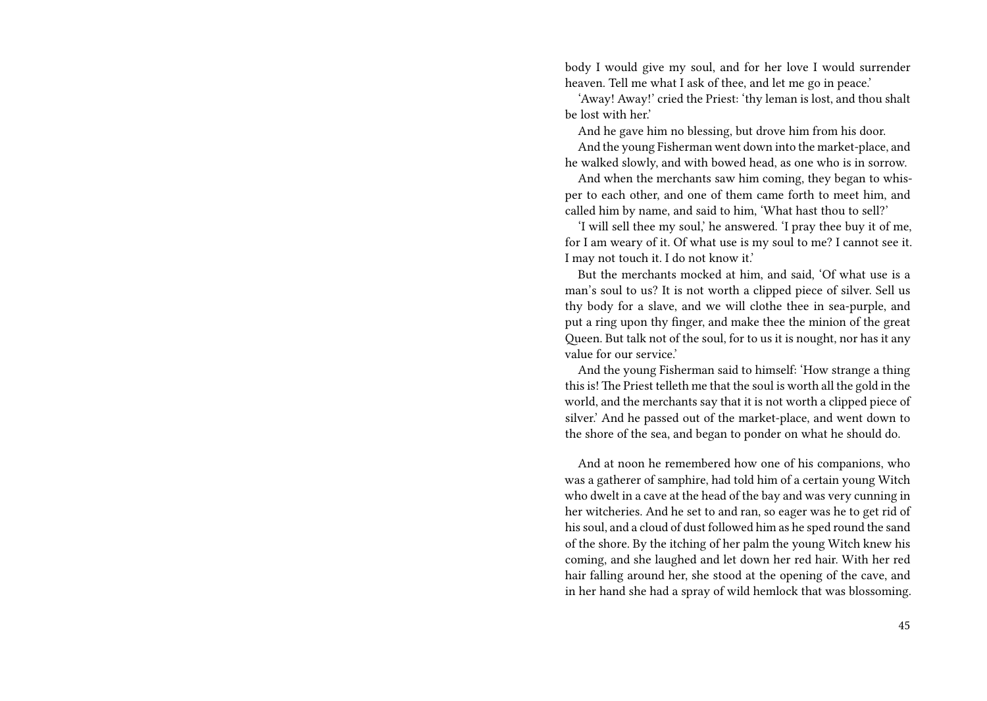body I would give my soul, and for her love I would surrender heaven. Tell me what I ask of thee, and let me go in peace.'

'Away! Away!' cried the Priest: 'thy leman is lost, and thou shalt be lost with her.'

And he gave him no blessing, but drove him from his door.

And the young Fisherman went down into the market-place, and he walked slowly, and with bowed head, as one who is in sorrow.

And when the merchants saw him coming, they began to whisper to each other, and one of them came forth to meet him, and called him by name, and said to him, 'What hast thou to sell?'

'I will sell thee my soul,' he answered. 'I pray thee buy it of me, for I am weary of it. Of what use is my soul to me? I cannot see it. I may not touch it. I do not know it.'

But the merchants mocked at him, and said, 'Of what use is a man's soul to us? It is not worth a clipped piece of silver. Sell us thy body for a slave, and we will clothe thee in sea-purple, and put a ring upon thy finger, and make thee the minion of the great Queen. But talk not of the soul, for to us it is nought, nor has it any value for our service.'

And the young Fisherman said to himself: 'How strange a thing this is! The Priest telleth me that the soul is worth all the gold in the world, and the merchants say that it is not worth a clipped piece of silver.' And he passed out of the market-place, and went down to the shore of the sea, and began to ponder on what he should do.

And at noon he remembered how one of his companions, who was a gatherer of samphire, had told him of a certain young Witch who dwelt in a cave at the head of the bay and was very cunning in her witcheries. And he set to and ran, so eager was he to get rid of his soul, and a cloud of dust followed him as he sped round the sand of the shore. By the itching of her palm the young Witch knew his coming, and she laughed and let down her red hair. With her red hair falling around her, she stood at the opening of the cave, and in her hand she had a spray of wild hemlock that was blossoming.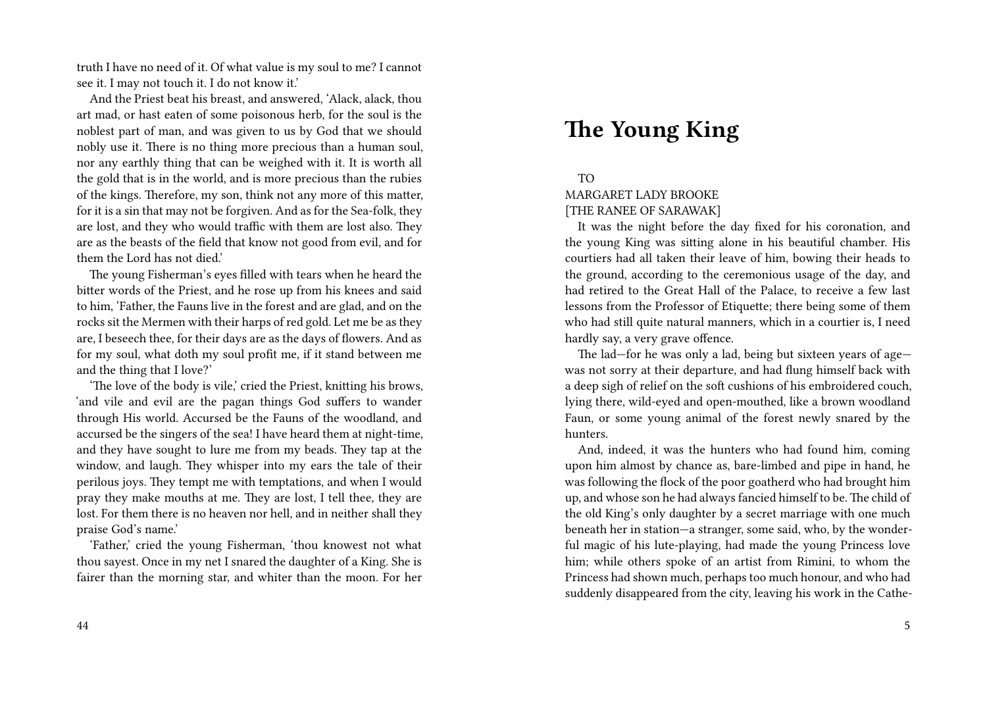truth I have no need of it. Of what value is my soul to me? I cannot see it. I may not touch it. I do not know it.'

And the Priest beat his breast, and answered, 'Alack, alack, thou art mad, or hast eaten of some poisonous herb, for the soul is the noblest part of man, and was given to us by God that we should nobly use it. There is no thing more precious than a human soul, nor any earthly thing that can be weighed with it. It is worth all the gold that is in the world, and is more precious than the rubies of the kings. Therefore, my son, think not any more of this matter, for it is a sin that may not be forgiven. And as for the Sea-folk, they are lost, and they who would traffic with them are lost also. They are as the beasts of the field that know not good from evil, and for them the Lord has not died.'

The young Fisherman's eyes filled with tears when he heard the bitter words of the Priest, and he rose up from his knees and said to him, 'Father, the Fauns live in the forest and are glad, and on the rocks sit the Mermen with their harps of red gold. Let me be as they are, I beseech thee, for their days are as the days of flowers. And as for my soul, what doth my soul profit me, if it stand between me and the thing that I love?'

'The love of the body is vile,' cried the Priest, knitting his brows, 'and vile and evil are the pagan things God suffers to wander through His world. Accursed be the Fauns of the woodland, and accursed be the singers of the sea! I have heard them at night-time, and they have sought to lure me from my beads. They tap at the window, and laugh. They whisper into my ears the tale of their perilous joys. They tempt me with temptations, and when I would pray they make mouths at me. They are lost, I tell thee, they are lost. For them there is no heaven nor hell, and in neither shall they praise God's name.'

'Father,' cried the young Fisherman, 'thou knowest not what thou sayest. Once in my net I snared the daughter of a King. She is fairer than the morning star, and whiter than the moon. For her

# **The Young King**

### TO

#### MARGARET LADY BROOKE [THE RANEE OF SARAWAK]

It was the night before the day fixed for his coronation, and the young King was sitting alone in his beautiful chamber. His courtiers had all taken their leave of him, bowing their heads to the ground, according to the ceremonious usage of the day, and had retired to the Great Hall of the Palace, to receive a few last lessons from the Professor of Etiquette; there being some of them who had still quite natural manners, which in a courtier is, I need hardly say, a very grave offence.

The lad—for he was only a lad, being but sixteen years of age was not sorry at their departure, and had flung himself back with a deep sigh of relief on the soft cushions of his embroidered couch, lying there, wild-eyed and open-mouthed, like a brown woodland Faun, or some young animal of the forest newly snared by the hunters.

And, indeed, it was the hunters who had found him, coming upon him almost by chance as, bare-limbed and pipe in hand, he was following the flock of the poor goatherd who had brought him up, and whose son he had always fancied himself to be. The child of the old King's only daughter by a secret marriage with one much beneath her in station—a stranger, some said, who, by the wonderful magic of his lute-playing, had made the young Princess love him; while others spoke of an artist from Rimini, to whom the Princess had shown much, perhaps too much honour, and who had suddenly disappeared from the city, leaving his work in the Cathe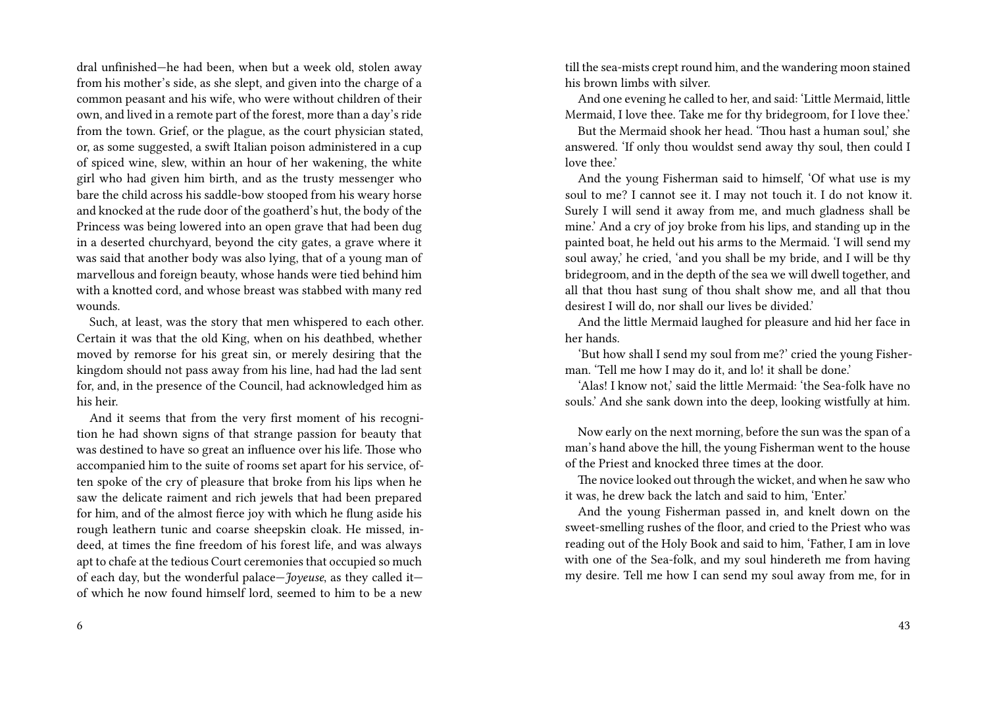dral unfinished—he had been, when but a week old, stolen away from his mother's side, as she slept, and given into the charge of a common peasant and his wife, who were without children of their own, and lived in a remote part of the forest, more than a day's ride from the town. Grief, or the plague, as the court physician stated, or, as some suggested, a swift Italian poison administered in a cup of spiced wine, slew, within an hour of her wakening, the white girl who had given him birth, and as the trusty messenger who bare the child across his saddle-bow stooped from his weary horse and knocked at the rude door of the goatherd's hut, the body of the Princess was being lowered into an open grave that had been dug in a deserted churchyard, beyond the city gates, a grave where it was said that another body was also lying, that of a young man of marvellous and foreign beauty, whose hands were tied behind him with a knotted cord, and whose breast was stabbed with many red wounds.

Such, at least, was the story that men whispered to each other. Certain it was that the old King, when on his deathbed, whether moved by remorse for his great sin, or merely desiring that the kingdom should not pass away from his line, had had the lad sent for, and, in the presence of the Council, had acknowledged him as his heir.

And it seems that from the very first moment of his recognition he had shown signs of that strange passion for beauty that was destined to have so great an influence over his life. Those who accompanied him to the suite of rooms set apart for his service, often spoke of the cry of pleasure that broke from his lips when he saw the delicate raiment and rich jewels that had been prepared for him, and of the almost fierce joy with which he flung aside his rough leathern tunic and coarse sheepskin cloak. He missed, indeed, at times the fine freedom of his forest life, and was always apt to chafe at the tedious Court ceremonies that occupied so much of each day, but the wonderful palace—*Joyeuse*, as they called it of which he now found himself lord, seemed to him to be a new

till the sea-mists crept round him, and the wandering moon stained his brown limbs with silver.

And one evening he called to her, and said: 'Little Mermaid, little Mermaid, I love thee. Take me for thy bridegroom, for I love thee.'

But the Mermaid shook her head. 'Thou hast a human soul,' she answered. 'If only thou wouldst send away thy soul, then could I love thee.'

And the young Fisherman said to himself, 'Of what use is my soul to me? I cannot see it. I may not touch it. I do not know it. Surely I will send it away from me, and much gladness shall be mine.' And a cry of joy broke from his lips, and standing up in the painted boat, he held out his arms to the Mermaid. 'I will send my soul away,' he cried, 'and you shall be my bride, and I will be thy bridegroom, and in the depth of the sea we will dwell together, and all that thou hast sung of thou shalt show me, and all that thou desirest I will do, nor shall our lives be divided.'

And the little Mermaid laughed for pleasure and hid her face in her hands.

'But how shall I send my soul from me?' cried the young Fisherman. 'Tell me how I may do it, and lo! it shall be done.'

'Alas! I know not,' said the little Mermaid: 'the Sea-folk have no souls.' And she sank down into the deep, looking wistfully at him.

Now early on the next morning, before the sun was the span of a man's hand above the hill, the young Fisherman went to the house of the Priest and knocked three times at the door.

The novice looked out through the wicket, and when he saw who it was, he drew back the latch and said to him, 'Enter.'

And the young Fisherman passed in, and knelt down on the sweet-smelling rushes of the floor, and cried to the Priest who was reading out of the Holy Book and said to him, 'Father, I am in love with one of the Sea-folk, and my soul hindereth me from having my desire. Tell me how I can send my soul away from me, for in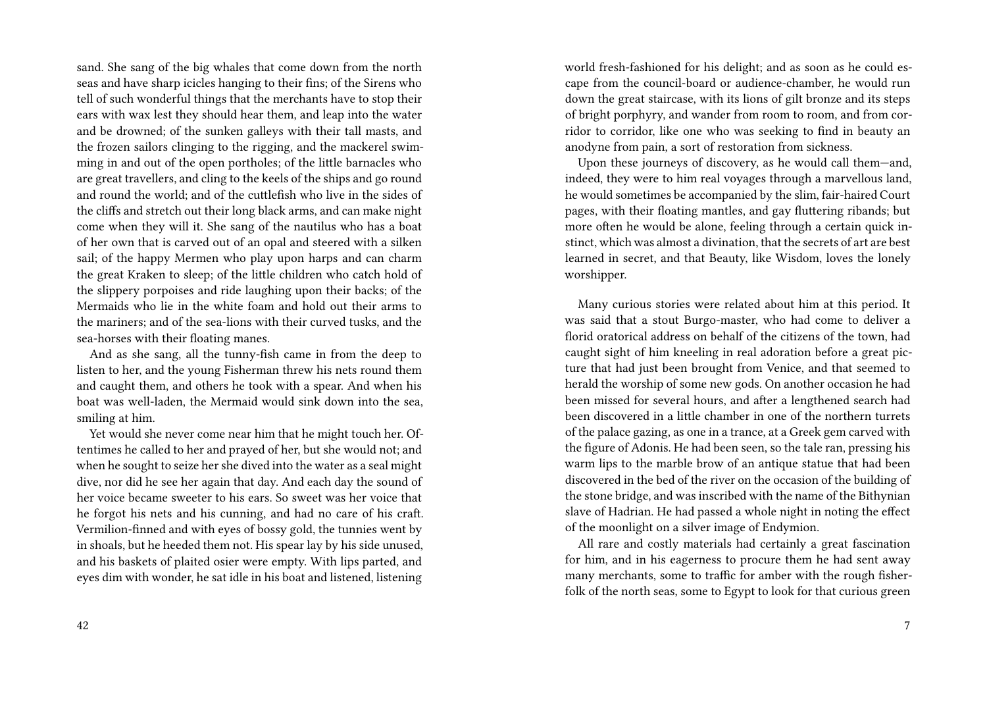sand. She sang of the big whales that come down from the north seas and have sharp icicles hanging to their fins; of the Sirens who tell of such wonderful things that the merchants have to stop their ears with wax lest they should hear them, and leap into the water and be drowned; of the sunken galleys with their tall masts, and the frozen sailors clinging to the rigging, and the mackerel swimming in and out of the open portholes; of the little barnacles who are great travellers, and cling to the keels of the ships and go round and round the world; and of the cuttlefish who live in the sides of the cliffs and stretch out their long black arms, and can make night come when they will it. She sang of the nautilus who has a boat of her own that is carved out of an opal and steered with a silken sail; of the happy Mermen who play upon harps and can charm the great Kraken to sleep; of the little children who catch hold of the slippery porpoises and ride laughing upon their backs; of the Mermaids who lie in the white foam and hold out their arms to the mariners; and of the sea-lions with their curved tusks, and the sea-horses with their floating manes.

And as she sang, all the tunny-fish came in from the deep to listen to her, and the young Fisherman threw his nets round them and caught them, and others he took with a spear. And when his boat was well-laden, the Mermaid would sink down into the sea, smiling at him.

Yet would she never come near him that he might touch her. Oftentimes he called to her and prayed of her, but she would not; and when he sought to seize her she dived into the water as a seal might dive, nor did he see her again that day. And each day the sound of her voice became sweeter to his ears. So sweet was her voice that he forgot his nets and his cunning, and had no care of his craft. Vermilion-finned and with eyes of bossy gold, the tunnies went by in shoals, but he heeded them not. His spear lay by his side unused, and his baskets of plaited osier were empty. With lips parted, and eyes dim with wonder, he sat idle in his boat and listened, listening world fresh-fashioned for his delight; and as soon as he could escape from the council-board or audience-chamber, he would run down the great staircase, with its lions of gilt bronze and its steps of bright porphyry, and wander from room to room, and from corridor to corridor, like one who was seeking to find in beauty an anodyne from pain, a sort of restoration from sickness.

Upon these journeys of discovery, as he would call them—and, indeed, they were to him real voyages through a marvellous land, he would sometimes be accompanied by the slim, fair-haired Court pages, with their floating mantles, and gay fluttering ribands; but more often he would be alone, feeling through a certain quick instinct, which was almost a divination, that the secrets of art are best learned in secret, and that Beauty, like Wisdom, loves the lonely worshipper.

Many curious stories were related about him at this period. It was said that a stout Burgo-master, who had come to deliver a florid oratorical address on behalf of the citizens of the town, had caught sight of him kneeling in real adoration before a great picture that had just been brought from Venice, and that seemed to herald the worship of some new gods. On another occasion he had been missed for several hours, and after a lengthened search had been discovered in a little chamber in one of the northern turrets of the palace gazing, as one in a trance, at a Greek gem carved with the figure of Adonis. He had been seen, so the tale ran, pressing his warm lips to the marble brow of an antique statue that had been discovered in the bed of the river on the occasion of the building of the stone bridge, and was inscribed with the name of the Bithynian slave of Hadrian. He had passed a whole night in noting the effect of the moonlight on a silver image of Endymion.

All rare and costly materials had certainly a great fascination for him, and in his eagerness to procure them he had sent away many merchants, some to traffic for amber with the rough fisherfolk of the north seas, some to Egypt to look for that curious green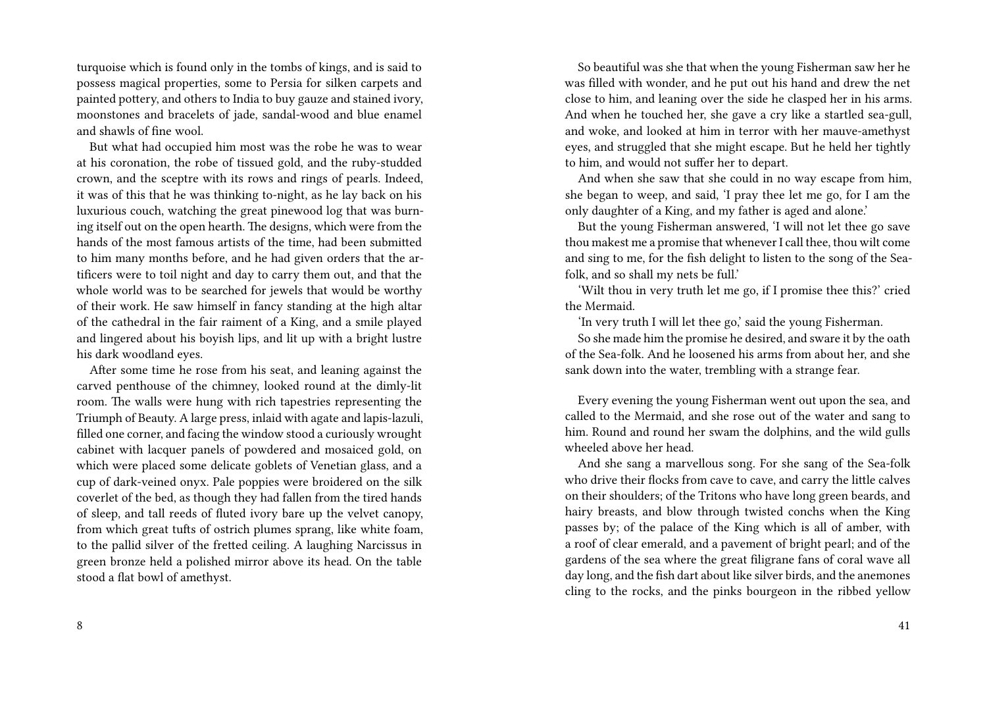turquoise which is found only in the tombs of kings, and is said to possess magical properties, some to Persia for silken carpets and painted pottery, and others to India to buy gauze and stained ivory, moonstones and bracelets of jade, sandal-wood and blue enamel and shawls of fine wool.

But what had occupied him most was the robe he was to wear at his coronation, the robe of tissued gold, and the ruby-studded crown, and the sceptre with its rows and rings of pearls. Indeed, it was of this that he was thinking to-night, as he lay back on his luxurious couch, watching the great pinewood log that was burning itself out on the open hearth. The designs, which were from the hands of the most famous artists of the time, had been submitted to him many months before, and he had given orders that the artificers were to toil night and day to carry them out, and that the whole world was to be searched for jewels that would be worthy of their work. He saw himself in fancy standing at the high altar of the cathedral in the fair raiment of a King, and a smile played and lingered about his boyish lips, and lit up with a bright lustre his dark woodland eyes.

After some time he rose from his seat, and leaning against the carved penthouse of the chimney, looked round at the dimly-lit room. The walls were hung with rich tapestries representing the Triumph of Beauty. A large press, inlaid with agate and lapis-lazuli, filled one corner, and facing the window stood a curiously wrought cabinet with lacquer panels of powdered and mosaiced gold, on which were placed some delicate goblets of Venetian glass, and a cup of dark-veined onyx. Pale poppies were broidered on the silk coverlet of the bed, as though they had fallen from the tired hands of sleep, and tall reeds of fluted ivory bare up the velvet canopy, from which great tufts of ostrich plumes sprang, like white foam, to the pallid silver of the fretted ceiling. A laughing Narcissus in green bronze held a polished mirror above its head. On the table stood a flat bowl of amethyst.

So beautiful was she that when the young Fisherman saw her he was filled with wonder, and he put out his hand and drew the net close to him, and leaning over the side he clasped her in his arms. And when he touched her, she gave a cry like a startled sea-gull, and woke, and looked at him in terror with her mauve-amethyst eyes, and struggled that she might escape. But he held her tightly to him, and would not suffer her to depart.

And when she saw that she could in no way escape from him, she began to weep, and said, 'I pray thee let me go, for I am the only daughter of a King, and my father is aged and alone.'

But the young Fisherman answered, 'I will not let thee go save thou makest me a promise that whenever I call thee, thou wilt come and sing to me, for the fish delight to listen to the song of the Seafolk, and so shall my nets be full.'

'Wilt thou in very truth let me go, if I promise thee this?' cried the Mermaid.

'In very truth I will let thee go,' said the young Fisherman.

So she made him the promise he desired, and sware it by the oath of the Sea-folk. And he loosened his arms from about her, and she sank down into the water, trembling with a strange fear.

Every evening the young Fisherman went out upon the sea, and called to the Mermaid, and she rose out of the water and sang to him. Round and round her swam the dolphins, and the wild gulls wheeled above her head.

And she sang a marvellous song. For she sang of the Sea-folk who drive their flocks from cave to cave, and carry the little calves on their shoulders; of the Tritons who have long green beards, and hairy breasts, and blow through twisted conchs when the King passes by; of the palace of the King which is all of amber, with a roof of clear emerald, and a pavement of bright pearl; and of the gardens of the sea where the great filigrane fans of coral wave all day long, and the fish dart about like silver birds, and the anemones cling to the rocks, and the pinks bourgeon in the ribbed yellow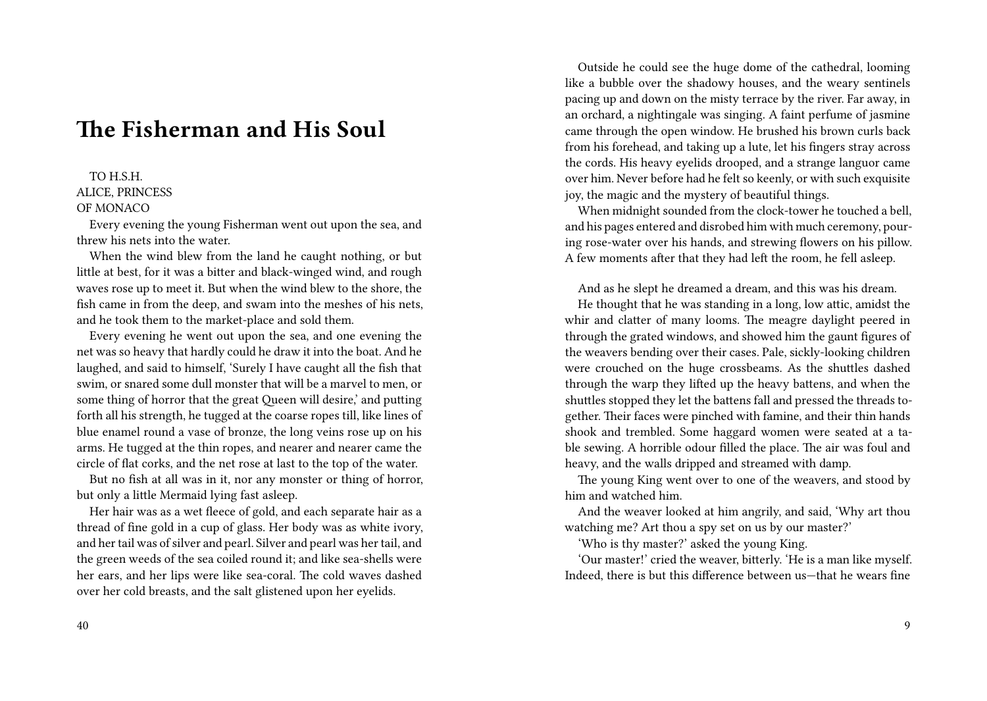## **The Fisherman and His Soul**

### TO H.S.H. ALICE, PRINCESS OF MONACO

Every evening the young Fisherman went out upon the sea, and threw his nets into the water.

When the wind blew from the land he caught nothing, or but little at best, for it was a bitter and black-winged wind, and rough waves rose up to meet it. But when the wind blew to the shore, the fish came in from the deep, and swam into the meshes of his nets, and he took them to the market-place and sold them.

Every evening he went out upon the sea, and one evening the net was so heavy that hardly could he draw it into the boat. And he laughed, and said to himself, 'Surely I have caught all the fish that swim, or snared some dull monster that will be a marvel to men, or some thing of horror that the great Queen will desire,' and putting forth all his strength, he tugged at the coarse ropes till, like lines of blue enamel round a vase of bronze, the long veins rose up on his arms. He tugged at the thin ropes, and nearer and nearer came the circle of flat corks, and the net rose at last to the top of the water.

But no fish at all was in it, nor any monster or thing of horror, but only a little Mermaid lying fast asleep.

Her hair was as a wet fleece of gold, and each separate hair as a thread of fine gold in a cup of glass. Her body was as white ivory, and her tail was of silver and pearl. Silver and pearl was her tail, and the green weeds of the sea coiled round it; and like sea-shells were her ears, and her lips were like sea-coral. The cold waves dashed over her cold breasts, and the salt glistened upon her eyelids.

Outside he could see the huge dome of the cathedral, looming like a bubble over the shadowy houses, and the weary sentinels pacing up and down on the misty terrace by the river. Far away, in an orchard, a nightingale was singing. A faint perfume of jasmine came through the open window. He brushed his brown curls back from his forehead, and taking up a lute, let his fingers stray across the cords. His heavy eyelids drooped, and a strange languor came over him. Never before had he felt so keenly, or with such exquisite joy, the magic and the mystery of beautiful things.

When midnight sounded from the clock-tower he touched a bell, and his pages entered and disrobed him with much ceremony, pouring rose-water over his hands, and strewing flowers on his pillow. A few moments after that they had left the room, he fell asleep.

And as he slept he dreamed a dream, and this was his dream.

He thought that he was standing in a long, low attic, amidst the whir and clatter of many looms. The meagre daylight peered in through the grated windows, and showed him the gaunt figures of the weavers bending over their cases. Pale, sickly-looking children were crouched on the huge crossbeams. As the shuttles dashed through the warp they lifted up the heavy battens, and when the shuttles stopped they let the battens fall and pressed the threads together. Their faces were pinched with famine, and their thin hands shook and trembled. Some haggard women were seated at a table sewing. A horrible odour filled the place. The air was foul and heavy, and the walls dripped and streamed with damp.

The young King went over to one of the weavers, and stood by him and watched him.

And the weaver looked at him angrily, and said, 'Why art thou watching me? Art thou a spy set on us by our master?'

'Who is thy master?' asked the young King.

'Our master!' cried the weaver, bitterly. 'He is a man like myself. Indeed, there is but this difference between us—that he wears fine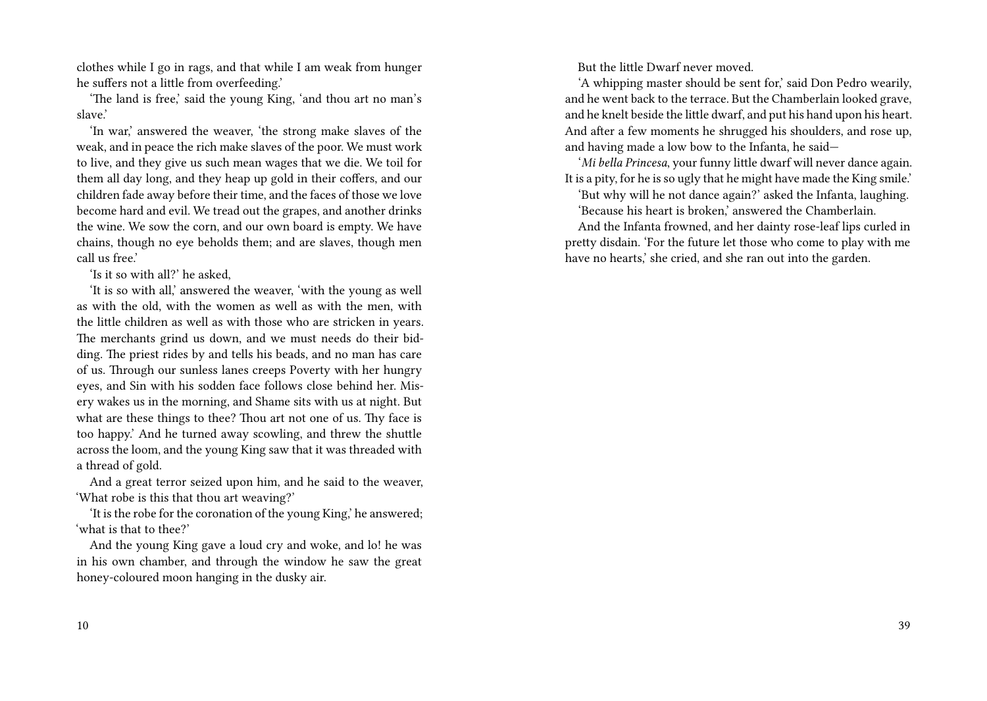clothes while I go in rags, and that while I am weak from hunger he suffers not a little from overfeeding.'

'The land is free,' said the young King, 'and thou art no man's slave.'

'In war,' answered the weaver, 'the strong make slaves of the weak, and in peace the rich make slaves of the poor. We must work to live, and they give us such mean wages that we die. We toil for them all day long, and they heap up gold in their coffers, and our children fade away before their time, and the faces of those we love become hard and evil. We tread out the grapes, and another drinks the wine. We sow the corn, and our own board is empty. We have chains, though no eye beholds them; and are slaves, though men call us free.'

'Is it so with all?' he asked,

'It is so with all,' answered the weaver, 'with the young as well as with the old, with the women as well as with the men, with the little children as well as with those who are stricken in years. The merchants grind us down, and we must needs do their bidding. The priest rides by and tells his beads, and no man has care of us. Through our sunless lanes creeps Poverty with her hungry eyes, and Sin with his sodden face follows close behind her. Misery wakes us in the morning, and Shame sits with us at night. But what are these things to thee? Thou art not one of us. Thy face is too happy.' And he turned away scowling, and threw the shuttle across the loom, and the young King saw that it was threaded with a thread of gold.

And a great terror seized upon him, and he said to the weaver, 'What robe is this that thou art weaving?'

'It is the robe for the coronation of the young King,' he answered; 'what is that to thee?'

And the young King gave a loud cry and woke, and lo! he was in his own chamber, and through the window he saw the great honey-coloured moon hanging in the dusky air.

But the little Dwarf never moved.

'A whipping master should be sent for,' said Don Pedro wearily, and he went back to the terrace. But the Chamberlain looked grave, and he knelt beside the little dwarf, and put his hand upon his heart. And after a few moments he shrugged his shoulders, and rose up, and having made a low bow to the Infanta, he said—

'*Mi bella Princesa*, your funny little dwarf will never dance again. It is a pity, for he is so ugly that he might have made the King smile.'

'But why will he not dance again?' asked the Infanta, laughing. 'Because his heart is broken,' answered the Chamberlain.

And the Infanta frowned, and her dainty rose-leaf lips curled in pretty disdain. 'For the future let those who come to play with me have no hearts,' she cried, and she ran out into the garden.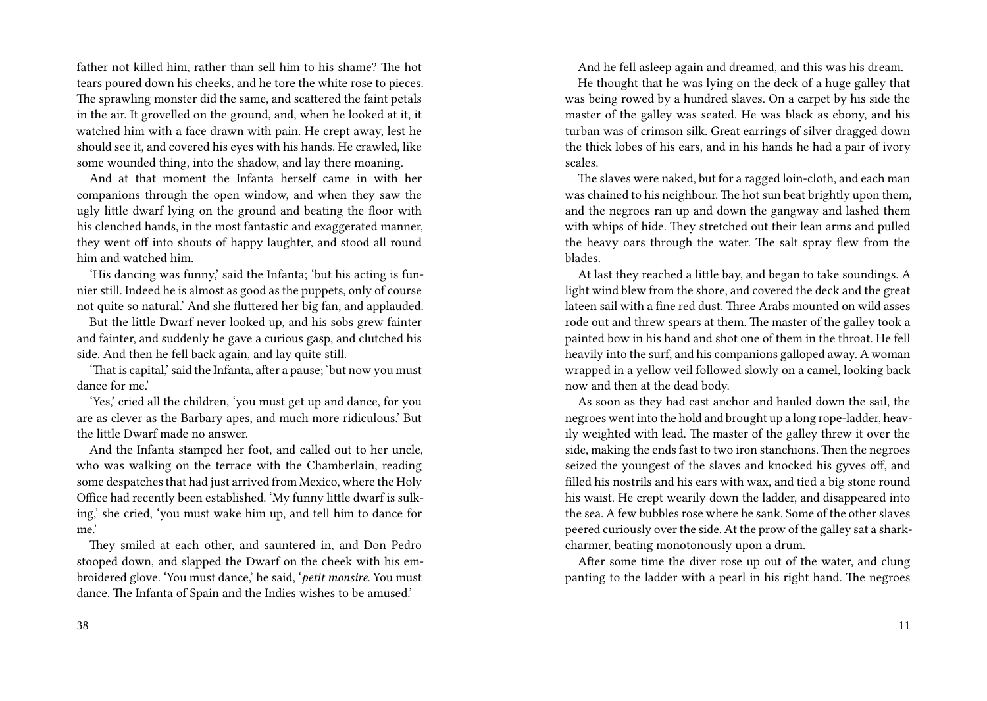father not killed him, rather than sell him to his shame? The hot tears poured down his cheeks, and he tore the white rose to pieces. The sprawling monster did the same, and scattered the faint petals in the air. It grovelled on the ground, and, when he looked at it, it watched him with a face drawn with pain. He crept away, lest he should see it, and covered his eyes with his hands. He crawled, like some wounded thing, into the shadow, and lay there moaning.

And at that moment the Infanta herself came in with her companions through the open window, and when they saw the ugly little dwarf lying on the ground and beating the floor with his clenched hands, in the most fantastic and exaggerated manner, they went off into shouts of happy laughter, and stood all round him and watched him.

'His dancing was funny,' said the Infanta; 'but his acting is funnier still. Indeed he is almost as good as the puppets, only of course not quite so natural.' And she fluttered her big fan, and applauded.

But the little Dwarf never looked up, and his sobs grew fainter and fainter, and suddenly he gave a curious gasp, and clutched his side. And then he fell back again, and lay quite still.

'That is capital,' said the Infanta, after a pause; 'but now you must dance for me.'

'Yes,' cried all the children, 'you must get up and dance, for you are as clever as the Barbary apes, and much more ridiculous.' But the little Dwarf made no answer.

And the Infanta stamped her foot, and called out to her uncle, who was walking on the terrace with the Chamberlain, reading some despatches that had just arrived from Mexico, where the Holy Office had recently been established. 'My funny little dwarf is sulking,' she cried, 'you must wake him up, and tell him to dance for me.'

They smiled at each other, and sauntered in, and Don Pedro stooped down, and slapped the Dwarf on the cheek with his embroidered glove. 'You must dance,' he said, '*petit monsire*. You must dance. The Infanta of Spain and the Indies wishes to be amused.'

And he fell asleep again and dreamed, and this was his dream.

He thought that he was lying on the deck of a huge galley that was being rowed by a hundred slaves. On a carpet by his side the master of the galley was seated. He was black as ebony, and his turban was of crimson silk. Great earrings of silver dragged down the thick lobes of his ears, and in his hands he had a pair of ivory scales.

The slaves were naked, but for a ragged loin-cloth, and each man was chained to his neighbour. The hot sun beat brightly upon them, and the negroes ran up and down the gangway and lashed them with whips of hide. They stretched out their lean arms and pulled the heavy oars through the water. The salt spray flew from the blades.

At last they reached a little bay, and began to take soundings. A light wind blew from the shore, and covered the deck and the great lateen sail with a fine red dust. Three Arabs mounted on wild asses rode out and threw spears at them. The master of the galley took a painted bow in his hand and shot one of them in the throat. He fell heavily into the surf, and his companions galloped away. A woman wrapped in a yellow veil followed slowly on a camel, looking back now and then at the dead body.

As soon as they had cast anchor and hauled down the sail, the negroes went into the hold and brought up a long rope-ladder, heavily weighted with lead. The master of the galley threw it over the side, making the ends fast to two iron stanchions. Then the negroes seized the youngest of the slaves and knocked his gyves off, and filled his nostrils and his ears with wax, and tied a big stone round his waist. He crept wearily down the ladder, and disappeared into the sea. A few bubbles rose where he sank. Some of the other slaves peered curiously over the side. At the prow of the galley sat a sharkcharmer, beating monotonously upon a drum.

After some time the diver rose up out of the water, and clung panting to the ladder with a pearl in his right hand. The negroes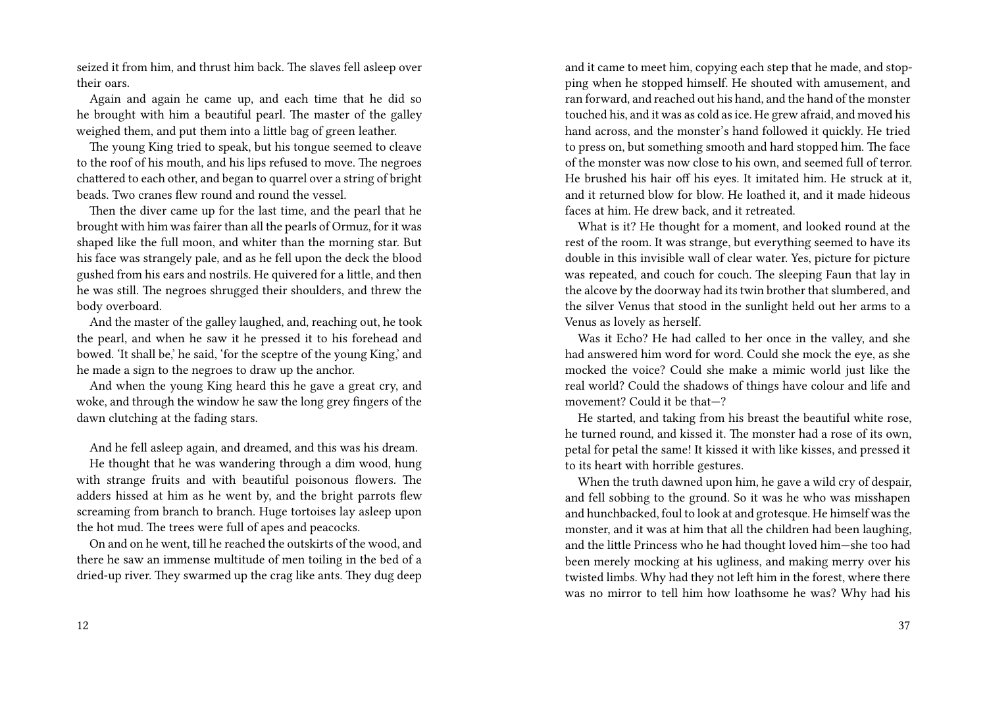seized it from him, and thrust him back. The slaves fell asleep over their oars.

Again and again he came up, and each time that he did so he brought with him a beautiful pearl. The master of the galley weighed them, and put them into a little bag of green leather.

The young King tried to speak, but his tongue seemed to cleave to the roof of his mouth, and his lips refused to move. The negroes chattered to each other, and began to quarrel over a string of bright beads. Two cranes flew round and round the vessel.

Then the diver came up for the last time, and the pearl that he brought with him was fairer than all the pearls of Ormuz, for it was shaped like the full moon, and whiter than the morning star. But his face was strangely pale, and as he fell upon the deck the blood gushed from his ears and nostrils. He quivered for a little, and then he was still. The negroes shrugged their shoulders, and threw the body overboard.

And the master of the galley laughed, and, reaching out, he took the pearl, and when he saw it he pressed it to his forehead and bowed. 'It shall be,' he said, 'for the sceptre of the young King,' and he made a sign to the negroes to draw up the anchor.

And when the young King heard this he gave a great cry, and woke, and through the window he saw the long grey fingers of the dawn clutching at the fading stars.

And he fell asleep again, and dreamed, and this was his dream.

He thought that he was wandering through a dim wood, hung with strange fruits and with beautiful poisonous flowers. The adders hissed at him as he went by, and the bright parrots flew screaming from branch to branch. Huge tortoises lay asleep upon the hot mud. The trees were full of apes and peacocks.

On and on he went, till he reached the outskirts of the wood, and there he saw an immense multitude of men toiling in the bed of a dried-up river. They swarmed up the crag like ants. They dug deep

and it came to meet him, copying each step that he made, and stopping when he stopped himself. He shouted with amusement, and ran forward, and reached out his hand, and the hand of the monster touched his, and it was as cold as ice. He grew afraid, and moved his hand across, and the monster's hand followed it quickly. He tried to press on, but something smooth and hard stopped him. The face of the monster was now close to his own, and seemed full of terror. He brushed his hair off his eyes. It imitated him. He struck at it, and it returned blow for blow. He loathed it, and it made hideous faces at him. He drew back, and it retreated.

What is it? He thought for a moment, and looked round at the rest of the room. It was strange, but everything seemed to have its double in this invisible wall of clear water. Yes, picture for picture was repeated, and couch for couch. The sleeping Faun that lay in the alcove by the doorway had its twin brother that slumbered, and the silver Venus that stood in the sunlight held out her arms to a Venus as lovely as herself.

Was it Echo? He had called to her once in the valley, and she had answered him word for word. Could she mock the eye, as she mocked the voice? Could she make a mimic world just like the real world? Could the shadows of things have colour and life and movement? Could it be that—?

He started, and taking from his breast the beautiful white rose, he turned round, and kissed it. The monster had a rose of its own, petal for petal the same! It kissed it with like kisses, and pressed it to its heart with horrible gestures.

When the truth dawned upon him, he gave a wild cry of despair, and fell sobbing to the ground. So it was he who was misshapen and hunchbacked, foul to look at and grotesque. He himself was the monster, and it was at him that all the children had been laughing, and the little Princess who he had thought loved him—she too had been merely mocking at his ugliness, and making merry over his twisted limbs. Why had they not left him in the forest, where there was no mirror to tell him how loathsome he was? Why had his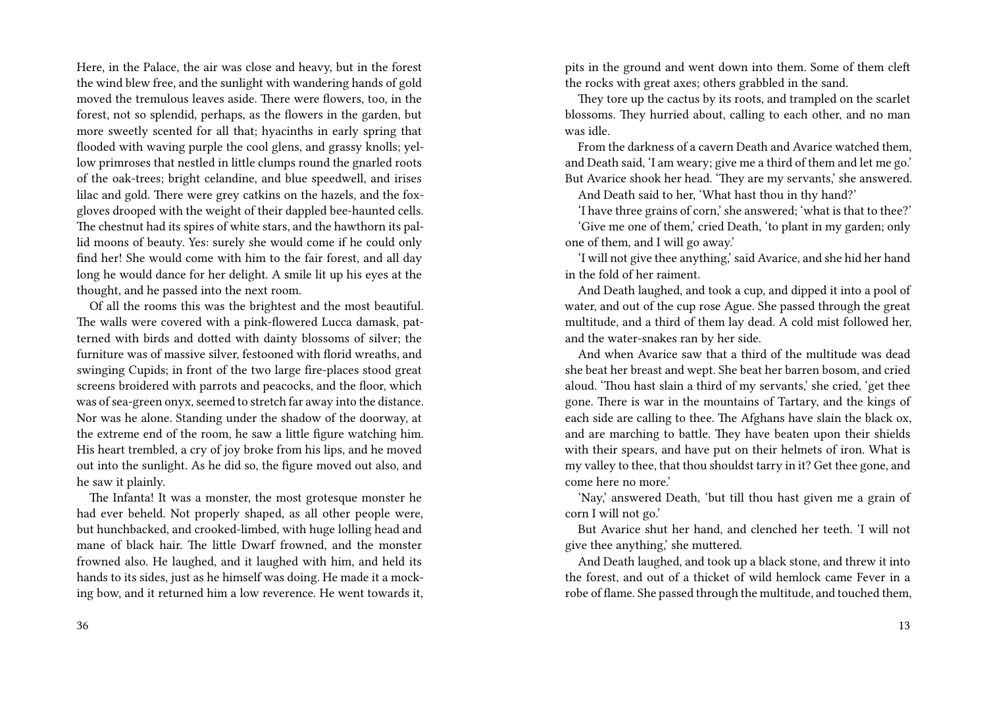Here, in the Palace, the air was close and heavy, but in the forest the wind blew free, and the sunlight with wandering hands of gold moved the tremulous leaves aside. There were flowers, too, in the forest, not so splendid, perhaps, as the flowers in the garden, but more sweetly scented for all that; hyacinths in early spring that flooded with waving purple the cool glens, and grassy knolls; yellow primroses that nestled in little clumps round the gnarled roots of the oak-trees; bright celandine, and blue speedwell, and irises lilac and gold. There were grey catkins on the hazels, and the foxgloves drooped with the weight of their dappled bee-haunted cells. The chestnut had its spires of white stars, and the hawthorn its pallid moons of beauty. Yes: surely she would come if he could only find her! She would come with him to the fair forest, and all day long he would dance for her delight. A smile lit up his eyes at the thought, and he passed into the next room.

Of all the rooms this was the brightest and the most beautiful. The walls were covered with a pink-flowered Lucca damask, patterned with birds and dotted with dainty blossoms of silver; the furniture was of massive silver, festooned with florid wreaths, and swinging Cupids; in front of the two large fire-places stood great screens broidered with parrots and peacocks, and the floor, which was of sea-green onyx, seemed to stretch far away into the distance. Nor was he alone. Standing under the shadow of the doorway, at the extreme end of the room, he saw a little figure watching him. His heart trembled, a cry of joy broke from his lips, and he moved out into the sunlight. As he did so, the figure moved out also, and he saw it plainly.

The Infanta! It was a monster, the most grotesque monster he had ever beheld. Not properly shaped, as all other people were, but hunchbacked, and crooked-limbed, with huge lolling head and mane of black hair. The little Dwarf frowned, and the monster frowned also. He laughed, and it laughed with him, and held its hands to its sides, just as he himself was doing. He made it a mocking bow, and it returned him a low reverence. He went towards it, pits in the ground and went down into them. Some of them cleft the rocks with great axes; others grabbled in the sand.

They tore up the cactus by its roots, and trampled on the scarlet blossoms. They hurried about, calling to each other, and no man was idle.

From the darkness of a cavern Death and Avarice watched them, and Death said, 'I am weary; give me a third of them and let me go.' But Avarice shook her head. 'They are my servants,' she answered.

And Death said to her, 'What hast thou in thy hand?'

'I have three grains of corn,' she answered; 'what is that to thee?' 'Give me one of them,' cried Death, 'to plant in my garden; only one of them, and I will go away.'

'I will not give thee anything,' said Avarice, and she hid her hand in the fold of her raiment.

And Death laughed, and took a cup, and dipped it into a pool of water, and out of the cup rose Ague. She passed through the great multitude, and a third of them lay dead. A cold mist followed her, and the water-snakes ran by her side.

And when Avarice saw that a third of the multitude was dead she beat her breast and wept. She beat her barren bosom, and cried aloud. 'Thou hast slain a third of my servants,' she cried, 'get thee gone. There is war in the mountains of Tartary, and the kings of each side are calling to thee. The Afghans have slain the black ox, and are marching to battle. They have beaten upon their shields with their spears, and have put on their helmets of iron. What is my valley to thee, that thou shouldst tarry in it? Get thee gone, and come here no more.'

'Nay,' answered Death, 'but till thou hast given me a grain of corn I will not go.'

But Avarice shut her hand, and clenched her teeth. 'I will not give thee anything,' she muttered.

And Death laughed, and took up a black stone, and threw it into the forest, and out of a thicket of wild hemlock came Fever in a robe of flame. She passed through the multitude, and touched them,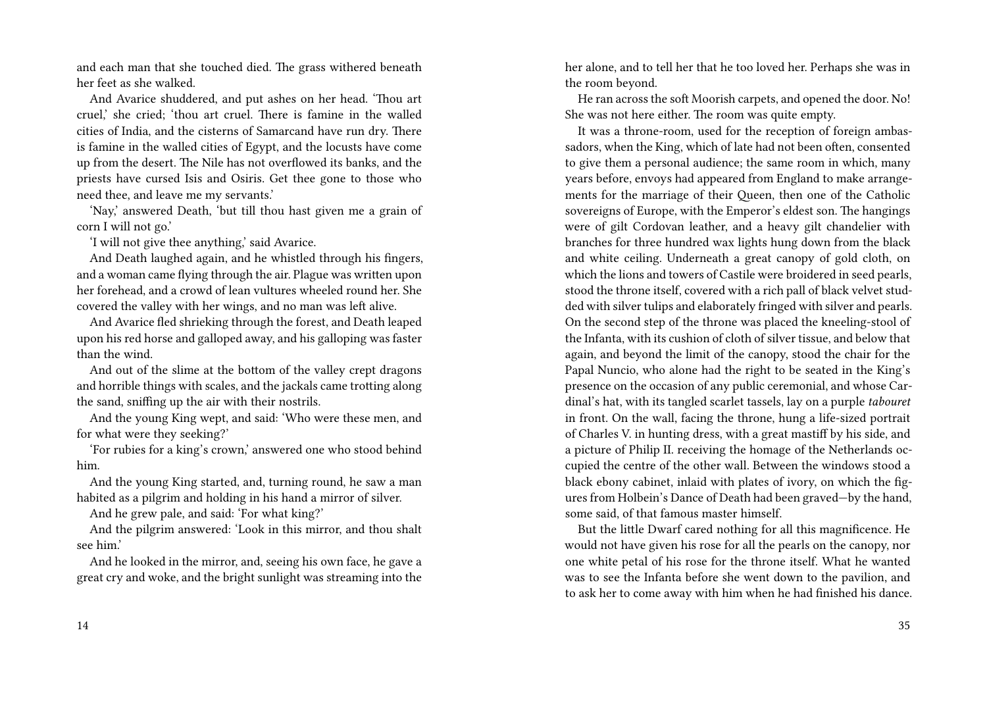and each man that she touched died. The grass withered beneath her feet as she walked.

And Avarice shuddered, and put ashes on her head. 'Thou art cruel,' she cried; 'thou art cruel. There is famine in the walled cities of India, and the cisterns of Samarcand have run dry. There is famine in the walled cities of Egypt, and the locusts have come up from the desert. The Nile has not overflowed its banks, and the priests have cursed Isis and Osiris. Get thee gone to those who need thee, and leave me my servants.'

'Nay,' answered Death, 'but till thou hast given me a grain of corn I will not go.'

'I will not give thee anything,' said Avarice.

And Death laughed again, and he whistled through his fingers, and a woman came flying through the air. Plague was written upon her forehead, and a crowd of lean vultures wheeled round her. She covered the valley with her wings, and no man was left alive.

And Avarice fled shrieking through the forest, and Death leaped upon his red horse and galloped away, and his galloping was faster than the wind.

And out of the slime at the bottom of the valley crept dragons and horrible things with scales, and the jackals came trotting along the sand, sniffing up the air with their nostrils.

And the young King wept, and said: 'Who were these men, and for what were they seeking?'

'For rubies for a king's crown,' answered one who stood behind him.

And the young King started, and, turning round, he saw a man habited as a pilgrim and holding in his hand a mirror of silver.

And he grew pale, and said: 'For what king?'

And the pilgrim answered: 'Look in this mirror, and thou shalt see him.'

And he looked in the mirror, and, seeing his own face, he gave a great cry and woke, and the bright sunlight was streaming into the her alone, and to tell her that he too loved her. Perhaps she was in the room beyond.

He ran across the soft Moorish carpets, and opened the door. No! She was not here either. The room was quite empty.

It was a throne-room, used for the reception of foreign ambassadors, when the King, which of late had not been often, consented to give them a personal audience; the same room in which, many years before, envoys had appeared from England to make arrangements for the marriage of their Queen, then one of the Catholic sovereigns of Europe, with the Emperor's eldest son. The hangings were of gilt Cordovan leather, and a heavy gilt chandelier with branches for three hundred wax lights hung down from the black and white ceiling. Underneath a great canopy of gold cloth, on which the lions and towers of Castile were broidered in seed pearls, stood the throne itself, covered with a rich pall of black velvet studded with silver tulips and elaborately fringed with silver and pearls. On the second step of the throne was placed the kneeling-stool of the Infanta, with its cushion of cloth of silver tissue, and below that again, and beyond the limit of the canopy, stood the chair for the Papal Nuncio, who alone had the right to be seated in the King's presence on the occasion of any public ceremonial, and whose Cardinal's hat, with its tangled scarlet tassels, lay on a purple *tabouret* in front. On the wall, facing the throne, hung a life-sized portrait of Charles V. in hunting dress, with a great mastiff by his side, and a picture of Philip II. receiving the homage of the Netherlands occupied the centre of the other wall. Between the windows stood a black ebony cabinet, inlaid with plates of ivory, on which the figures from Holbein's Dance of Death had been graved—by the hand, some said, of that famous master himself.

But the little Dwarf cared nothing for all this magnificence. He would not have given his rose for all the pearls on the canopy, nor one white petal of his rose for the throne itself. What he wanted was to see the Infanta before she went down to the pavilion, and to ask her to come away with him when he had finished his dance.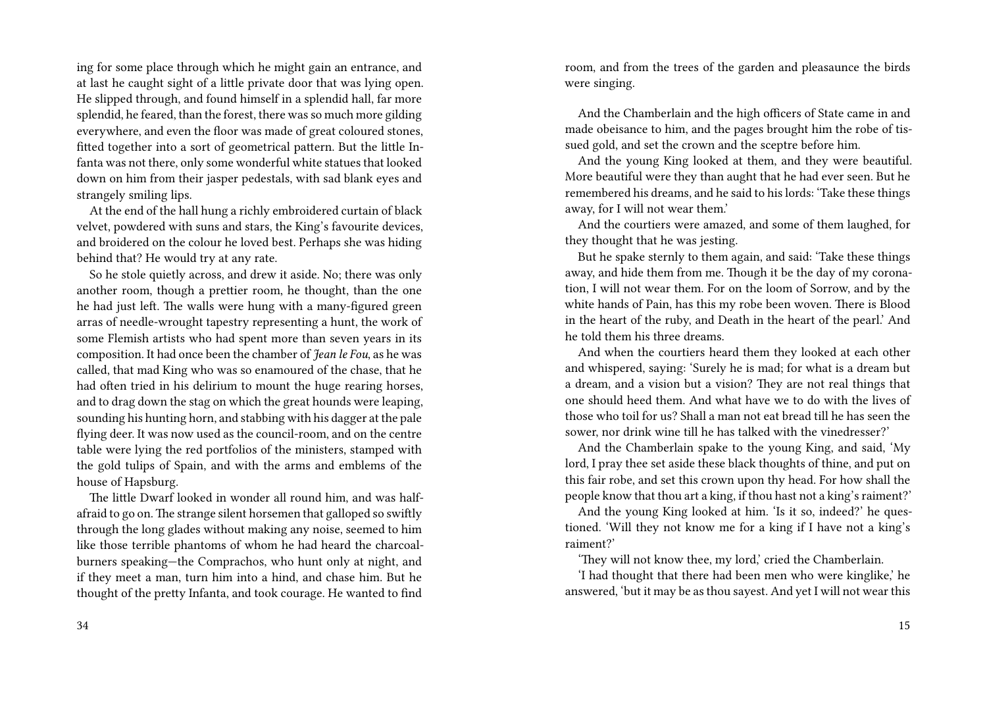ing for some place through which he might gain an entrance, and at last he caught sight of a little private door that was lying open. He slipped through, and found himself in a splendid hall, far more splendid, he feared, than the forest, there was so much more gilding everywhere, and even the floor was made of great coloured stones, fitted together into a sort of geometrical pattern. But the little Infanta was not there, only some wonderful white statues that looked down on him from their jasper pedestals, with sad blank eyes and strangely smiling lips.

At the end of the hall hung a richly embroidered curtain of black velvet, powdered with suns and stars, the King's favourite devices, and broidered on the colour he loved best. Perhaps she was hiding behind that? He would try at any rate.

So he stole quietly across, and drew it aside. No; there was only another room, though a prettier room, he thought, than the one he had just left. The walls were hung with a many-figured green arras of needle-wrought tapestry representing a hunt, the work of some Flemish artists who had spent more than seven years in its composition. It had once been the chamber of *Jean le Fou*, as he was called, that mad King who was so enamoured of the chase, that he had often tried in his delirium to mount the huge rearing horses, and to drag down the stag on which the great hounds were leaping, sounding his hunting horn, and stabbing with his dagger at the pale flying deer. It was now used as the council-room, and on the centre table were lying the red portfolios of the ministers, stamped with the gold tulips of Spain, and with the arms and emblems of the house of Hapsburg.

The little Dwarf looked in wonder all round him, and was halfafraid to go on.The strange silent horsemen that galloped so swiftly through the long glades without making any noise, seemed to him like those terrible phantoms of whom he had heard the charcoalburners speaking—the Comprachos, who hunt only at night, and if they meet a man, turn him into a hind, and chase him. But he thought of the pretty Infanta, and took courage. He wanted to find room, and from the trees of the garden and pleasaunce the birds were singing.

And the Chamberlain and the high officers of State came in and made obeisance to him, and the pages brought him the robe of tissued gold, and set the crown and the sceptre before him.

And the young King looked at them, and they were beautiful. More beautiful were they than aught that he had ever seen. But he remembered his dreams, and he said to his lords: 'Take these things away, for I will not wear them.'

And the courtiers were amazed, and some of them laughed, for they thought that he was jesting.

But he spake sternly to them again, and said: 'Take these things away, and hide them from me. Though it be the day of my coronation, I will not wear them. For on the loom of Sorrow, and by the white hands of Pain, has this my robe been woven. There is Blood in the heart of the ruby, and Death in the heart of the pearl.' And he told them his three dreams.

And when the courtiers heard them they looked at each other and whispered, saying: 'Surely he is mad; for what is a dream but a dream, and a vision but a vision? They are not real things that one should heed them. And what have we to do with the lives of those who toil for us? Shall a man not eat bread till he has seen the sower, nor drink wine till he has talked with the vinedresser?'

And the Chamberlain spake to the young King, and said, 'My lord, I pray thee set aside these black thoughts of thine, and put on this fair robe, and set this crown upon thy head. For how shall the people know that thou art a king, if thou hast not a king's raiment?'

And the young King looked at him. 'Is it so, indeed?' he questioned. 'Will they not know me for a king if I have not a king's raiment?'

'They will not know thee, my lord,' cried the Chamberlain.

'I had thought that there had been men who were kinglike,' he answered, 'but it may be as thou sayest. And yet I will not wear this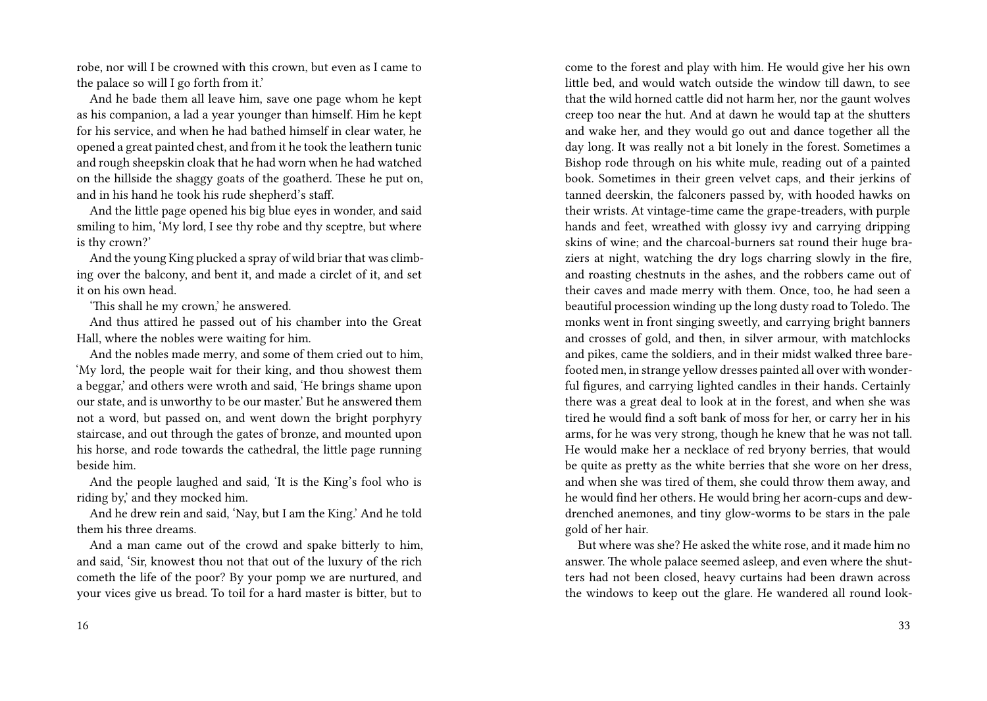robe, nor will I be crowned with this crown, but even as I came to the palace so will I go forth from it.'

And he bade them all leave him, save one page whom he kept as his companion, a lad a year younger than himself. Him he kept for his service, and when he had bathed himself in clear water, he opened a great painted chest, and from it he took the leathern tunic and rough sheepskin cloak that he had worn when he had watched on the hillside the shaggy goats of the goatherd. These he put on, and in his hand he took his rude shepherd's staff.

And the little page opened his big blue eyes in wonder, and said smiling to him, 'My lord, I see thy robe and thy sceptre, but where is thy crown?'

And the young King plucked a spray of wild briar that was climbing over the balcony, and bent it, and made a circlet of it, and set it on his own head.

'This shall he my crown,' he answered.

And thus attired he passed out of his chamber into the Great Hall, where the nobles were waiting for him.

And the nobles made merry, and some of them cried out to him, 'My lord, the people wait for their king, and thou showest them a beggar,' and others were wroth and said, 'He brings shame upon our state, and is unworthy to be our master.' But he answered them not a word, but passed on, and went down the bright porphyry staircase, and out through the gates of bronze, and mounted upon his horse, and rode towards the cathedral, the little page running beside him.

And the people laughed and said, 'It is the King's fool who is riding by,' and they mocked him.

And he drew rein and said, 'Nay, but I am the King.' And he told them his three dreams.

And a man came out of the crowd and spake bitterly to him, and said, 'Sir, knowest thou not that out of the luxury of the rich cometh the life of the poor? By your pomp we are nurtured, and your vices give us bread. To toil for a hard master is bitter, but to

come to the forest and play with him. He would give her his own little bed, and would watch outside the window till dawn, to see that the wild horned cattle did not harm her, nor the gaunt wolves creep too near the hut. And at dawn he would tap at the shutters and wake her, and they would go out and dance together all the day long. It was really not a bit lonely in the forest. Sometimes a Bishop rode through on his white mule, reading out of a painted book. Sometimes in their green velvet caps, and their jerkins of tanned deerskin, the falconers passed by, with hooded hawks on their wrists. At vintage-time came the grape-treaders, with purple hands and feet, wreathed with glossy ivy and carrying dripping skins of wine; and the charcoal-burners sat round their huge braziers at night, watching the dry logs charring slowly in the fire, and roasting chestnuts in the ashes, and the robbers came out of their caves and made merry with them. Once, too, he had seen a beautiful procession winding up the long dusty road to Toledo. The monks went in front singing sweetly, and carrying bright banners and crosses of gold, and then, in silver armour, with matchlocks and pikes, came the soldiers, and in their midst walked three barefooted men, in strange yellow dresses painted all over with wonderful figures, and carrying lighted candles in their hands. Certainly there was a great deal to look at in the forest, and when she was tired he would find a soft bank of moss for her, or carry her in his arms, for he was very strong, though he knew that he was not tall. He would make her a necklace of red bryony berries, that would be quite as pretty as the white berries that she wore on her dress, and when she was tired of them, she could throw them away, and he would find her others. He would bring her acorn-cups and dewdrenched anemones, and tiny glow-worms to be stars in the pale gold of her hair.

But where was she? He asked the white rose, and it made him no answer. The whole palace seemed asleep, and even where the shutters had not been closed, heavy curtains had been drawn across the windows to keep out the glare. He wandered all round look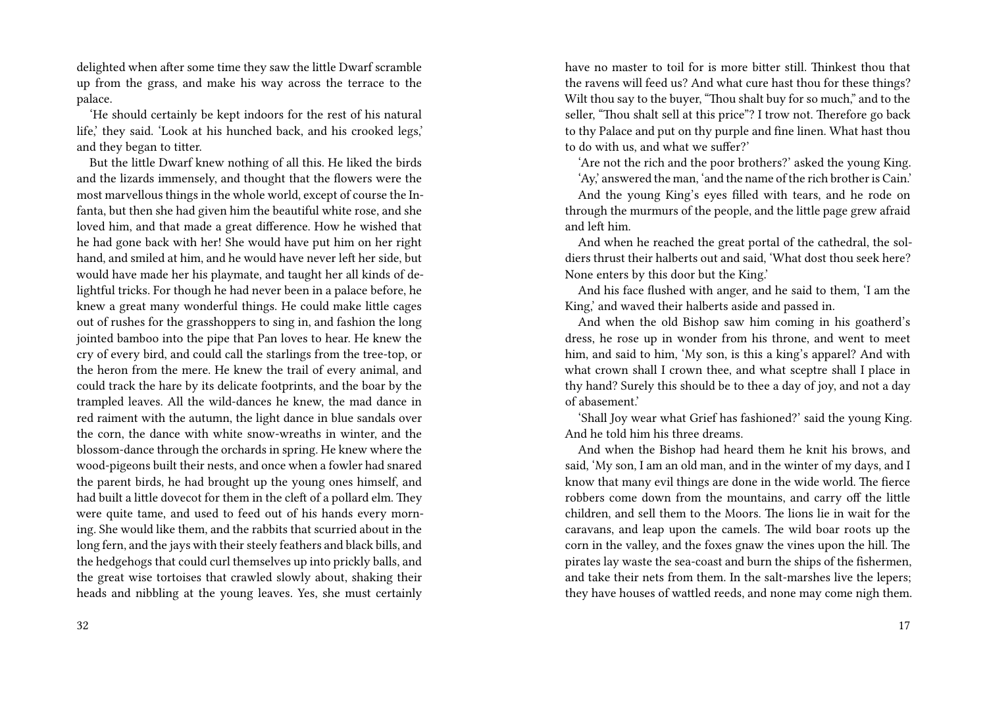delighted when after some time they saw the little Dwarf scramble up from the grass, and make his way across the terrace to the palace.

'He should certainly be kept indoors for the rest of his natural life,' they said. 'Look at his hunched back, and his crooked legs,' and they began to titter.

But the little Dwarf knew nothing of all this. He liked the birds and the lizards immensely, and thought that the flowers were the most marvellous things in the whole world, except of course the Infanta, but then she had given him the beautiful white rose, and she loved him, and that made a great difference. How he wished that he had gone back with her! She would have put him on her right hand, and smiled at him, and he would have never left her side, but would have made her his playmate, and taught her all kinds of delightful tricks. For though he had never been in a palace before, he knew a great many wonderful things. He could make little cages out of rushes for the grasshoppers to sing in, and fashion the long jointed bamboo into the pipe that Pan loves to hear. He knew the cry of every bird, and could call the starlings from the tree-top, or the heron from the mere. He knew the trail of every animal, and could track the hare by its delicate footprints, and the boar by the trampled leaves. All the wild-dances he knew, the mad dance in red raiment with the autumn, the light dance in blue sandals over the corn, the dance with white snow-wreaths in winter, and the blossom-dance through the orchards in spring. He knew where the wood-pigeons built their nests, and once when a fowler had snared the parent birds, he had brought up the young ones himself, and had built a little dovecot for them in the cleft of a pollard elm. They were quite tame, and used to feed out of his hands every morning. She would like them, and the rabbits that scurried about in the long fern, and the jays with their steely feathers and black bills, and the hedgehogs that could curl themselves up into prickly balls, and the great wise tortoises that crawled slowly about, shaking their heads and nibbling at the young leaves. Yes, she must certainly

have no master to toil for is more bitter still. Thinkest thou that the ravens will feed us? And what cure hast thou for these things? Wilt thou say to the buyer, "Thou shalt buy for so much," and to the seller, "Thou shalt sell at this price"? I trow not. Therefore go back to thy Palace and put on thy purple and fine linen. What hast thou to do with us, and what we suffer?'

'Are not the rich and the poor brothers?' asked the young King.

'Ay,' answered the man, 'and the name of the rich brother is Cain.'

And the young King's eyes filled with tears, and he rode on through the murmurs of the people, and the little page grew afraid and left him.

And when he reached the great portal of the cathedral, the soldiers thrust their halberts out and said, 'What dost thou seek here? None enters by this door but the King.'

And his face flushed with anger, and he said to them, 'I am the King,' and waved their halberts aside and passed in.

And when the old Bishop saw him coming in his goatherd's dress, he rose up in wonder from his throne, and went to meet him, and said to him, 'My son, is this a king's apparel? And with what crown shall I crown thee, and what sceptre shall I place in thy hand? Surely this should be to thee a day of joy, and not a day of abasement.'

'Shall Joy wear what Grief has fashioned?' said the young King. And he told him his three dreams.

And when the Bishop had heard them he knit his brows, and said, 'My son, I am an old man, and in the winter of my days, and I know that many evil things are done in the wide world. The fierce robbers come down from the mountains, and carry off the little children, and sell them to the Moors. The lions lie in wait for the caravans, and leap upon the camels. The wild boar roots up the corn in the valley, and the foxes gnaw the vines upon the hill. The pirates lay waste the sea-coast and burn the ships of the fishermen, and take their nets from them. In the salt-marshes live the lepers; they have houses of wattled reeds, and none may come nigh them.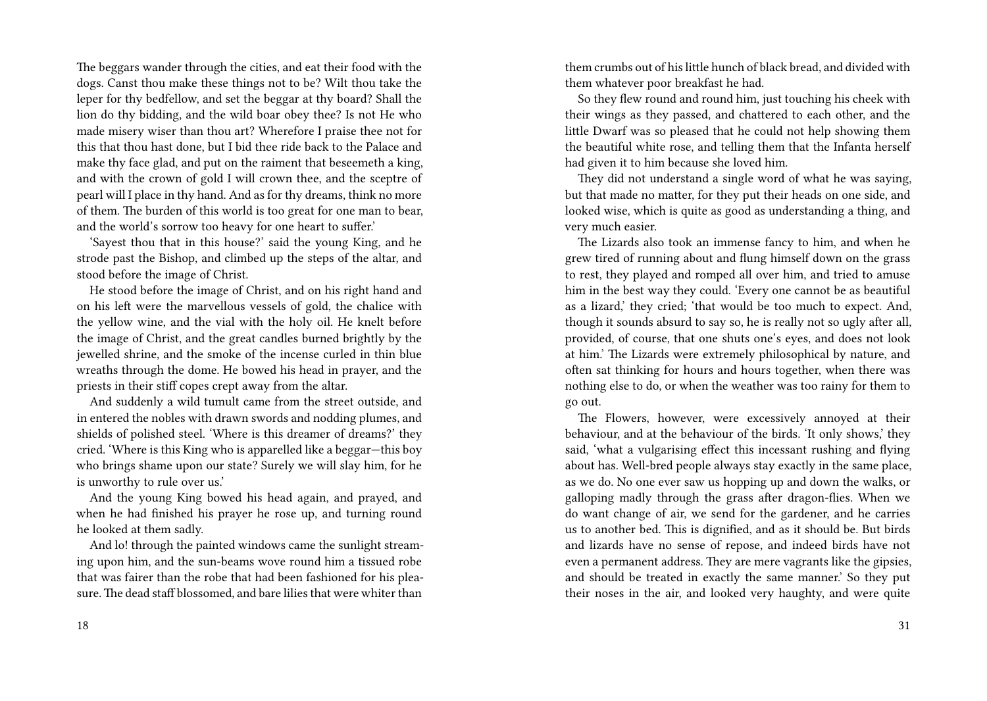The beggars wander through the cities, and eat their food with the dogs. Canst thou make these things not to be? Wilt thou take the leper for thy bedfellow, and set the beggar at thy board? Shall the lion do thy bidding, and the wild boar obey thee? Is not He who made misery wiser than thou art? Wherefore I praise thee not for this that thou hast done, but I bid thee ride back to the Palace and make thy face glad, and put on the raiment that beseemeth a king, and with the crown of gold I will crown thee, and the sceptre of pearl will I place in thy hand. And as for thy dreams, think no more of them. The burden of this world is too great for one man to bear, and the world's sorrow too heavy for one heart to suffer.'

'Sayest thou that in this house?' said the young King, and he strode past the Bishop, and climbed up the steps of the altar, and stood before the image of Christ.

He stood before the image of Christ, and on his right hand and on his left were the marvellous vessels of gold, the chalice with the yellow wine, and the vial with the holy oil. He knelt before the image of Christ, and the great candles burned brightly by the jewelled shrine, and the smoke of the incense curled in thin blue wreaths through the dome. He bowed his head in prayer, and the priests in their stiff copes crept away from the altar.

And suddenly a wild tumult came from the street outside, and in entered the nobles with drawn swords and nodding plumes, and shields of polished steel. 'Where is this dreamer of dreams?' they cried. 'Where is this King who is apparelled like a beggar—this boy who brings shame upon our state? Surely we will slay him, for he is unworthy to rule over us.'

And the young King bowed his head again, and prayed, and when he had finished his prayer he rose up, and turning round he looked at them sadly.

And lo! through the painted windows came the sunlight streaming upon him, and the sun-beams wove round him a tissued robe that was fairer than the robe that had been fashioned for his pleasure. The dead staff blossomed, and bare lilies that were whiter than

them crumbs out of his little hunch of black bread, and divided with them whatever poor breakfast he had.

So they flew round and round him, just touching his cheek with their wings as they passed, and chattered to each other, and the little Dwarf was so pleased that he could not help showing them the beautiful white rose, and telling them that the Infanta herself had given it to him because she loved him.

They did not understand a single word of what he was saying, but that made no matter, for they put their heads on one side, and looked wise, which is quite as good as understanding a thing, and very much easier.

The Lizards also took an immense fancy to him, and when he grew tired of running about and flung himself down on the grass to rest, they played and romped all over him, and tried to amuse him in the best way they could. 'Every one cannot be as beautiful as a lizard,' they cried; 'that would be too much to expect. And, though it sounds absurd to say so, he is really not so ugly after all, provided, of course, that one shuts one's eyes, and does not look at him.' The Lizards were extremely philosophical by nature, and often sat thinking for hours and hours together, when there was nothing else to do, or when the weather was too rainy for them to go out.

The Flowers, however, were excessively annoyed at their behaviour, and at the behaviour of the birds. 'It only shows,' they said, 'what a vulgarising effect this incessant rushing and flying about has. Well-bred people always stay exactly in the same place, as we do. No one ever saw us hopping up and down the walks, or galloping madly through the grass after dragon-flies. When we do want change of air, we send for the gardener, and he carries us to another bed. This is dignified, and as it should be. But birds and lizards have no sense of repose, and indeed birds have not even a permanent address. They are mere vagrants like the gipsies, and should be treated in exactly the same manner.' So they put their noses in the air, and looked very haughty, and were quite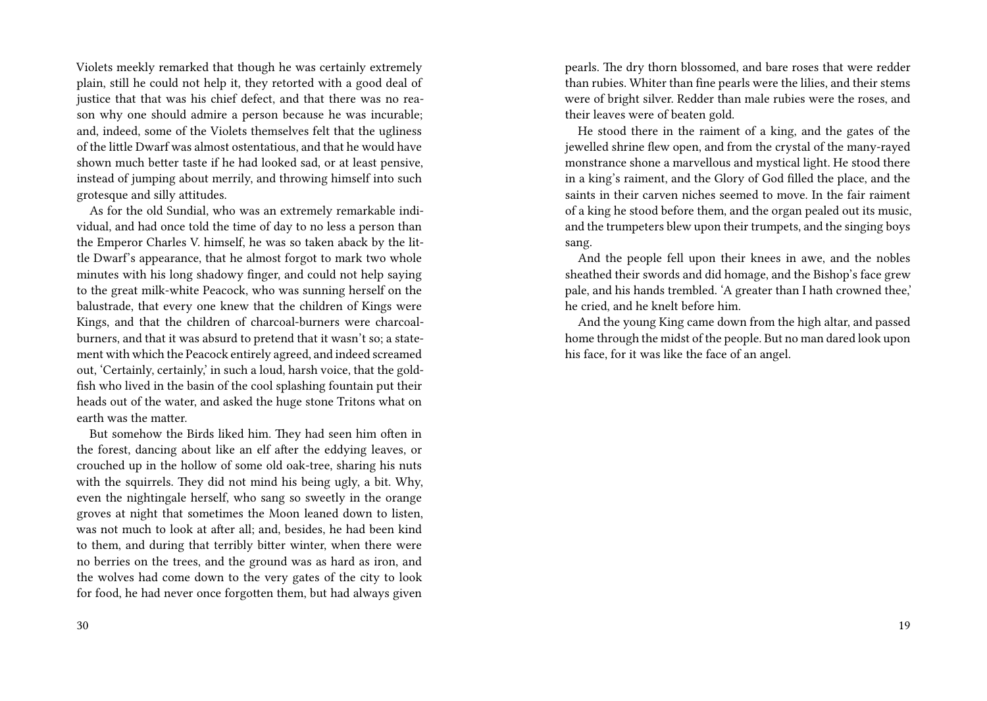Violets meekly remarked that though he was certainly extremely plain, still he could not help it, they retorted with a good deal of justice that that was his chief defect, and that there was no reason why one should admire a person because he was incurable; and, indeed, some of the Violets themselves felt that the ugliness of the little Dwarf was almost ostentatious, and that he would have shown much better taste if he had looked sad, or at least pensive, instead of jumping about merrily, and throwing himself into such grotesque and silly attitudes.

As for the old Sundial, who was an extremely remarkable individual, and had once told the time of day to no less a person than the Emperor Charles V. himself, he was so taken aback by the little Dwarf's appearance, that he almost forgot to mark two whole minutes with his long shadowy finger, and could not help saying to the great milk-white Peacock, who was sunning herself on the balustrade, that every one knew that the children of Kings were Kings, and that the children of charcoal-burners were charcoalburners, and that it was absurd to pretend that it wasn't so; a statement with which the Peacock entirely agreed, and indeed screamed out, 'Certainly, certainly,' in such a loud, harsh voice, that the goldfish who lived in the basin of the cool splashing fountain put their heads out of the water, and asked the huge stone Tritons what on earth was the matter.

But somehow the Birds liked him. They had seen him often in the forest, dancing about like an elf after the eddying leaves, or crouched up in the hollow of some old oak-tree, sharing his nuts with the squirrels. They did not mind his being ugly, a bit. Why, even the nightingale herself, who sang so sweetly in the orange groves at night that sometimes the Moon leaned down to listen, was not much to look at after all; and, besides, he had been kind to them, and during that terribly bitter winter, when there were no berries on the trees, and the ground was as hard as iron, and the wolves had come down to the very gates of the city to look for food, he had never once forgotten them, but had always given

pearls. The dry thorn blossomed, and bare roses that were redder than rubies. Whiter than fine pearls were the lilies, and their stems were of bright silver. Redder than male rubies were the roses, and their leaves were of beaten gold.

He stood there in the raiment of a king, and the gates of the jewelled shrine flew open, and from the crystal of the many-rayed monstrance shone a marvellous and mystical light. He stood there in a king's raiment, and the Glory of God filled the place, and the saints in their carven niches seemed to move. In the fair raiment of a king he stood before them, and the organ pealed out its music, and the trumpeters blew upon their trumpets, and the singing boys sang.

And the people fell upon their knees in awe, and the nobles sheathed their swords and did homage, and the Bishop's face grew pale, and his hands trembled. 'A greater than I hath crowned thee,' he cried, and he knelt before him.

And the young King came down from the high altar, and passed home through the midst of the people. But no man dared look upon his face, for it was like the face of an angel.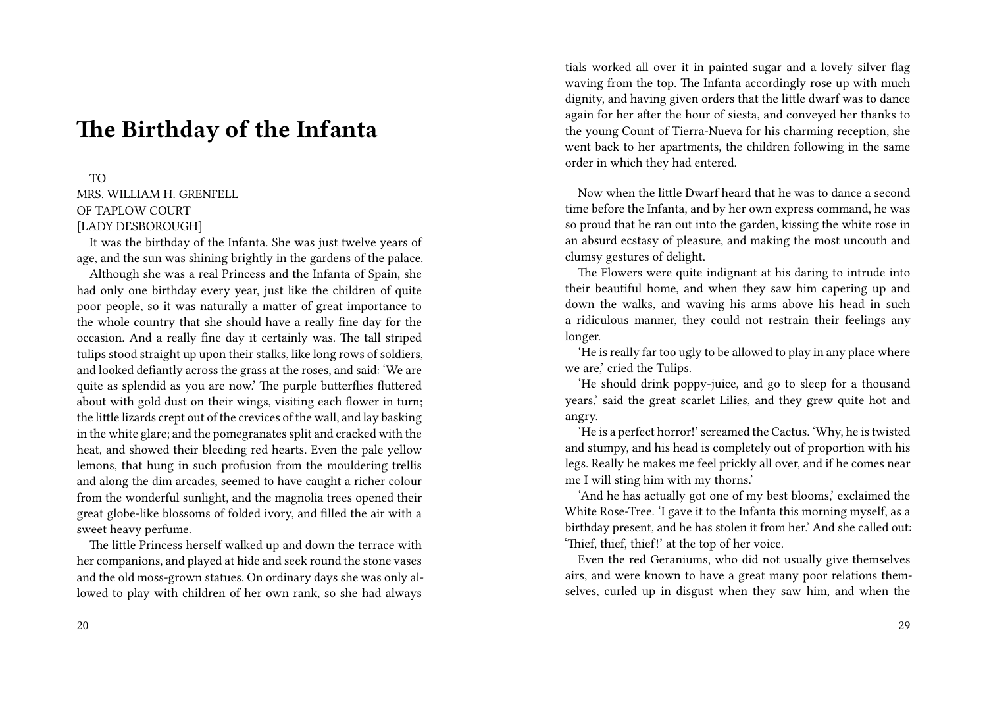# **The Birthday of the Infanta**

### TO

MRS. WILLIAM H. GRENFELL OF TAPLOW COURT [LADY DESBOROUGH]

It was the birthday of the Infanta. She was just twelve years of age, and the sun was shining brightly in the gardens of the palace.

Although she was a real Princess and the Infanta of Spain, she had only one birthday every year, just like the children of quite poor people, so it was naturally a matter of great importance to the whole country that she should have a really fine day for the occasion. And a really fine day it certainly was. The tall striped tulips stood straight up upon their stalks, like long rows of soldiers, and looked defiantly across the grass at the roses, and said: 'We are quite as splendid as you are now.' The purple butterflies fluttered about with gold dust on their wings, visiting each flower in turn; the little lizards crept out of the crevices of the wall, and lay basking in the white glare; and the pomegranates split and cracked with the heat, and showed their bleeding red hearts. Even the pale yellow lemons, that hung in such profusion from the mouldering trellis and along the dim arcades, seemed to have caught a richer colour from the wonderful sunlight, and the magnolia trees opened their great globe-like blossoms of folded ivory, and filled the air with a sweet heavy perfume.

The little Princess herself walked up and down the terrace with her companions, and played at hide and seek round the stone vases and the old moss-grown statues. On ordinary days she was only allowed to play with children of her own rank, so she had always

tials worked all over it in painted sugar and a lovely silver flag waving from the top. The Infanta accordingly rose up with much dignity, and having given orders that the little dwarf was to dance again for her after the hour of siesta, and conveyed her thanks to the young Count of Tierra-Nueva for his charming reception, she went back to her apartments, the children following in the same order in which they had entered.

Now when the little Dwarf heard that he was to dance a second time before the Infanta, and by her own express command, he was so proud that he ran out into the garden, kissing the white rose in an absurd ecstasy of pleasure, and making the most uncouth and clumsy gestures of delight.

The Flowers were quite indignant at his daring to intrude into their beautiful home, and when they saw him capering up and down the walks, and waving his arms above his head in such a ridiculous manner, they could not restrain their feelings any longer.

'He is really far too ugly to be allowed to play in any place where we are,' cried the Tulips.

'He should drink poppy-juice, and go to sleep for a thousand years,' said the great scarlet Lilies, and they grew quite hot and angry.

'He is a perfect horror!' screamed the Cactus. 'Why, he is twisted and stumpy, and his head is completely out of proportion with his legs. Really he makes me feel prickly all over, and if he comes near me I will sting him with my thorns.'

'And he has actually got one of my best blooms,' exclaimed the White Rose-Tree. 'I gave it to the Infanta this morning myself, as a birthday present, and he has stolen it from her.' And she called out: 'Thief, thief, thief!' at the top of her voice.

Even the red Geraniums, who did not usually give themselves airs, and were known to have a great many poor relations themselves, curled up in disgust when they saw him, and when the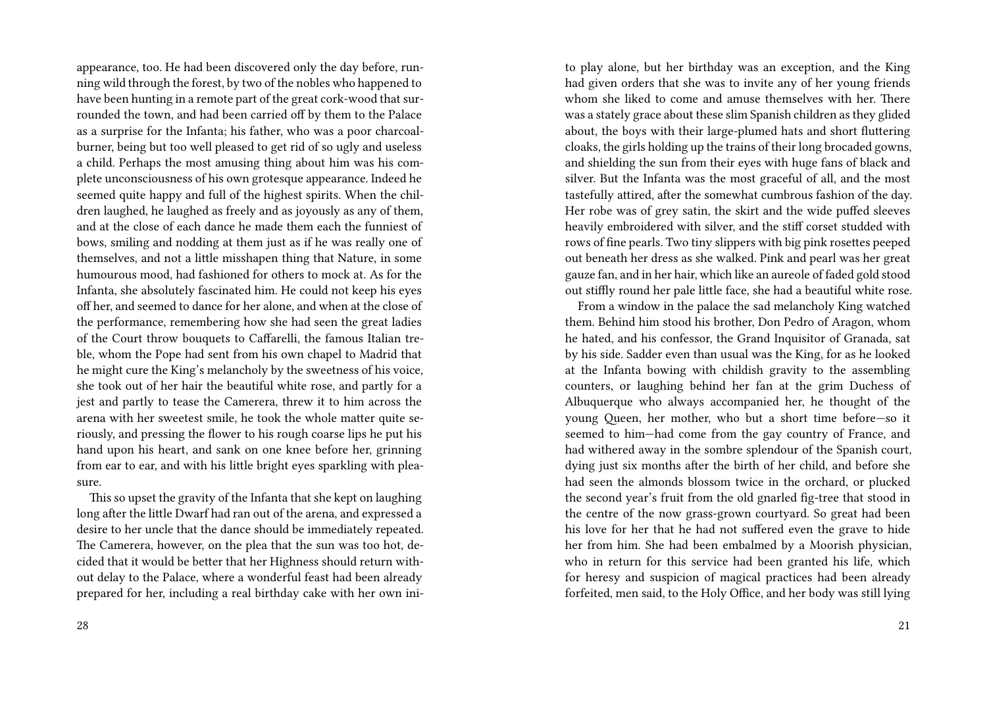appearance, too. He had been discovered only the day before, running wild through the forest, by two of the nobles who happened to have been hunting in a remote part of the great cork-wood that surrounded the town, and had been carried off by them to the Palace as a surprise for the Infanta; his father, who was a poor charcoalburner, being but too well pleased to get rid of so ugly and useless a child. Perhaps the most amusing thing about him was his complete unconsciousness of his own grotesque appearance. Indeed he seemed quite happy and full of the highest spirits. When the children laughed, he laughed as freely and as joyously as any of them, and at the close of each dance he made them each the funniest of bows, smiling and nodding at them just as if he was really one of themselves, and not a little misshapen thing that Nature, in some humourous mood, had fashioned for others to mock at. As for the Infanta, she absolutely fascinated him. He could not keep his eyes off her, and seemed to dance for her alone, and when at the close of the performance, remembering how she had seen the great ladies of the Court throw bouquets to Caffarelli, the famous Italian treble, whom the Pope had sent from his own chapel to Madrid that he might cure the King's melancholy by the sweetness of his voice, she took out of her hair the beautiful white rose, and partly for a jest and partly to tease the Camerera, threw it to him across the arena with her sweetest smile, he took the whole matter quite seriously, and pressing the flower to his rough coarse lips he put his hand upon his heart, and sank on one knee before her, grinning from ear to ear, and with his little bright eyes sparkling with pleasure.

This so upset the gravity of the Infanta that she kept on laughing long after the little Dwarf had ran out of the arena, and expressed a desire to her uncle that the dance should be immediately repeated. The Camerera, however, on the plea that the sun was too hot, decided that it would be better that her Highness should return without delay to the Palace, where a wonderful feast had been already prepared for her, including a real birthday cake with her own inito play alone, but her birthday was an exception, and the King had given orders that she was to invite any of her young friends whom she liked to come and amuse themselves with her. There was a stately grace about these slim Spanish children as they glided about, the boys with their large-plumed hats and short fluttering cloaks, the girls holding up the trains of their long brocaded gowns, and shielding the sun from their eyes with huge fans of black and silver. But the Infanta was the most graceful of all, and the most tastefully attired, after the somewhat cumbrous fashion of the day. Her robe was of grey satin, the skirt and the wide puffed sleeves heavily embroidered with silver, and the stiff corset studded with rows of fine pearls. Two tiny slippers with big pink rosettes peeped out beneath her dress as she walked. Pink and pearl was her great gauze fan, and in her hair, which like an aureole of faded gold stood out stiffly round her pale little face, she had a beautiful white rose.

From a window in the palace the sad melancholy King watched them. Behind him stood his brother, Don Pedro of Aragon, whom he hated, and his confessor, the Grand Inquisitor of Granada, sat by his side. Sadder even than usual was the King, for as he looked at the Infanta bowing with childish gravity to the assembling counters, or laughing behind her fan at the grim Duchess of Albuquerque who always accompanied her, he thought of the young Queen, her mother, who but a short time before—so it seemed to him—had come from the gay country of France, and had withered away in the sombre splendour of the Spanish court, dying just six months after the birth of her child, and before she had seen the almonds blossom twice in the orchard, or plucked the second year's fruit from the old gnarled fig-tree that stood in the centre of the now grass-grown courtyard. So great had been his love for her that he had not suffered even the grave to hide her from him. She had been embalmed by a Moorish physician, who in return for this service had been granted his life, which for heresy and suspicion of magical practices had been already forfeited, men said, to the Holy Office, and her body was still lying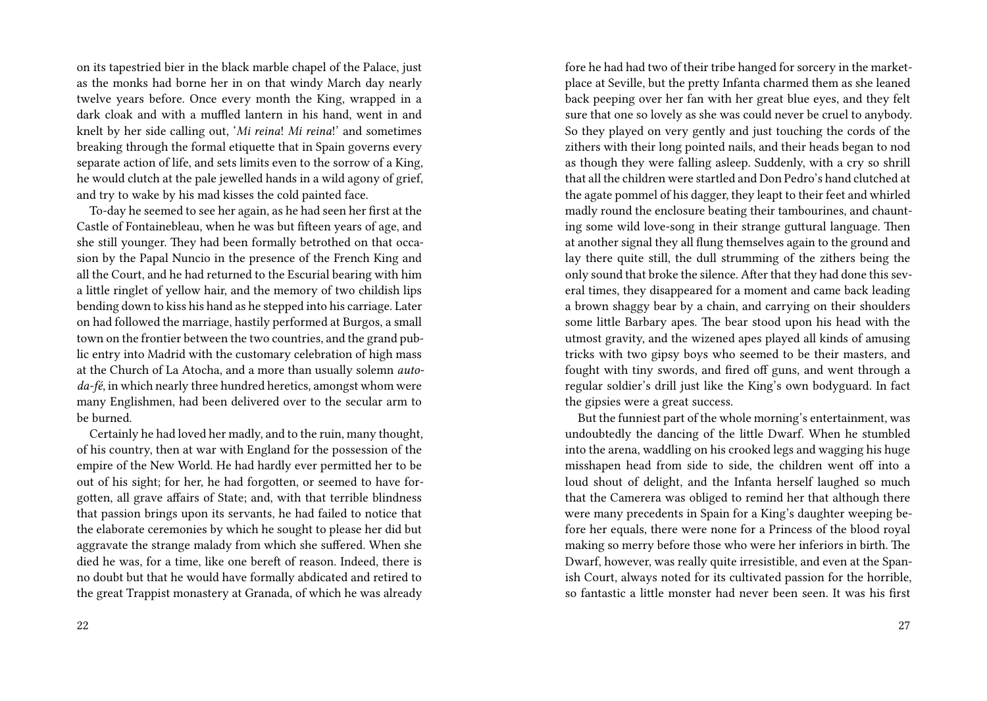on its tapestried bier in the black marble chapel of the Palace, just as the monks had borne her in on that windy March day nearly twelve years before. Once every month the King, wrapped in a dark cloak and with a muffled lantern in his hand, went in and knelt by her side calling out, '*Mi reina*! *Mi reina*!' and sometimes breaking through the formal etiquette that in Spain governs every separate action of life, and sets limits even to the sorrow of a King, he would clutch at the pale jewelled hands in a wild agony of grief, and try to wake by his mad kisses the cold painted face.

To-day he seemed to see her again, as he had seen her first at the Castle of Fontainebleau, when he was but fifteen years of age, and she still younger. They had been formally betrothed on that occasion by the Papal Nuncio in the presence of the French King and all the Court, and he had returned to the Escurial bearing with him a little ringlet of yellow hair, and the memory of two childish lips bending down to kiss his hand as he stepped into his carriage. Later on had followed the marriage, hastily performed at Burgos, a small town on the frontier between the two countries, and the grand public entry into Madrid with the customary celebration of high mass at the Church of La Atocha, and a more than usually solemn *autoda-fé*, in which nearly three hundred heretics, amongst whom were many Englishmen, had been delivered over to the secular arm to be burned.

Certainly he had loved her madly, and to the ruin, many thought, of his country, then at war with England for the possession of the empire of the New World. He had hardly ever permitted her to be out of his sight; for her, he had forgotten, or seemed to have forgotten, all grave affairs of State; and, with that terrible blindness that passion brings upon its servants, he had failed to notice that the elaborate ceremonies by which he sought to please her did but aggravate the strange malady from which she suffered. When she died he was, for a time, like one bereft of reason. Indeed, there is no doubt but that he would have formally abdicated and retired to the great Trappist monastery at Granada, of which he was already fore he had had two of their tribe hanged for sorcery in the marketplace at Seville, but the pretty Infanta charmed them as she leaned back peeping over her fan with her great blue eyes, and they felt sure that one so lovely as she was could never be cruel to anybody. So they played on very gently and just touching the cords of the zithers with their long pointed nails, and their heads began to nod as though they were falling asleep. Suddenly, with a cry so shrill that all the children were startled and Don Pedro's hand clutched at the agate pommel of his dagger, they leapt to their feet and whirled madly round the enclosure beating their tambourines, and chaunting some wild love-song in their strange guttural language. Then at another signal they all flung themselves again to the ground and lay there quite still, the dull strumming of the zithers being the only sound that broke the silence. After that they had done this several times, they disappeared for a moment and came back leading a brown shaggy bear by a chain, and carrying on their shoulders some little Barbary apes. The bear stood upon his head with the utmost gravity, and the wizened apes played all kinds of amusing tricks with two gipsy boys who seemed to be their masters, and fought with tiny swords, and fired off guns, and went through a regular soldier's drill just like the King's own bodyguard. In fact the gipsies were a great success.

But the funniest part of the whole morning's entertainment, was undoubtedly the dancing of the little Dwarf. When he stumbled into the arena, waddling on his crooked legs and wagging his huge misshapen head from side to side, the children went off into a loud shout of delight, and the Infanta herself laughed so much that the Camerera was obliged to remind her that although there were many precedents in Spain for a King's daughter weeping before her equals, there were none for a Princess of the blood royal making so merry before those who were her inferiors in birth. The Dwarf, however, was really quite irresistible, and even at the Spanish Court, always noted for its cultivated passion for the horrible, so fantastic a little monster had never been seen. It was his first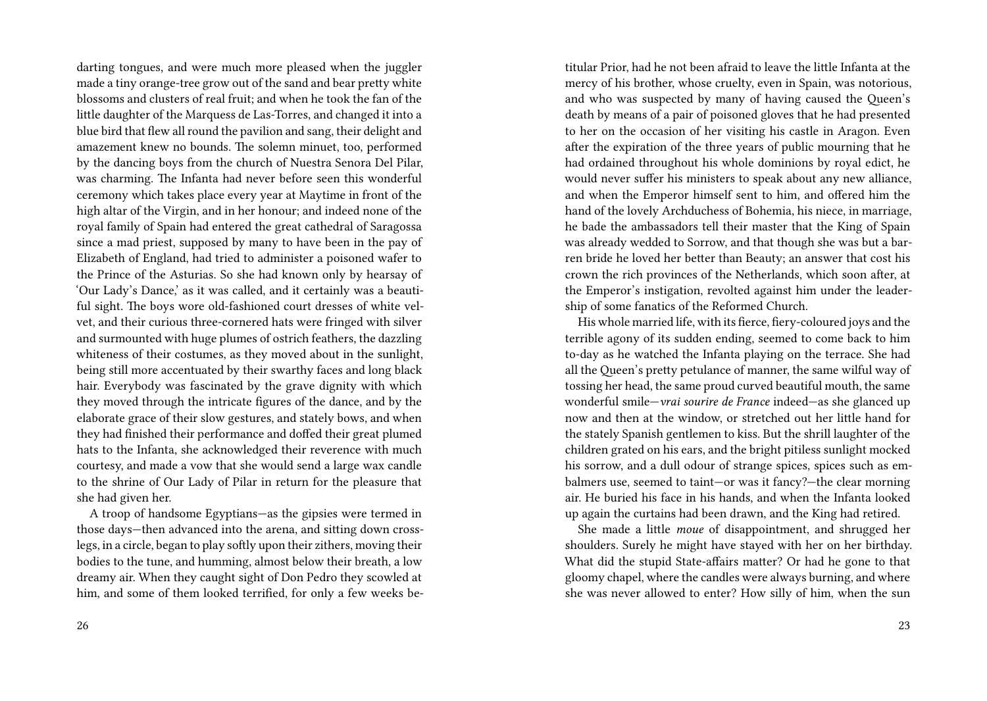darting tongues, and were much more pleased when the juggler made a tiny orange-tree grow out of the sand and bear pretty white blossoms and clusters of real fruit; and when he took the fan of the little daughter of the Marquess de Las-Torres, and changed it into a blue bird that flew all round the pavilion and sang, their delight and amazement knew no bounds. The solemn minuet, too, performed by the dancing boys from the church of Nuestra Senora Del Pilar, was charming. The Infanta had never before seen this wonderful ceremony which takes place every year at Maytime in front of the high altar of the Virgin, and in her honour; and indeed none of the royal family of Spain had entered the great cathedral of Saragossa since a mad priest, supposed by many to have been in the pay of Elizabeth of England, had tried to administer a poisoned wafer to the Prince of the Asturias. So she had known only by hearsay of 'Our Lady's Dance,' as it was called, and it certainly was a beautiful sight. The boys wore old-fashioned court dresses of white velvet, and their curious three-cornered hats were fringed with silver and surmounted with huge plumes of ostrich feathers, the dazzling whiteness of their costumes, as they moved about in the sunlight, being still more accentuated by their swarthy faces and long black hair. Everybody was fascinated by the grave dignity with which they moved through the intricate figures of the dance, and by the elaborate grace of their slow gestures, and stately bows, and when they had finished their performance and doffed their great plumed hats to the Infanta, she acknowledged their reverence with much courtesy, and made a vow that she would send a large wax candle to the shrine of Our Lady of Pilar in return for the pleasure that she had given her.

A troop of handsome Egyptians—as the gipsies were termed in those days—then advanced into the arena, and sitting down crosslegs, in a circle, began to play softly upon their zithers, moving their bodies to the tune, and humming, almost below their breath, a low dreamy air. When they caught sight of Don Pedro they scowled at him, and some of them looked terrified, for only a few weeks be-

titular Prior, had he not been afraid to leave the little Infanta at the mercy of his brother, whose cruelty, even in Spain, was notorious, and who was suspected by many of having caused the Queen's death by means of a pair of poisoned gloves that he had presented to her on the occasion of her visiting his castle in Aragon. Even after the expiration of the three years of public mourning that he had ordained throughout his whole dominions by royal edict, he would never suffer his ministers to speak about any new alliance, and when the Emperor himself sent to him, and offered him the hand of the lovely Archduchess of Bohemia, his niece, in marriage, he bade the ambassadors tell their master that the King of Spain was already wedded to Sorrow, and that though she was but a barren bride he loved her better than Beauty; an answer that cost his crown the rich provinces of the Netherlands, which soon after, at the Emperor's instigation, revolted against him under the leadership of some fanatics of the Reformed Church.

His whole married life, with its fierce, fiery-coloured joys and the terrible agony of its sudden ending, seemed to come back to him to-day as he watched the Infanta playing on the terrace. She had all the Queen's pretty petulance of manner, the same wilful way of tossing her head, the same proud curved beautiful mouth, the same wonderful smile—*vrai sourire de France* indeed—as she glanced up now and then at the window, or stretched out her little hand for the stately Spanish gentlemen to kiss. But the shrill laughter of the children grated on his ears, and the bright pitiless sunlight mocked his sorrow, and a dull odour of strange spices, spices such as embalmers use, seemed to taint—or was it fancy?—the clear morning air. He buried his face in his hands, and when the Infanta looked up again the curtains had been drawn, and the King had retired.

She made a little *moue* of disappointment, and shrugged her shoulders. Surely he might have stayed with her on her birthday. What did the stupid State-affairs matter? Or had he gone to that gloomy chapel, where the candles were always burning, and where she was never allowed to enter? How silly of him, when the sun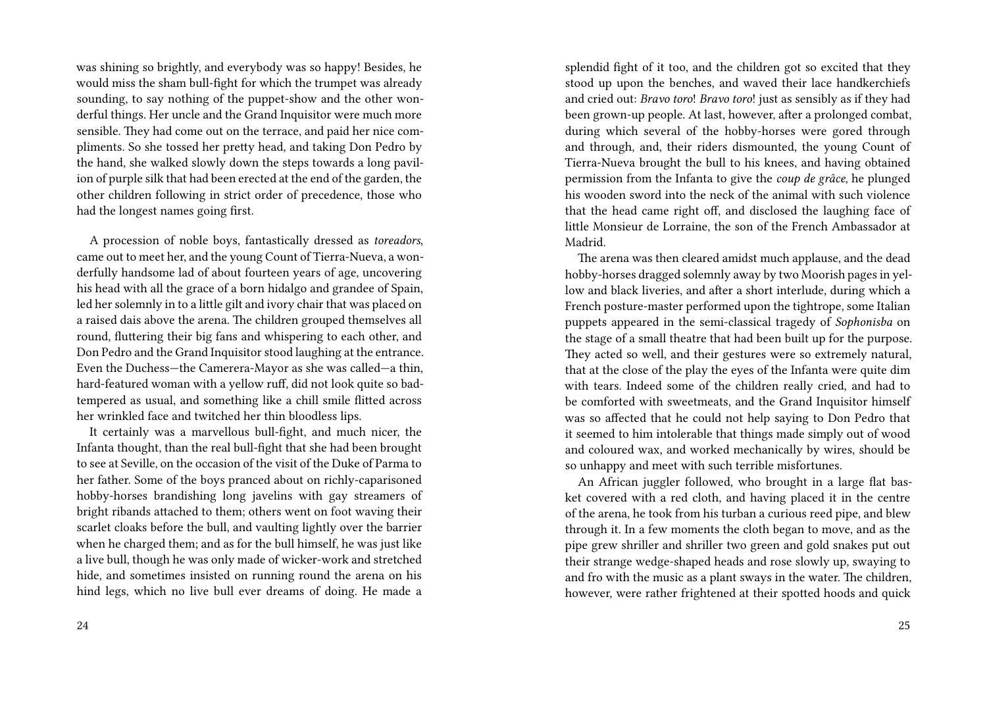was shining so brightly, and everybody was so happy! Besides, he would miss the sham bull-fight for which the trumpet was already sounding, to say nothing of the puppet-show and the other wonderful things. Her uncle and the Grand Inquisitor were much more sensible. They had come out on the terrace, and paid her nice compliments. So she tossed her pretty head, and taking Don Pedro by the hand, she walked slowly down the steps towards a long pavilion of purple silk that had been erected at the end of the garden, the other children following in strict order of precedence, those who had the longest names going first.

A procession of noble boys, fantastically dressed as *toreadors*, came out to meet her, and the young Count of Tierra-Nueva, a wonderfully handsome lad of about fourteen years of age, uncovering his head with all the grace of a born hidalgo and grandee of Spain, led her solemnly in to a little gilt and ivory chair that was placed on a raised dais above the arena. The children grouped themselves all round, fluttering their big fans and whispering to each other, and Don Pedro and the Grand Inquisitor stood laughing at the entrance. Even the Duchess—the Camerera-Mayor as she was called—a thin, hard-featured woman with a yellow ruff, did not look quite so badtempered as usual, and something like a chill smile flitted across her wrinkled face and twitched her thin bloodless lips.

It certainly was a marvellous bull-fight, and much nicer, the Infanta thought, than the real bull-fight that she had been brought to see at Seville, on the occasion of the visit of the Duke of Parma to her father. Some of the boys pranced about on richly-caparisoned hobby-horses brandishing long javelins with gay streamers of bright ribands attached to them; others went on foot waving their scarlet cloaks before the bull, and vaulting lightly over the barrier when he charged them; and as for the bull himself, he was just like a live bull, though he was only made of wicker-work and stretched hide, and sometimes insisted on running round the arena on his hind legs, which no live bull ever dreams of doing. He made a

splendid fight of it too, and the children got so excited that they stood up upon the benches, and waved their lace handkerchiefs and cried out: *Bravo toro*! *Bravo toro*! just as sensibly as if they had been grown-up people. At last, however, after a prolonged combat, during which several of the hobby-horses were gored through and through, and, their riders dismounted, the young Count of Tierra-Nueva brought the bull to his knees, and having obtained permission from the Infanta to give the *coup de grâce*, he plunged his wooden sword into the neck of the animal with such violence that the head came right off, and disclosed the laughing face of little Monsieur de Lorraine, the son of the French Ambassador at Madrid.

The arena was then cleared amidst much applause, and the dead hobby-horses dragged solemnly away by two Moorish pages in yellow and black liveries, and after a short interlude, during which a French posture-master performed upon the tightrope, some Italian puppets appeared in the semi-classical tragedy of *Sophonisba* on the stage of a small theatre that had been built up for the purpose. They acted so well, and their gestures were so extremely natural, that at the close of the play the eyes of the Infanta were quite dim with tears. Indeed some of the children really cried, and had to be comforted with sweetmeats, and the Grand Inquisitor himself was so affected that he could not help saying to Don Pedro that it seemed to him intolerable that things made simply out of wood and coloured wax, and worked mechanically by wires, should be so unhappy and meet with such terrible misfortunes.

An African juggler followed, who brought in a large flat basket covered with a red cloth, and having placed it in the centre of the arena, he took from his turban a curious reed pipe, and blew through it. In a few moments the cloth began to move, and as the pipe grew shriller and shriller two green and gold snakes put out their strange wedge-shaped heads and rose slowly up, swaying to and fro with the music as a plant sways in the water. The children, however, were rather frightened at their spotted hoods and quick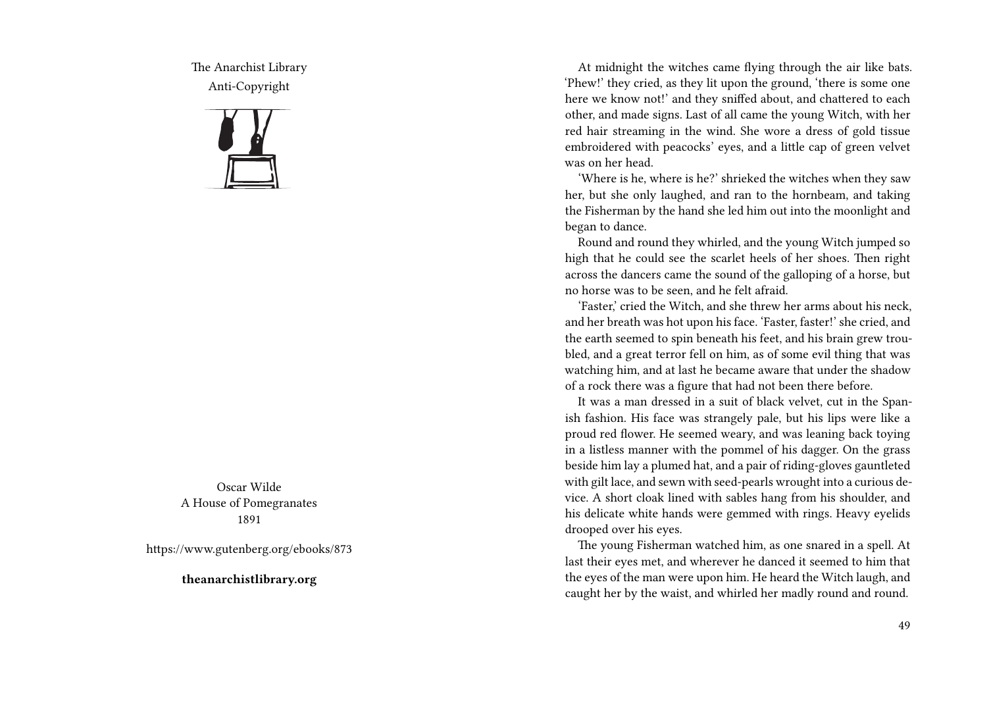The Anarchist Library Anti-Copyright



Oscar Wilde A House of Pomegranates 1891

https://www.gutenberg.org/ebooks/873

**theanarchistlibrary.org**

At midnight the witches came flying through the air like bats. 'Phew!' they cried, as they lit upon the ground, 'there is some one here we know not!' and they sniffed about, and chattered to each other, and made signs. Last of all came the young Witch, with her red hair streaming in the wind. She wore a dress of gold tissue embroidered with peacocks' eyes, and a little cap of green velvet was on her head.

'Where is he, where is he?' shrieked the witches when they saw her, but she only laughed, and ran to the hornbeam, and taking the Fisherman by the hand she led him out into the moonlight and began to dance.

Round and round they whirled, and the young Witch jumped so high that he could see the scarlet heels of her shoes. Then right across the dancers came the sound of the galloping of a horse, but no horse was to be seen, and he felt afraid.

'Faster,' cried the Witch, and she threw her arms about his neck, and her breath was hot upon his face. 'Faster, faster!' she cried, and the earth seemed to spin beneath his feet, and his brain grew troubled, and a great terror fell on him, as of some evil thing that was watching him, and at last he became aware that under the shadow of a rock there was a figure that had not been there before.

It was a man dressed in a suit of black velvet, cut in the Spanish fashion. His face was strangely pale, but his lips were like a proud red flower. He seemed weary, and was leaning back toying in a listless manner with the pommel of his dagger. On the grass beside him lay a plumed hat, and a pair of riding-gloves gauntleted with gilt lace, and sewn with seed-pearls wrought into a curious device. A short cloak lined with sables hang from his shoulder, and his delicate white hands were gemmed with rings. Heavy eyelids drooped over his eyes.

The young Fisherman watched him, as one snared in a spell. At last their eyes met, and wherever he danced it seemed to him that the eyes of the man were upon him. He heard the Witch laugh, and caught her by the waist, and whirled her madly round and round.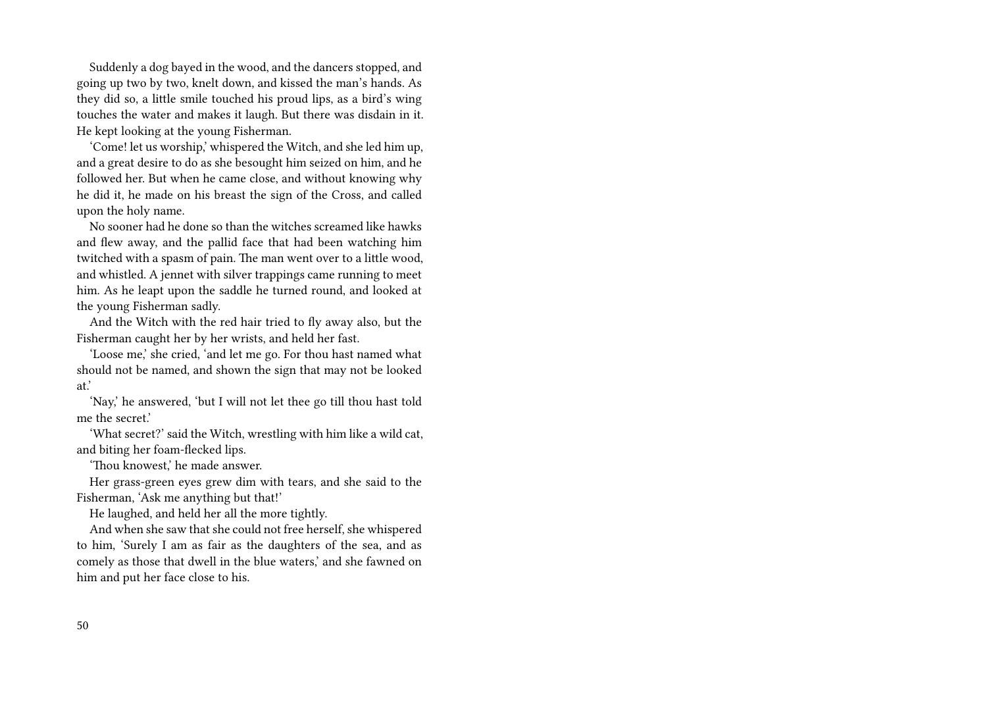Suddenly a dog bayed in the wood, and the dancers stopped, and going up two by two, knelt down, and kissed the man's hands. As they did so, a little smile touched his proud lips, as a bird's wing touches the water and makes it laugh. But there was disdain in it. He kept looking at the young Fisherman.

'Come! let us worship,' whispered the Witch, and she led him up, and a great desire to do as she besought him seized on him, and he followed her. But when he came close, and without knowing why he did it, he made on his breast the sign of the Cross, and called upon the holy name.

No sooner had he done so than the witches screamed like hawks and flew away, and the pallid face that had been watching him twitched with a spasm of pain. The man went over to a little wood, and whistled. A jennet with silver trappings came running to meet him. As he leapt upon the saddle he turned round, and looked at the young Fisherman sadly.

And the Witch with the red hair tried to fly away also, but the Fisherman caught her by her wrists, and held her fast.

'Loose me,' she cried, 'and let me go. For thou hast named what should not be named, and shown the sign that may not be looked at.'

'Nay,' he answered, 'but I will not let thee go till thou hast told me the secret'

'What secret?' said the Witch, wrestling with him like a wild cat, and biting her foam-flecked lips.

'Thou knowest,' he made answer.

Her grass-green eyes grew dim with tears, and she said to the Fisherman, 'Ask me anything but that!'

He laughed, and held her all the more tightly.

And when she saw that she could not free herself, she whispered to him, 'Surely I am as fair as the daughters of the sea, and as comely as those that dwell in the blue waters,' and she fawned on him and put her face close to his.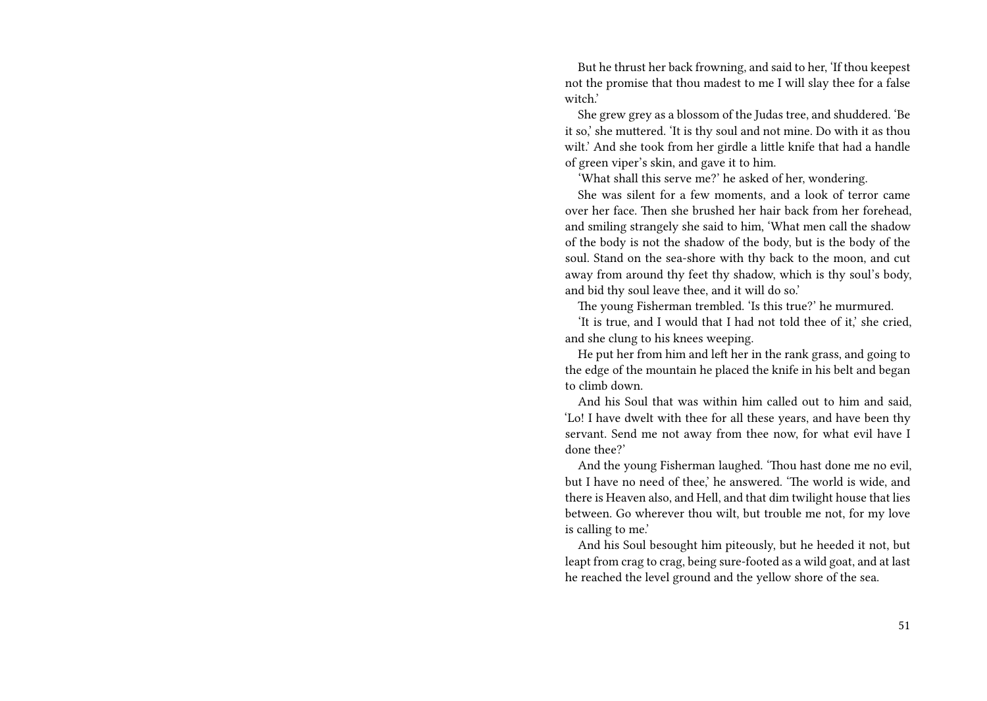But he thrust her back frowning, and said to her, 'If thou keepest not the promise that thou madest to me I will slay thee for a false witch.'

She grew grey as a blossom of the Judas tree, and shuddered. 'Be it so,' she muttered. 'It is thy soul and not mine. Do with it as thou wilt.' And she took from her girdle a little knife that had a handle of green viper's skin, and gave it to him.

'What shall this serve me?' he asked of her, wondering.

She was silent for a few moments, and a look of terror came over her face. Then she brushed her hair back from her forehead, and smiling strangely she said to him, 'What men call the shadow of the body is not the shadow of the body, but is the body of the soul. Stand on the sea-shore with thy back to the moon, and cut away from around thy feet thy shadow, which is thy soul's body, and bid thy soul leave thee, and it will do so.'

The young Fisherman trembled. 'Is this true?' he murmured.

'It is true, and I would that I had not told thee of it,' she cried, and she clung to his knees weeping.

He put her from him and left her in the rank grass, and going to the edge of the mountain he placed the knife in his belt and began to climb down.

And his Soul that was within him called out to him and said, 'Lo! I have dwelt with thee for all these years, and have been thy servant. Send me not away from thee now, for what evil have I done thee?'

And the young Fisherman laughed. 'Thou hast done me no evil, but I have no need of thee,' he answered. 'The world is wide, and there is Heaven also, and Hell, and that dim twilight house that lies between. Go wherever thou wilt, but trouble me not, for my love is calling to me.'

And his Soul besought him piteously, but he heeded it not, but leapt from crag to crag, being sure-footed as a wild goat, and at last he reached the level ground and the yellow shore of the sea.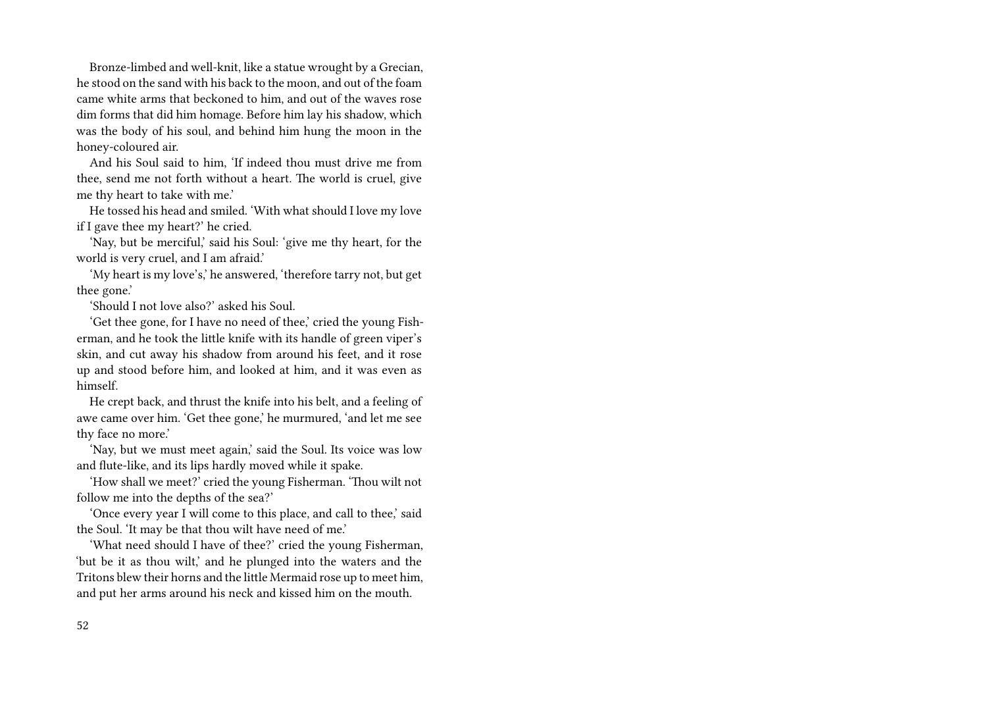Bronze-limbed and well-knit, like a statue wrought by a Grecian, he stood on the sand with his back to the moon, and out of the foam came white arms that beckoned to him, and out of the waves rose dim forms that did him homage. Before him lay his shadow, which was the body of his soul, and behind him hung the moon in the honey-coloured air.

And his Soul said to him, 'If indeed thou must drive me from thee, send me not forth without a heart. The world is cruel, give me thy heart to take with me.'

He tossed his head and smiled. 'With what should I love my love if I gave thee my heart?' he cried.

'Nay, but be merciful,' said his Soul: 'give me thy heart, for the world is very cruel, and I am afraid.'

'My heart is my love's,' he answered, 'therefore tarry not, but get thee gone.'

'Should I not love also?' asked his Soul.

'Get thee gone, for I have no need of thee,' cried the young Fisherman, and he took the little knife with its handle of green viper's skin, and cut away his shadow from around his feet, and it rose up and stood before him, and looked at him, and it was even as himself.

He crept back, and thrust the knife into his belt, and a feeling of awe came over him. 'Get thee gone,' he murmured, 'and let me see thy face no more.'

'Nay, but we must meet again,' said the Soul. Its voice was low and flute-like, and its lips hardly moved while it spake.

'How shall we meet?' cried the young Fisherman. 'Thou wilt not follow me into the depths of the sea?'

'Once every year I will come to this place, and call to thee,' said the Soul. 'It may be that thou wilt have need of me.'

'What need should I have of thee?' cried the young Fisherman, 'but be it as thou wilt,' and he plunged into the waters and the Tritons blew their horns and the little Mermaid rose up to meet him, and put her arms around his neck and kissed him on the mouth.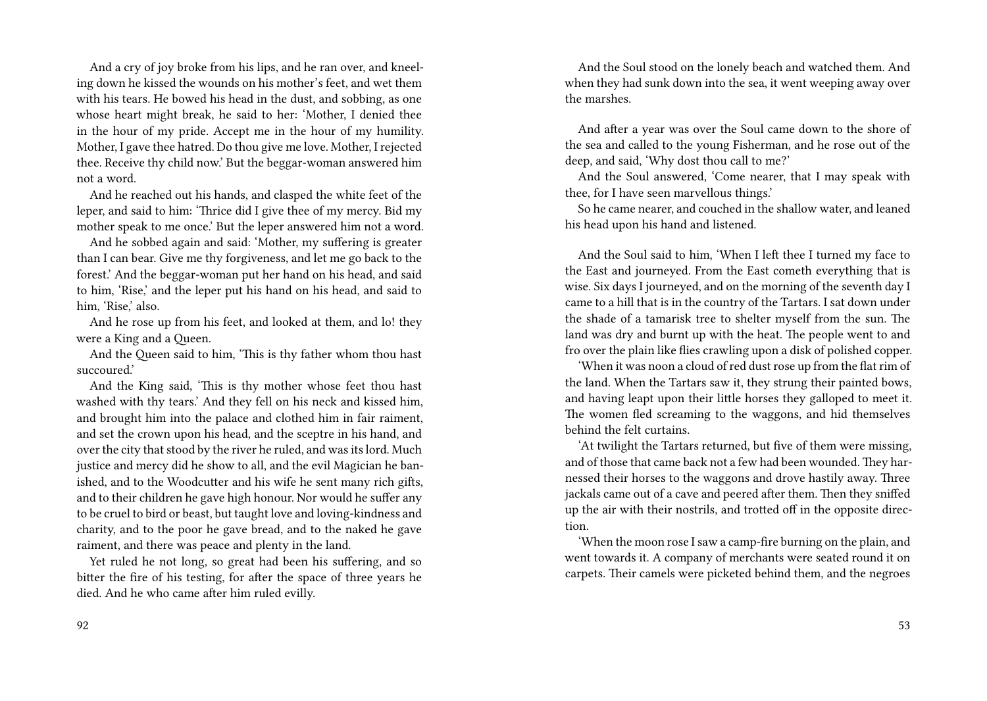And a cry of joy broke from his lips, and he ran over, and kneeling down he kissed the wounds on his mother's feet, and wet them with his tears. He bowed his head in the dust, and sobbing, as one whose heart might break, he said to her: 'Mother, I denied thee in the hour of my pride. Accept me in the hour of my humility. Mother, I gave thee hatred. Do thou give me love. Mother, I rejected thee. Receive thy child now.' But the beggar-woman answered him not a word.

And he reached out his hands, and clasped the white feet of the leper, and said to him: 'Thrice did I give thee of my mercy. Bid my mother speak to me once.' But the leper answered him not a word.

And he sobbed again and said: 'Mother, my suffering is greater than I can bear. Give me thy forgiveness, and let me go back to the forest.' And the beggar-woman put her hand on his head, and said to him, 'Rise,' and the leper put his hand on his head, and said to him, 'Rise,' also.

And he rose up from his feet, and looked at them, and lo! they were a King and a Queen.

And the Queen said to him, 'This is thy father whom thou hast succoured.'

And the King said, 'This is thy mother whose feet thou hast washed with thy tears.' And they fell on his neck and kissed him, and brought him into the palace and clothed him in fair raiment, and set the crown upon his head, and the sceptre in his hand, and over the city that stood by the river he ruled, and was its lord. Much justice and mercy did he show to all, and the evil Magician he banished, and to the Woodcutter and his wife he sent many rich gifts, and to their children he gave high honour. Nor would he suffer any to be cruel to bird or beast, but taught love and loving-kindness and charity, and to the poor he gave bread, and to the naked he gave raiment, and there was peace and plenty in the land.

Yet ruled he not long, so great had been his suffering, and so bitter the fire of his testing, for after the space of three years he died. And he who came after him ruled evilly.

And the Soul stood on the lonely beach and watched them. And when they had sunk down into the sea, it went weeping away over the marshes.

And after a year was over the Soul came down to the shore of the sea and called to the young Fisherman, and he rose out of the deep, and said, 'Why dost thou call to me?'

And the Soul answered, 'Come nearer, that I may speak with thee, for I have seen marvellous things.'

So he came nearer, and couched in the shallow water, and leaned his head upon his hand and listened.

And the Soul said to him, 'When I left thee I turned my face to the East and journeyed. From the East cometh everything that is wise. Six days I journeyed, and on the morning of the seventh day I came to a hill that is in the country of the Tartars. I sat down under the shade of a tamarisk tree to shelter myself from the sun. The land was dry and burnt up with the heat. The people went to and fro over the plain like flies crawling upon a disk of polished copper.

'When it was noon a cloud of red dust rose up from the flat rim of the land. When the Tartars saw it, they strung their painted bows, and having leapt upon their little horses they galloped to meet it. The women fled screaming to the waggons, and hid themselves behind the felt curtains.

'At twilight the Tartars returned, but five of them were missing, and of those that came back not a few had been wounded. They harnessed their horses to the waggons and drove hastily away. Three jackals came out of a cave and peered after them. Then they sniffed up the air with their nostrils, and trotted off in the opposite direction.

'When the moon rose I saw a camp-fire burning on the plain, and went towards it. A company of merchants were seated round it on carpets. Their camels were picketed behind them, and the negroes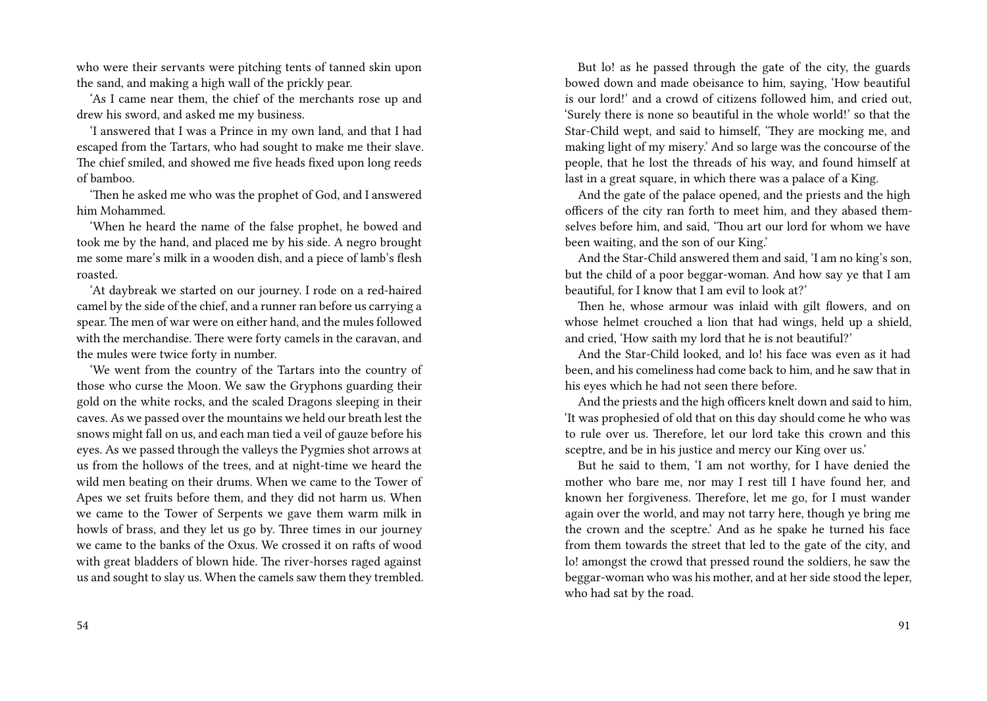who were their servants were pitching tents of tanned skin upon the sand, and making a high wall of the prickly pear.

'As I came near them, the chief of the merchants rose up and drew his sword, and asked me my business.

'I answered that I was a Prince in my own land, and that I had escaped from the Tartars, who had sought to make me their slave. The chief smiled, and showed me five heads fixed upon long reeds of bamboo.

'Then he asked me who was the prophet of God, and I answered him Mohammed.

'When he heard the name of the false prophet, he bowed and took me by the hand, and placed me by his side. A negro brought me some mare's milk in a wooden dish, and a piece of lamb's flesh roasted.

'At daybreak we started on our journey. I rode on a red-haired camel by the side of the chief, and a runner ran before us carrying a spear. The men of war were on either hand, and the mules followed with the merchandise. There were forty camels in the caravan, and the mules were twice forty in number.

'We went from the country of the Tartars into the country of those who curse the Moon. We saw the Gryphons guarding their gold on the white rocks, and the scaled Dragons sleeping in their caves. As we passed over the mountains we held our breath lest the snows might fall on us, and each man tied a veil of gauze before his eyes. As we passed through the valleys the Pygmies shot arrows at us from the hollows of the trees, and at night-time we heard the wild men beating on their drums. When we came to the Tower of Apes we set fruits before them, and they did not harm us. When we came to the Tower of Serpents we gave them warm milk in howls of brass, and they let us go by. Three times in our journey we came to the banks of the Oxus. We crossed it on rafts of wood with great bladders of blown hide. The river-horses raged against us and sought to slay us. When the camels saw them they trembled.

But lo! as he passed through the gate of the city, the guards bowed down and made obeisance to him, saying, 'How beautiful is our lord!' and a crowd of citizens followed him, and cried out, 'Surely there is none so beautiful in the whole world!' so that the Star-Child wept, and said to himself, 'They are mocking me, and making light of my misery.' And so large was the concourse of the people, that he lost the threads of his way, and found himself at last in a great square, in which there was a palace of a King.

And the gate of the palace opened, and the priests and the high officers of the city ran forth to meet him, and they abased themselves before him, and said, 'Thou art our lord for whom we have been waiting, and the son of our King.'

And the Star-Child answered them and said, 'I am no king's son, but the child of a poor beggar-woman. And how say ye that I am beautiful, for I know that I am evil to look at?'

Then he, whose armour was inlaid with gilt flowers, and on whose helmet crouched a lion that had wings, held up a shield, and cried, 'How saith my lord that he is not beautiful?'

And the Star-Child looked, and lo! his face was even as it had been, and his comeliness had come back to him, and he saw that in his eyes which he had not seen there before.

And the priests and the high officers knelt down and said to him, 'It was prophesied of old that on this day should come he who was to rule over us. Therefore, let our lord take this crown and this sceptre, and be in his justice and mercy our King over us.'

But he said to them, 'I am not worthy, for I have denied the mother who bare me, nor may I rest till I have found her, and known her forgiveness. Therefore, let me go, for I must wander again over the world, and may not tarry here, though ye bring me the crown and the sceptre.' And as he spake he turned his face from them towards the street that led to the gate of the city, and lo! amongst the crowd that pressed round the soldiers, he saw the beggar-woman who was his mother, and at her side stood the leper, who had sat by the road.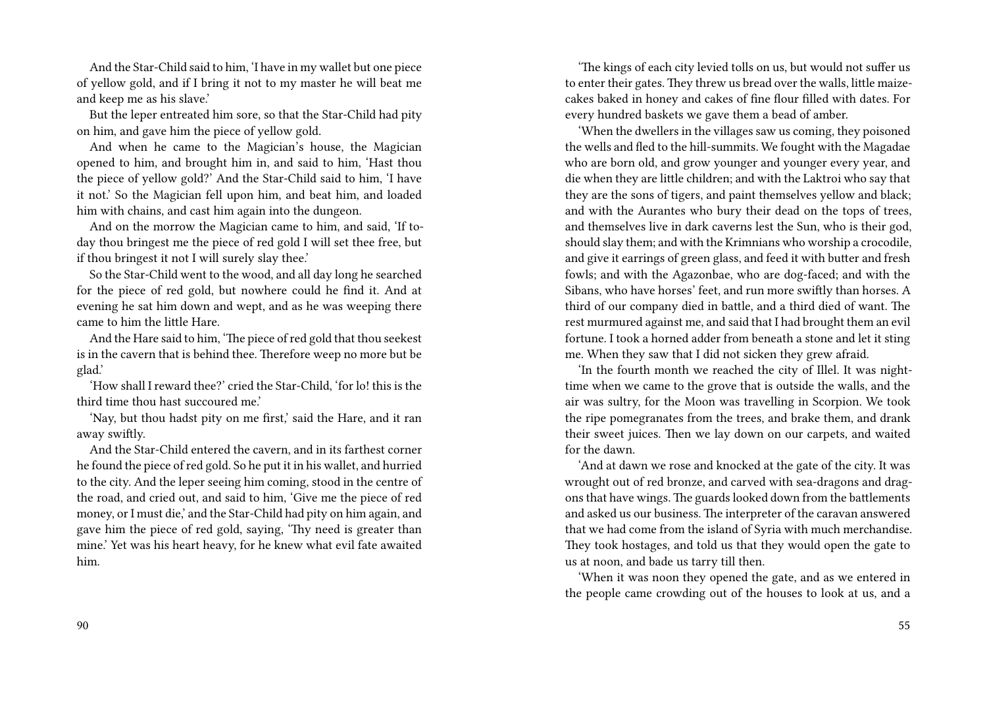And the Star-Child said to him, 'I have in my wallet but one piece of yellow gold, and if I bring it not to my master he will beat me and keep me as his slave.'

But the leper entreated him sore, so that the Star-Child had pity on him, and gave him the piece of yellow gold.

And when he came to the Magician's house, the Magician opened to him, and brought him in, and said to him, 'Hast thou the piece of yellow gold?' And the Star-Child said to him, 'I have it not.' So the Magician fell upon him, and beat him, and loaded him with chains, and cast him again into the dungeon.

And on the morrow the Magician came to him, and said, 'If today thou bringest me the piece of red gold I will set thee free, but if thou bringest it not I will surely slay thee.'

So the Star-Child went to the wood, and all day long he searched for the piece of red gold, but nowhere could he find it. And at evening he sat him down and wept, and as he was weeping there came to him the little Hare.

And the Hare said to him, 'The piece of red gold that thou seekest is in the cavern that is behind thee. Therefore weep no more but be glad.'

'How shall I reward thee?' cried the Star-Child, 'for lo! this is the third time thou hast succoured me.'

'Nay, but thou hadst pity on me first,' said the Hare, and it ran away swiftly.

And the Star-Child entered the cavern, and in its farthest corner he found the piece of red gold. So he put it in his wallet, and hurried to the city. And the leper seeing him coming, stood in the centre of the road, and cried out, and said to him, 'Give me the piece of red money, or I must die,' and the Star-Child had pity on him again, and gave him the piece of red gold, saying, 'Thy need is greater than mine.' Yet was his heart heavy, for he knew what evil fate awaited him.

'The kings of each city levied tolls on us, but would not suffer us to enter their gates. They threw us bread over the walls, little maizecakes baked in honey and cakes of fine flour filled with dates. For every hundred baskets we gave them a bead of amber.

'When the dwellers in the villages saw us coming, they poisoned the wells and fled to the hill-summits. We fought with the Magadae who are born old, and grow younger and younger every year, and die when they are little children; and with the Laktroi who say that they are the sons of tigers, and paint themselves yellow and black; and with the Aurantes who bury their dead on the tops of trees, and themselves live in dark caverns lest the Sun, who is their god, should slay them; and with the Krimnians who worship a crocodile, and give it earrings of green glass, and feed it with butter and fresh fowls; and with the Agazonbae, who are dog-faced; and with the Sibans, who have horses' feet, and run more swiftly than horses. A third of our company died in battle, and a third died of want. The rest murmured against me, and said that I had brought them an evil fortune. I took a horned adder from beneath a stone and let it sting me. When they saw that I did not sicken they grew afraid.

'In the fourth month we reached the city of Illel. It was nighttime when we came to the grove that is outside the walls, and the air was sultry, for the Moon was travelling in Scorpion. We took the ripe pomegranates from the trees, and brake them, and drank their sweet juices. Then we lay down on our carpets, and waited for the dawn.

'And at dawn we rose and knocked at the gate of the city. It was wrought out of red bronze, and carved with sea-dragons and dragons that have wings. The guards looked down from the battlements and asked us our business. The interpreter of the caravan answered that we had come from the island of Syria with much merchandise. They took hostages, and told us that they would open the gate to us at noon, and bade us tarry till then.

'When it was noon they opened the gate, and as we entered in the people came crowding out of the houses to look at us, and a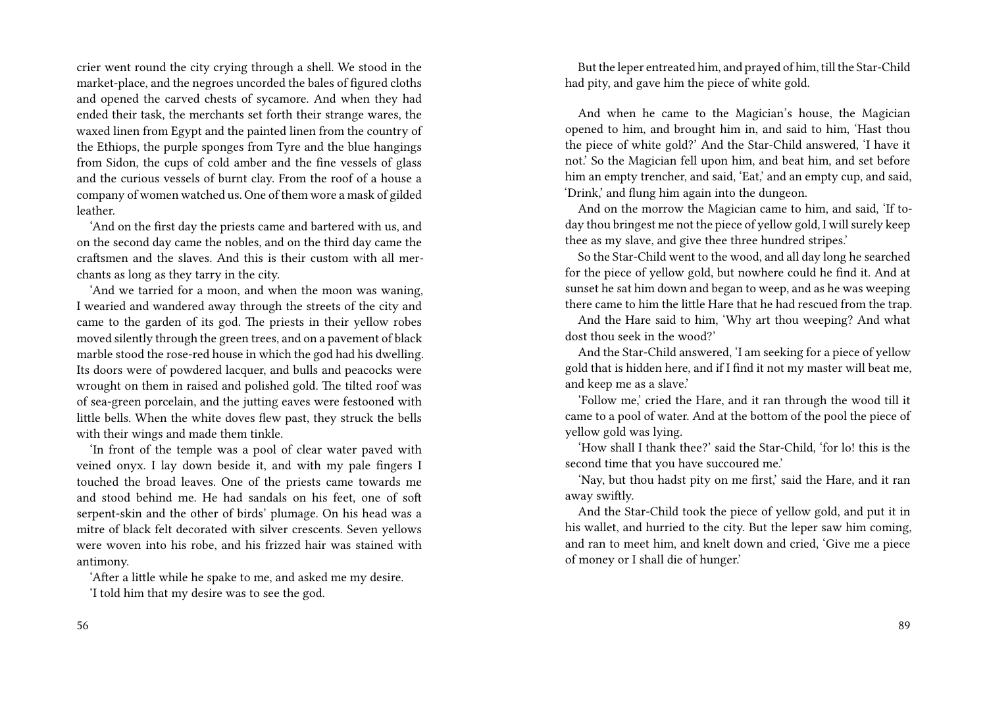crier went round the city crying through a shell. We stood in the market-place, and the negroes uncorded the bales of figured cloths and opened the carved chests of sycamore. And when they had ended their task, the merchants set forth their strange wares, the waxed linen from Egypt and the painted linen from the country of the Ethiops, the purple sponges from Tyre and the blue hangings from Sidon, the cups of cold amber and the fine vessels of glass and the curious vessels of burnt clay. From the roof of a house a company of women watched us. One of them wore a mask of gilded leather.

'And on the first day the priests came and bartered with us, and on the second day came the nobles, and on the third day came the craftsmen and the slaves. And this is their custom with all merchants as long as they tarry in the city.

'And we tarried for a moon, and when the moon was waning, I wearied and wandered away through the streets of the city and came to the garden of its god. The priests in their yellow robes moved silently through the green trees, and on a pavement of black marble stood the rose-red house in which the god had his dwelling. Its doors were of powdered lacquer, and bulls and peacocks were wrought on them in raised and polished gold. The tilted roof was of sea-green porcelain, and the jutting eaves were festooned with little bells. When the white doves flew past, they struck the bells with their wings and made them tinkle.

'In front of the temple was a pool of clear water paved with veined onyx. I lay down beside it, and with my pale fingers I touched the broad leaves. One of the priests came towards me and stood behind me. He had sandals on his feet, one of soft serpent-skin and the other of birds' plumage. On his head was a mitre of black felt decorated with silver crescents. Seven yellows were woven into his robe, and his frizzed hair was stained with antimony.

'After a little while he spake to me, and asked me my desire.

'I told him that my desire was to see the god.

But the leper entreated him, and prayed of him, till the Star-Child had pity, and gave him the piece of white gold.

And when he came to the Magician's house, the Magician opened to him, and brought him in, and said to him, 'Hast thou the piece of white gold?' And the Star-Child answered, 'I have it not.' So the Magician fell upon him, and beat him, and set before him an empty trencher, and said, 'Eat,' and an empty cup, and said, 'Drink,' and flung him again into the dungeon.

And on the morrow the Magician came to him, and said, 'If today thou bringest me not the piece of yellow gold, I will surely keep thee as my slave, and give thee three hundred stripes.'

So the Star-Child went to the wood, and all day long he searched for the piece of yellow gold, but nowhere could he find it. And at sunset he sat him down and began to weep, and as he was weeping there came to him the little Hare that he had rescued from the trap.

And the Hare said to him, 'Why art thou weeping? And what dost thou seek in the wood?'

And the Star-Child answered, 'I am seeking for a piece of yellow gold that is hidden here, and if I find it not my master will beat me, and keep me as a slave.'

'Follow me,' cried the Hare, and it ran through the wood till it came to a pool of water. And at the bottom of the pool the piece of yellow gold was lying.

'How shall I thank thee?' said the Star-Child, 'for lo! this is the second time that you have succoured me.'

'Nay, but thou hadst pity on me first,' said the Hare, and it ran away swiftly.

And the Star-Child took the piece of yellow gold, and put it in his wallet, and hurried to the city. But the leper saw him coming, and ran to meet him, and knelt down and cried, 'Give me a piece of money or I shall die of hunger.'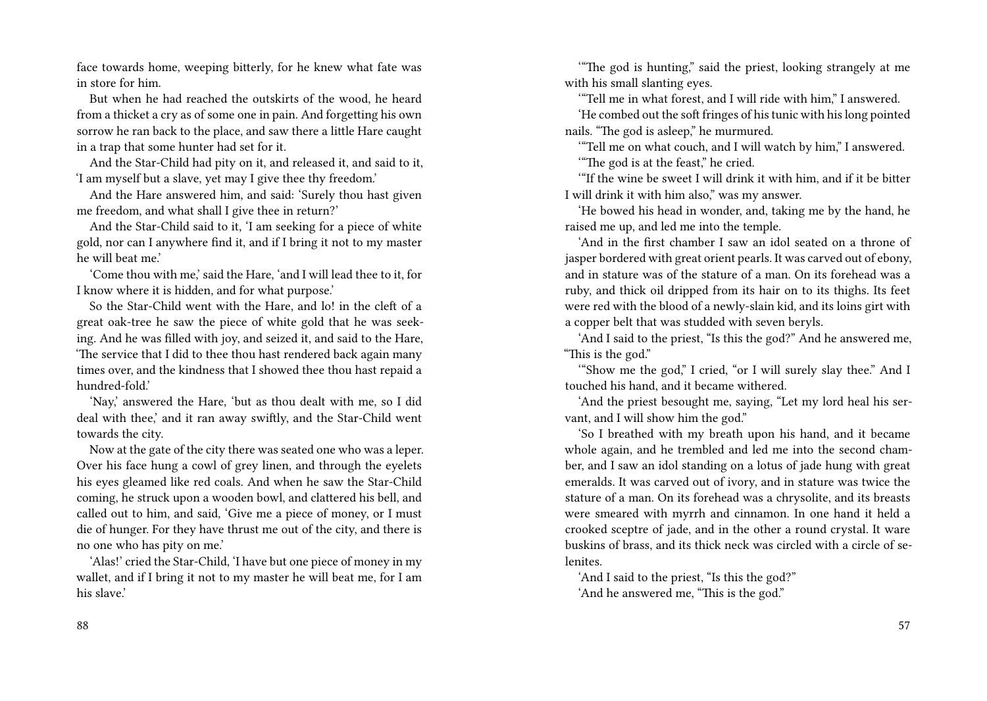face towards home, weeping bitterly, for he knew what fate was in store for him.

But when he had reached the outskirts of the wood, he heard from a thicket a cry as of some one in pain. And forgetting his own sorrow he ran back to the place, and saw there a little Hare caught in a trap that some hunter had set for it.

And the Star-Child had pity on it, and released it, and said to it, 'I am myself but a slave, yet may I give thee thy freedom.'

And the Hare answered him, and said: 'Surely thou hast given me freedom, and what shall I give thee in return?'

And the Star-Child said to it, 'I am seeking for a piece of white gold, nor can I anywhere find it, and if I bring it not to my master he will beat me.'

'Come thou with me,' said the Hare, 'and I will lead thee to it, for I know where it is hidden, and for what purpose.'

So the Star-Child went with the Hare, and lo! in the cleft of a great oak-tree he saw the piece of white gold that he was seeking. And he was filled with joy, and seized it, and said to the Hare, 'The service that I did to thee thou hast rendered back again many times over, and the kindness that I showed thee thou hast repaid a hundred-fold.'

'Nay,' answered the Hare, 'but as thou dealt with me, so I did deal with thee,' and it ran away swiftly, and the Star-Child went towards the city.

Now at the gate of the city there was seated one who was a leper. Over his face hung a cowl of grey linen, and through the eyelets his eyes gleamed like red coals. And when he saw the Star-Child coming, he struck upon a wooden bowl, and clattered his bell, and called out to him, and said, 'Give me a piece of money, or I must die of hunger. For they have thrust me out of the city, and there is no one who has pity on me.'

'Alas!' cried the Star-Child, 'I have but one piece of money in my wallet, and if I bring it not to my master he will beat me, for I am his slave.'

'"The god is hunting," said the priest, looking strangely at me with his small slanting eyes.

'"Tell me in what forest, and I will ride with him," I answered. 'He combed out the soft fringes of his tunic with his long pointed nails. "The god is asleep," he murmured.

'"Tell me on what couch, and I will watch by him," I answered. '"The god is at the feast," he cried.

'"If the wine be sweet I will drink it with him, and if it be bitter I will drink it with him also," was my answer.

'He bowed his head in wonder, and, taking me by the hand, he raised me up, and led me into the temple.

'And in the first chamber I saw an idol seated on a throne of jasper bordered with great orient pearls. It was carved out of ebony, and in stature was of the stature of a man. On its forehead was a ruby, and thick oil dripped from its hair on to its thighs. Its feet were red with the blood of a newly-slain kid, and its loins girt with a copper belt that was studded with seven beryls.

'And I said to the priest, "Is this the god?" And he answered me, "This is the god."

'"Show me the god," I cried, "or I will surely slay thee." And I touched his hand, and it became withered.

'And the priest besought me, saying, "Let my lord heal his servant, and I will show him the god."

'So I breathed with my breath upon his hand, and it became whole again, and he trembled and led me into the second chamber, and I saw an idol standing on a lotus of jade hung with great emeralds. It was carved out of ivory, and in stature was twice the stature of a man. On its forehead was a chrysolite, and its breasts were smeared with myrrh and cinnamon. In one hand it held a crooked sceptre of jade, and in the other a round crystal. It ware buskins of brass, and its thick neck was circled with a circle of selenites.

'And I said to the priest, "Is this the god?" 'And he answered me, "This is the god."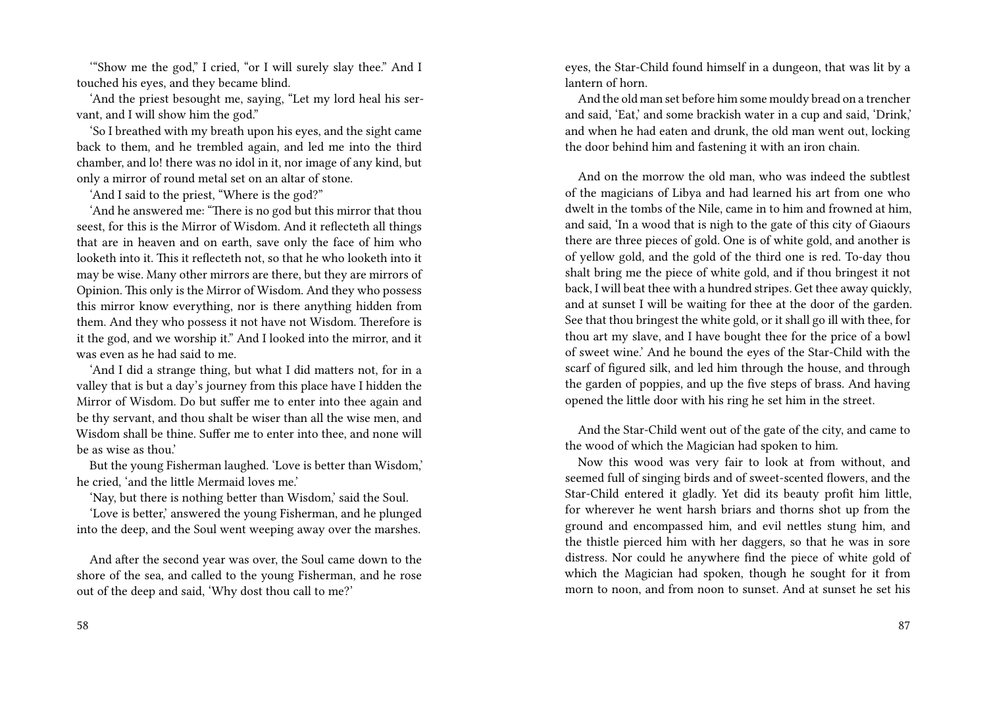'"Show me the god," I cried, "or I will surely slay thee." And I touched his eyes, and they became blind.

'And the priest besought me, saying, "Let my lord heal his servant, and I will show him the god."

'So I breathed with my breath upon his eyes, and the sight came back to them, and he trembled again, and led me into the third chamber, and lo! there was no idol in it, nor image of any kind, but only a mirror of round metal set on an altar of stone.

'And I said to the priest, "Where is the god?"

'And he answered me: "There is no god but this mirror that thou seest, for this is the Mirror of Wisdom. And it reflecteth all things that are in heaven and on earth, save only the face of him who looketh into it. This it reflecteth not, so that he who looketh into it may be wise. Many other mirrors are there, but they are mirrors of Opinion. This only is the Mirror of Wisdom. And they who possess this mirror know everything, nor is there anything hidden from them. And they who possess it not have not Wisdom. Therefore is it the god, and we worship it." And I looked into the mirror, and it was even as he had said to me.

'And I did a strange thing, but what I did matters not, for in a valley that is but a day's journey from this place have I hidden the Mirror of Wisdom. Do but suffer me to enter into thee again and be thy servant, and thou shalt be wiser than all the wise men, and Wisdom shall be thine. Suffer me to enter into thee, and none will be as wise as thou.'

But the young Fisherman laughed. 'Love is better than Wisdom,' he cried, 'and the little Mermaid loves me.'

'Nay, but there is nothing better than Wisdom,' said the Soul.

'Love is better,' answered the young Fisherman, and he plunged into the deep, and the Soul went weeping away over the marshes.

And after the second year was over, the Soul came down to the shore of the sea, and called to the young Fisherman, and he rose out of the deep and said, 'Why dost thou call to me?'

eyes, the Star-Child found himself in a dungeon, that was lit by a lantern of horn.

And the old man set before him some mouldy bread on a trencher and said, 'Eat,' and some brackish water in a cup and said, 'Drink,' and when he had eaten and drunk, the old man went out, locking the door behind him and fastening it with an iron chain.

And on the morrow the old man, who was indeed the subtlest of the magicians of Libya and had learned his art from one who dwelt in the tombs of the Nile, came in to him and frowned at him, and said, 'In a wood that is nigh to the gate of this city of Giaours there are three pieces of gold. One is of white gold, and another is of yellow gold, and the gold of the third one is red. To-day thou shalt bring me the piece of white gold, and if thou bringest it not back, I will beat thee with a hundred stripes. Get thee away quickly, and at sunset I will be waiting for thee at the door of the garden. See that thou bringest the white gold, or it shall go ill with thee, for thou art my slave, and I have bought thee for the price of a bowl of sweet wine.' And he bound the eyes of the Star-Child with the scarf of figured silk, and led him through the house, and through the garden of poppies, and up the five steps of brass. And having opened the little door with his ring he set him in the street.

And the Star-Child went out of the gate of the city, and came to the wood of which the Magician had spoken to him.

Now this wood was very fair to look at from without, and seemed full of singing birds and of sweet-scented flowers, and the Star-Child entered it gladly. Yet did its beauty profit him little, for wherever he went harsh briars and thorns shot up from the ground and encompassed him, and evil nettles stung him, and the thistle pierced him with her daggers, so that he was in sore distress. Nor could he anywhere find the piece of white gold of which the Magician had spoken, though he sought for it from morn to noon, and from noon to sunset. And at sunset he set his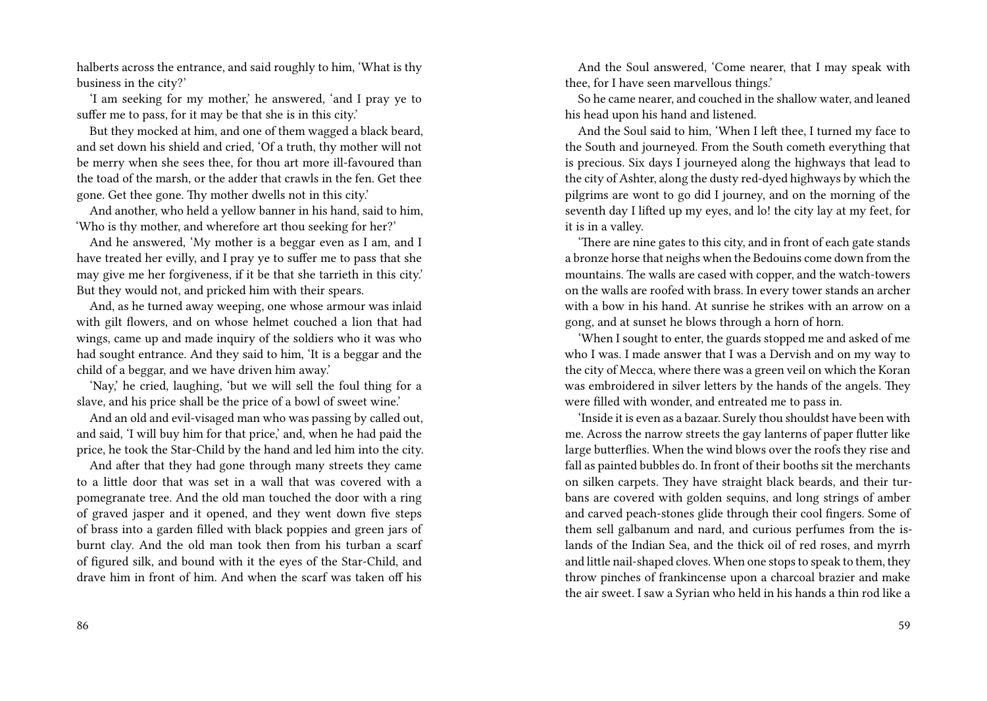halberts across the entrance, and said roughly to him, 'What is thy business in the city?'

'I am seeking for my mother,' he answered, 'and I pray ye to suffer me to pass, for it may be that she is in this city.'

But they mocked at him, and one of them wagged a black beard, and set down his shield and cried, 'Of a truth, thy mother will not be merry when she sees thee, for thou art more ill-favoured than the toad of the marsh, or the adder that crawls in the fen. Get thee gone. Get thee gone. Thy mother dwells not in this city.'

And another, who held a yellow banner in his hand, said to him, 'Who is thy mother, and wherefore art thou seeking for her?'

And he answered, 'My mother is a beggar even as I am, and I have treated her evilly, and I pray ye to suffer me to pass that she may give me her forgiveness, if it be that she tarrieth in this city.' But they would not, and pricked him with their spears.

And, as he turned away weeping, one whose armour was inlaid with gilt flowers, and on whose helmet couched a lion that had wings, came up and made inquiry of the soldiers who it was who had sought entrance. And they said to him, 'It is a beggar and the child of a beggar, and we have driven him away.'

'Nay,' he cried, laughing, 'but we will sell the foul thing for a slave, and his price shall be the price of a bowl of sweet wine.'

And an old and evil-visaged man who was passing by called out, and said, 'I will buy him for that price,' and, when he had paid the price, he took the Star-Child by the hand and led him into the city.

And after that they had gone through many streets they came to a little door that was set in a wall that was covered with a pomegranate tree. And the old man touched the door with a ring of graved jasper and it opened, and they went down five steps of brass into a garden filled with black poppies and green jars of burnt clay. And the old man took then from his turban a scarf of figured silk, and bound with it the eyes of the Star-Child, and drave him in front of him. And when the scarf was taken off his

And the Soul answered, 'Come nearer, that I may speak with thee, for I have seen marvellous things.'

So he came nearer, and couched in the shallow water, and leaned his head upon his hand and listened.

And the Soul said to him, 'When I left thee, I turned my face to the South and journeyed. From the South cometh everything that is precious. Six days I journeyed along the highways that lead to the city of Ashter, along the dusty red-dyed highways by which the pilgrims are wont to go did I journey, and on the morning of the seventh day I lifted up my eyes, and lo! the city lay at my feet, for it is in a valley.

'There are nine gates to this city, and in front of each gate stands a bronze horse that neighs when the Bedouins come down from the mountains. The walls are cased with copper, and the watch-towers on the walls are roofed with brass. In every tower stands an archer with a bow in his hand. At sunrise he strikes with an arrow on a gong, and at sunset he blows through a horn of horn.

'When I sought to enter, the guards stopped me and asked of me who I was. I made answer that I was a Dervish and on my way to the city of Mecca, where there was a green veil on which the Koran was embroidered in silver letters by the hands of the angels. They were filled with wonder, and entreated me to pass in.

'Inside it is even as a bazaar. Surely thou shouldst have been with me. Across the narrow streets the gay lanterns of paper flutter like large butterflies. When the wind blows over the roofs they rise and fall as painted bubbles do. In front of their booths sit the merchants on silken carpets. They have straight black beards, and their turbans are covered with golden sequins, and long strings of amber and carved peach-stones glide through their cool fingers. Some of them sell galbanum and nard, and curious perfumes from the islands of the Indian Sea, and the thick oil of red roses, and myrrh and little nail-shaped cloves. When one stops to speak to them, they throw pinches of frankincense upon a charcoal brazier and make the air sweet. I saw a Syrian who held in his hands a thin rod like a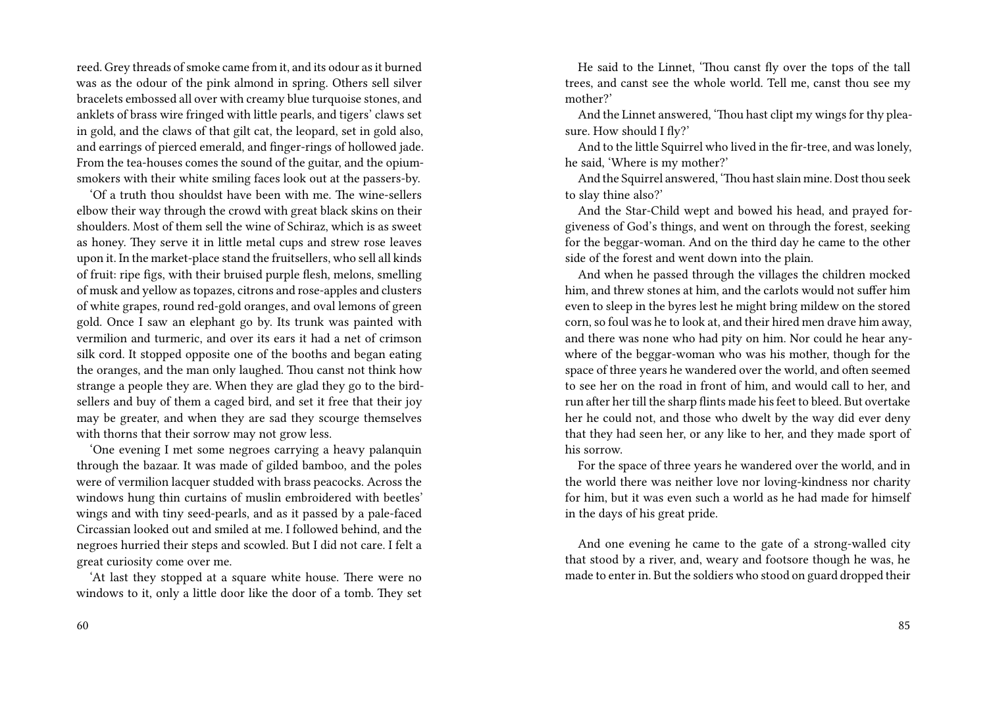reed. Grey threads of smoke came from it, and its odour as it burned was as the odour of the pink almond in spring. Others sell silver bracelets embossed all over with creamy blue turquoise stones, and anklets of brass wire fringed with little pearls, and tigers' claws set in gold, and the claws of that gilt cat, the leopard, set in gold also, and earrings of pierced emerald, and finger-rings of hollowed jade. From the tea-houses comes the sound of the guitar, and the opiumsmokers with their white smiling faces look out at the passers-by.

'Of a truth thou shouldst have been with me. The wine-sellers elbow their way through the crowd with great black skins on their shoulders. Most of them sell the wine of Schiraz, which is as sweet as honey. They serve it in little metal cups and strew rose leaves upon it. In the market-place stand the fruitsellers, who sell all kinds of fruit: ripe figs, with their bruised purple flesh, melons, smelling of musk and yellow as topazes, citrons and rose-apples and clusters of white grapes, round red-gold oranges, and oval lemons of green gold. Once I saw an elephant go by. Its trunk was painted with vermilion and turmeric, and over its ears it had a net of crimson silk cord. It stopped opposite one of the booths and began eating the oranges, and the man only laughed. Thou canst not think how strange a people they are. When they are glad they go to the birdsellers and buy of them a caged bird, and set it free that their joy may be greater, and when they are sad they scourge themselves with thorns that their sorrow may not grow less.

'One evening I met some negroes carrying a heavy palanquin through the bazaar. It was made of gilded bamboo, and the poles were of vermilion lacquer studded with brass peacocks. Across the windows hung thin curtains of muslin embroidered with beetles' wings and with tiny seed-pearls, and as it passed by a pale-faced Circassian looked out and smiled at me. I followed behind, and the negroes hurried their steps and scowled. But I did not care. I felt a great curiosity come over me.

'At last they stopped at a square white house. There were no windows to it, only a little door like the door of a tomb. They set

He said to the Linnet, 'Thou canst fly over the tops of the tall trees, and canst see the whole world. Tell me, canst thou see my mother?'

And the Linnet answered, 'Thou hast clipt my wings for thy pleasure. How should I fly?'

And to the little Squirrel who lived in the fir-tree, and was lonely, he said, 'Where is my mother?'

And the Squirrel answered, 'Thou hast slain mine. Dost thou seek to slay thine also?'

And the Star-Child wept and bowed his head, and prayed forgiveness of God's things, and went on through the forest, seeking for the beggar-woman. And on the third day he came to the other side of the forest and went down into the plain.

And when he passed through the villages the children mocked him, and threw stones at him, and the carlots would not suffer him even to sleep in the byres lest he might bring mildew on the stored corn, so foul was he to look at, and their hired men drave him away, and there was none who had pity on him. Nor could he hear anywhere of the beggar-woman who was his mother, though for the space of three years he wandered over the world, and often seemed to see her on the road in front of him, and would call to her, and run after her till the sharp flints made his feet to bleed. But overtake her he could not, and those who dwelt by the way did ever deny that they had seen her, or any like to her, and they made sport of his sorrow.

For the space of three years he wandered over the world, and in the world there was neither love nor loving-kindness nor charity for him, but it was even such a world as he had made for himself in the days of his great pride.

And one evening he came to the gate of a strong-walled city that stood by a river, and, weary and footsore though he was, he made to enter in. But the soldiers who stood on guard dropped their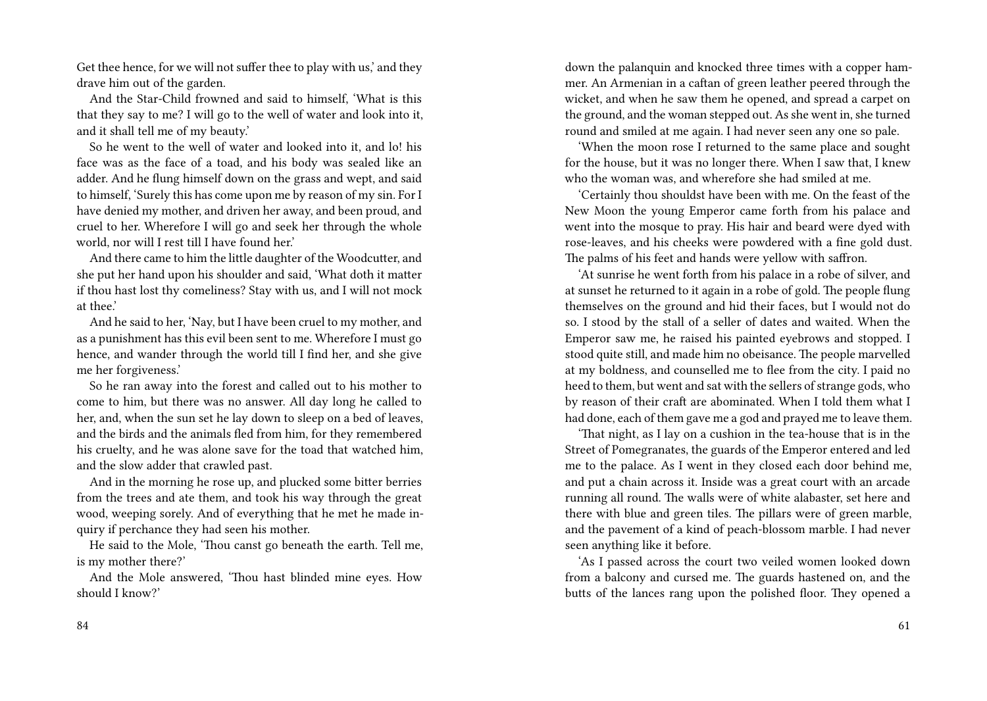Get thee hence, for we will not suffer thee to play with us,' and they drave him out of the garden.

And the Star-Child frowned and said to himself, 'What is this that they say to me? I will go to the well of water and look into it, and it shall tell me of my beauty.'

So he went to the well of water and looked into it, and lo! his face was as the face of a toad, and his body was sealed like an adder. And he flung himself down on the grass and wept, and said to himself, 'Surely this has come upon me by reason of my sin. For I have denied my mother, and driven her away, and been proud, and cruel to her. Wherefore I will go and seek her through the whole world, nor will I rest till I have found her.'

And there came to him the little daughter of the Woodcutter, and she put her hand upon his shoulder and said, 'What doth it matter if thou hast lost thy comeliness? Stay with us, and I will not mock at thee.'

And he said to her, 'Nay, but I have been cruel to my mother, and as a punishment has this evil been sent to me. Wherefore I must go hence, and wander through the world till I find her, and she give me her forgiveness.'

So he ran away into the forest and called out to his mother to come to him, but there was no answer. All day long he called to her, and, when the sun set he lay down to sleep on a bed of leaves, and the birds and the animals fled from him, for they remembered his cruelty, and he was alone save for the toad that watched him, and the slow adder that crawled past.

And in the morning he rose up, and plucked some bitter berries from the trees and ate them, and took his way through the great wood, weeping sorely. And of everything that he met he made inquiry if perchance they had seen his mother.

He said to the Mole, 'Thou canst go beneath the earth. Tell me, is my mother there?'

And the Mole answered, 'Thou hast blinded mine eyes. How should I know?'

down the palanquin and knocked three times with a copper hammer. An Armenian in a caftan of green leather peered through the wicket, and when he saw them he opened, and spread a carpet on the ground, and the woman stepped out. As she went in, she turned round and smiled at me again. I had never seen any one so pale.

'When the moon rose I returned to the same place and sought for the house, but it was no longer there. When I saw that, I knew who the woman was, and wherefore she had smiled at me.

'Certainly thou shouldst have been with me. On the feast of the New Moon the young Emperor came forth from his palace and went into the mosque to pray. His hair and beard were dyed with rose-leaves, and his cheeks were powdered with a fine gold dust. The palms of his feet and hands were yellow with saffron.

'At sunrise he went forth from his palace in a robe of silver, and at sunset he returned to it again in a robe of gold. The people flung themselves on the ground and hid their faces, but I would not do so. I stood by the stall of a seller of dates and waited. When the Emperor saw me, he raised his painted eyebrows and stopped. I stood quite still, and made him no obeisance. The people marvelled at my boldness, and counselled me to flee from the city. I paid no heed to them, but went and sat with the sellers of strange gods, who by reason of their craft are abominated. When I told them what I had done, each of them gave me a god and prayed me to leave them.

'That night, as I lay on a cushion in the tea-house that is in the Street of Pomegranates, the guards of the Emperor entered and led me to the palace. As I went in they closed each door behind me, and put a chain across it. Inside was a great court with an arcade running all round. The walls were of white alabaster, set here and there with blue and green tiles. The pillars were of green marble, and the pavement of a kind of peach-blossom marble. I had never seen anything like it before.

'As I passed across the court two veiled women looked down from a balcony and cursed me. The guards hastened on, and the butts of the lances rang upon the polished floor. They opened a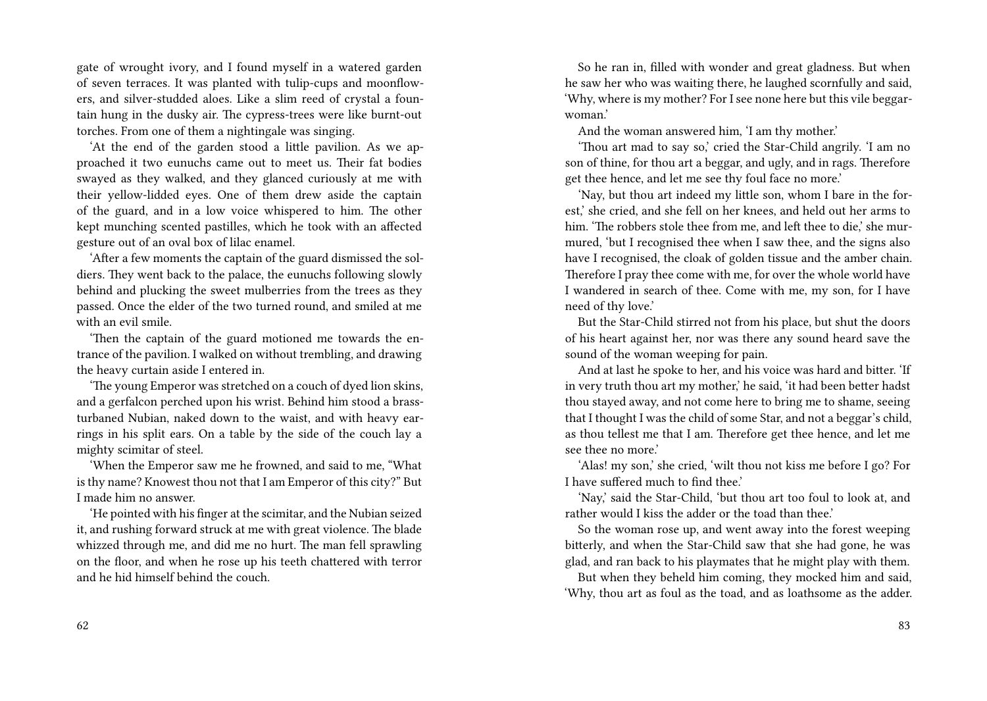gate of wrought ivory, and I found myself in a watered garden of seven terraces. It was planted with tulip-cups and moonflowers, and silver-studded aloes. Like a slim reed of crystal a fountain hung in the dusky air. The cypress-trees were like burnt-out torches. From one of them a nightingale was singing.

'At the end of the garden stood a little pavilion. As we approached it two eunuchs came out to meet us. Their fat bodies swayed as they walked, and they glanced curiously at me with their yellow-lidded eyes. One of them drew aside the captain of the guard, and in a low voice whispered to him. The other kept munching scented pastilles, which he took with an affected gesture out of an oval box of lilac enamel.

'After a few moments the captain of the guard dismissed the soldiers. They went back to the palace, the eunuchs following slowly behind and plucking the sweet mulberries from the trees as they passed. Once the elder of the two turned round, and smiled at me with an evil smile.

'Then the captain of the guard motioned me towards the entrance of the pavilion. I walked on without trembling, and drawing the heavy curtain aside I entered in.

'The young Emperor was stretched on a couch of dyed lion skins, and a gerfalcon perched upon his wrist. Behind him stood a brassturbaned Nubian, naked down to the waist, and with heavy earrings in his split ears. On a table by the side of the couch lay a mighty scimitar of steel.

'When the Emperor saw me he frowned, and said to me, "What is thy name? Knowest thou not that I am Emperor of this city?" But I made him no answer.

'He pointed with his finger at the scimitar, and the Nubian seized it, and rushing forward struck at me with great violence. The blade whizzed through me, and did me no hurt. The man fell sprawling on the floor, and when he rose up his teeth chattered with terror and he hid himself behind the couch.

So he ran in, filled with wonder and great gladness. But when he saw her who was waiting there, he laughed scornfully and said, 'Why, where is my mother? For I see none here but this vile beggarwoman.'

And the woman answered him, 'I am thy mother.'

'Thou art mad to say so,' cried the Star-Child angrily. 'I am no son of thine, for thou art a beggar, and ugly, and in rags. Therefore get thee hence, and let me see thy foul face no more.'

'Nay, but thou art indeed my little son, whom I bare in the forest,' she cried, and she fell on her knees, and held out her arms to him. 'The robbers stole thee from me, and left thee to die,' she murmured, 'but I recognised thee when I saw thee, and the signs also have I recognised, the cloak of golden tissue and the amber chain. Therefore I pray thee come with me, for over the whole world have I wandered in search of thee. Come with me, my son, for I have need of thy love.'

But the Star-Child stirred not from his place, but shut the doors of his heart against her, nor was there any sound heard save the sound of the woman weeping for pain.

And at last he spoke to her, and his voice was hard and bitter. 'If in very truth thou art my mother,' he said, 'it had been better hadst thou stayed away, and not come here to bring me to shame, seeing that I thought I was the child of some Star, and not a beggar's child, as thou tellest me that I am. Therefore get thee hence, and let me see thee no more.'

'Alas! my son,' she cried, 'wilt thou not kiss me before I go? For I have suffered much to find thee.'

'Nay,' said the Star-Child, 'but thou art too foul to look at, and rather would I kiss the adder or the toad than thee.'

So the woman rose up, and went away into the forest weeping bitterly, and when the Star-Child saw that she had gone, he was glad, and ran back to his playmates that he might play with them.

But when they beheld him coming, they mocked him and said, 'Why, thou art as foul as the toad, and as loathsome as the adder.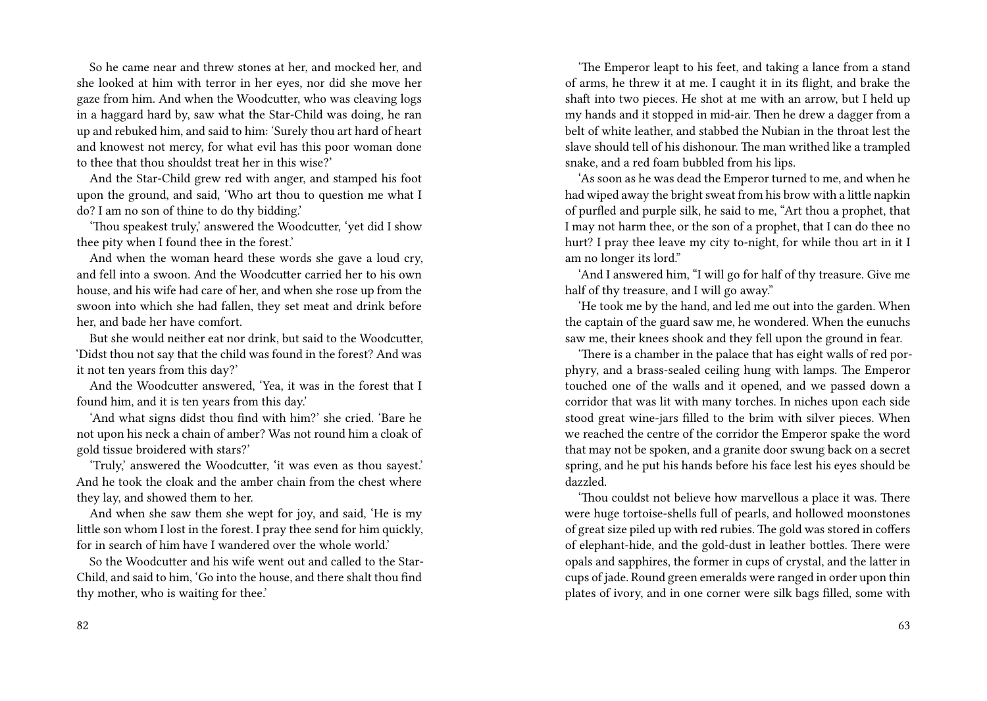So he came near and threw stones at her, and mocked her, and she looked at him with terror in her eyes, nor did she move her gaze from him. And when the Woodcutter, who was cleaving logs in a haggard hard by, saw what the Star-Child was doing, he ran up and rebuked him, and said to him: 'Surely thou art hard of heart and knowest not mercy, for what evil has this poor woman done to thee that thou shouldst treat her in this wise?'

And the Star-Child grew red with anger, and stamped his foot upon the ground, and said, 'Who art thou to question me what I do? I am no son of thine to do thy bidding.'

'Thou speakest truly,' answered the Woodcutter, 'yet did I show thee pity when I found thee in the forest.'

And when the woman heard these words she gave a loud cry, and fell into a swoon. And the Woodcutter carried her to his own house, and his wife had care of her, and when she rose up from the swoon into which she had fallen, they set meat and drink before her, and bade her have comfort.

But she would neither eat nor drink, but said to the Woodcutter, 'Didst thou not say that the child was found in the forest? And was it not ten years from this day?'

And the Woodcutter answered, 'Yea, it was in the forest that I found him, and it is ten years from this day.'

'And what signs didst thou find with him?' she cried. 'Bare he not upon his neck a chain of amber? Was not round him a cloak of gold tissue broidered with stars?'

'Truly,' answered the Woodcutter, 'it was even as thou sayest.' And he took the cloak and the amber chain from the chest where they lay, and showed them to her.

And when she saw them she wept for joy, and said, 'He is my little son whom I lost in the forest. I pray thee send for him quickly, for in search of him have I wandered over the whole world.'

So the Woodcutter and his wife went out and called to the Star-Child, and said to him, 'Go into the house, and there shalt thou find thy mother, who is waiting for thee.'

'The Emperor leapt to his feet, and taking a lance from a stand of arms, he threw it at me. I caught it in its flight, and brake the shaft into two pieces. He shot at me with an arrow, but I held up my hands and it stopped in mid-air. Then he drew a dagger from a belt of white leather, and stabbed the Nubian in the throat lest the slave should tell of his dishonour. The man writhed like a trampled snake, and a red foam bubbled from his lips.

'As soon as he was dead the Emperor turned to me, and when he had wiped away the bright sweat from his brow with a little napkin of purfled and purple silk, he said to me, "Art thou a prophet, that I may not harm thee, or the son of a prophet, that I can do thee no hurt? I pray thee leave my city to-night, for while thou art in it I am no longer its lord."

'And I answered him, "I will go for half of thy treasure. Give me half of thy treasure, and I will go away."

'He took me by the hand, and led me out into the garden. When the captain of the guard saw me, he wondered. When the eunuchs saw me, their knees shook and they fell upon the ground in fear.

'There is a chamber in the palace that has eight walls of red porphyry, and a brass-sealed ceiling hung with lamps. The Emperor touched one of the walls and it opened, and we passed down a corridor that was lit with many torches. In niches upon each side stood great wine-jars filled to the brim with silver pieces. When we reached the centre of the corridor the Emperor spake the word that may not be spoken, and a granite door swung back on a secret spring, and he put his hands before his face lest his eyes should be dazzled.

'Thou couldst not believe how marvellous a place it was. There were huge tortoise-shells full of pearls, and hollowed moonstones of great size piled up with red rubies. The gold was stored in coffers of elephant-hide, and the gold-dust in leather bottles. There were opals and sapphires, the former in cups of crystal, and the latter in cups of jade. Round green emeralds were ranged in order upon thin plates of ivory, and in one corner were silk bags filled, some with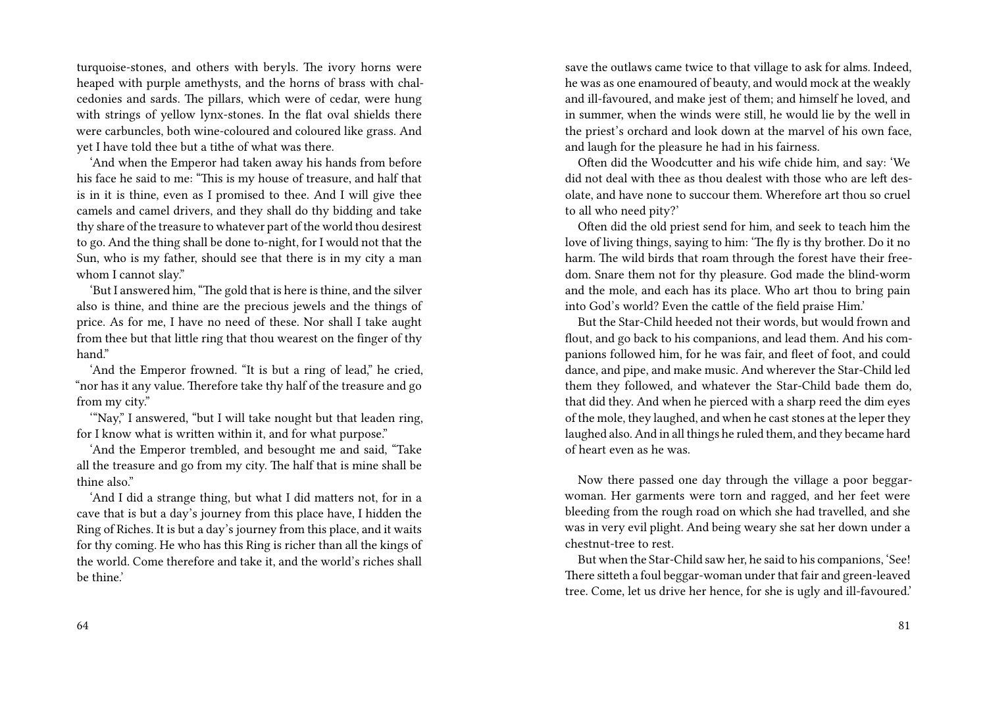turquoise-stones, and others with beryls. The ivory horns were heaped with purple amethysts, and the horns of brass with chalcedonies and sards. The pillars, which were of cedar, were hung with strings of yellow lynx-stones. In the flat oval shields there were carbuncles, both wine-coloured and coloured like grass. And yet I have told thee but a tithe of what was there.

'And when the Emperor had taken away his hands from before his face he said to me: "This is my house of treasure, and half that is in it is thine, even as I promised to thee. And I will give thee camels and camel drivers, and they shall do thy bidding and take thy share of the treasure to whatever part of the world thou desirest to go. And the thing shall be done to-night, for I would not that the Sun, who is my father, should see that there is in my city a man whom I cannot slay."

'But I answered him, "The gold that is here is thine, and the silver also is thine, and thine are the precious jewels and the things of price. As for me, I have no need of these. Nor shall I take aught from thee but that little ring that thou wearest on the finger of thy hand."

'And the Emperor frowned. "It is but a ring of lead," he cried, "nor has it any value. Therefore take thy half of the treasure and go from my city."

'"Nay," I answered, "but I will take nought but that leaden ring, for I know what is written within it, and for what purpose."

'And the Emperor trembled, and besought me and said, "Take all the treasure and go from my city. The half that is mine shall be thine also."

'And I did a strange thing, but what I did matters not, for in a cave that is but a day's journey from this place have, I hidden the Ring of Riches. It is but a day's journey from this place, and it waits for thy coming. He who has this Ring is richer than all the kings of the world. Come therefore and take it, and the world's riches shall be thine.'

64

save the outlaws came twice to that village to ask for alms. Indeed, he was as one enamoured of beauty, and would mock at the weakly and ill-favoured, and make jest of them; and himself he loved, and in summer, when the winds were still, he would lie by the well in the priest's orchard and look down at the marvel of his own face, and laugh for the pleasure he had in his fairness.

Often did the Woodcutter and his wife chide him, and say: 'We did not deal with thee as thou dealest with those who are left desolate, and have none to succour them. Wherefore art thou so cruel to all who need pity?'

Often did the old priest send for him, and seek to teach him the love of living things, saying to him: 'The fly is thy brother. Do it no harm. The wild birds that roam through the forest have their freedom. Snare them not for thy pleasure. God made the blind-worm and the mole, and each has its place. Who art thou to bring pain into God's world? Even the cattle of the field praise Him.'

But the Star-Child heeded not their words, but would frown and flout, and go back to his companions, and lead them. And his companions followed him, for he was fair, and fleet of foot, and could dance, and pipe, and make music. And wherever the Star-Child led them they followed, and whatever the Star-Child bade them do, that did they. And when he pierced with a sharp reed the dim eyes of the mole, they laughed, and when he cast stones at the leper they laughed also. And in all things he ruled them, and they became hard of heart even as he was.

Now there passed one day through the village a poor beggarwoman. Her garments were torn and ragged, and her feet were bleeding from the rough road on which she had travelled, and she was in very evil plight. And being weary she sat her down under a chestnut-tree to rest.

But when the Star-Child saw her, he said to his companions, 'See! There sitteth a foul beggar-woman under that fair and green-leaved tree. Come, let us drive her hence, for she is ugly and ill-favoured.'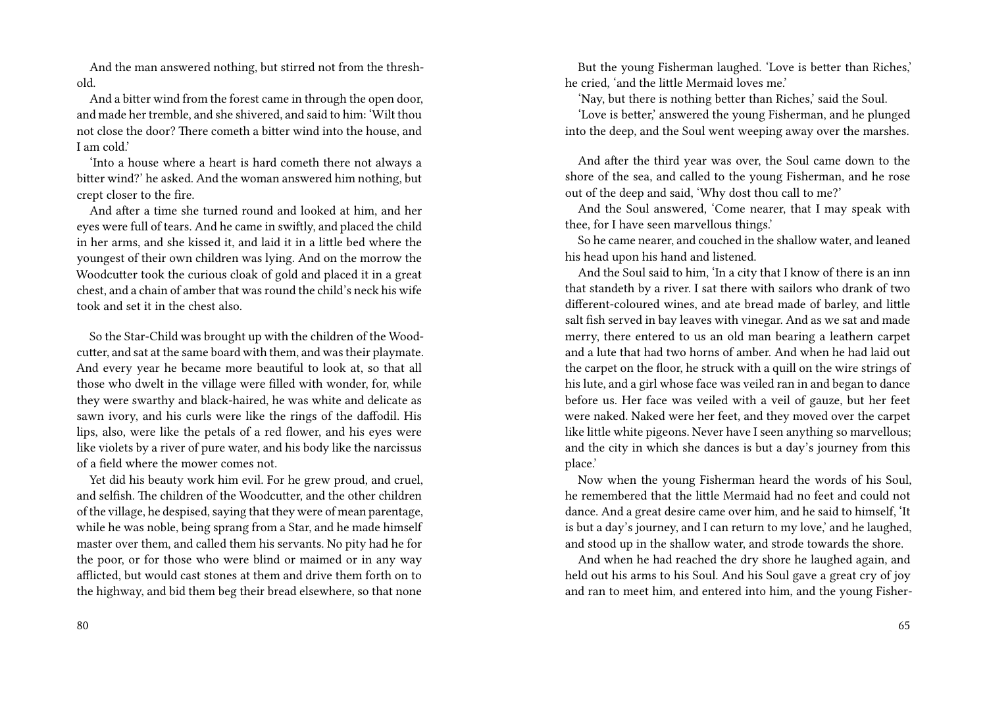And the man answered nothing, but stirred not from the threshold.

And a bitter wind from the forest came in through the open door, and made her tremble, and she shivered, and said to him: 'Wilt thou not close the door? There cometh a bitter wind into the house, and I am cold'

'Into a house where a heart is hard cometh there not always a bitter wind?' he asked. And the woman answered him nothing, but crept closer to the fire.

And after a time she turned round and looked at him, and her eyes were full of tears. And he came in swiftly, and placed the child in her arms, and she kissed it, and laid it in a little bed where the youngest of their own children was lying. And on the morrow the Woodcutter took the curious cloak of gold and placed it in a great chest, and a chain of amber that was round the child's neck his wife took and set it in the chest also.

So the Star-Child was brought up with the children of the Woodcutter, and sat at the same board with them, and was their playmate. And every year he became more beautiful to look at, so that all those who dwelt in the village were filled with wonder, for, while they were swarthy and black-haired, he was white and delicate as sawn ivory, and his curls were like the rings of the daffodil. His lips, also, were like the petals of a red flower, and his eyes were like violets by a river of pure water, and his body like the narcissus of a field where the mower comes not.

Yet did his beauty work him evil. For he grew proud, and cruel, and selfish. The children of the Woodcutter, and the other children of the village, he despised, saying that they were of mean parentage, while he was noble, being sprang from a Star, and he made himself master over them, and called them his servants. No pity had he for the poor, or for those who were blind or maimed or in any way afflicted, but would cast stones at them and drive them forth on to the highway, and bid them beg their bread elsewhere, so that none

80

But the young Fisherman laughed. 'Love is better than Riches,' he cried, 'and the little Mermaid loves me.'

'Nay, but there is nothing better than Riches,' said the Soul.

'Love is better,' answered the young Fisherman, and he plunged into the deep, and the Soul went weeping away over the marshes.

And after the third year was over, the Soul came down to the shore of the sea, and called to the young Fisherman, and he rose out of the deep and said, 'Why dost thou call to me?'

And the Soul answered, 'Come nearer, that I may speak with thee, for I have seen marvellous things.'

So he came nearer, and couched in the shallow water, and leaned his head upon his hand and listened.

And the Soul said to him, 'In a city that I know of there is an inn that standeth by a river. I sat there with sailors who drank of two different-coloured wines, and ate bread made of barley, and little salt fish served in bay leaves with vinegar. And as we sat and made merry, there entered to us an old man bearing a leathern carpet and a lute that had two horns of amber. And when he had laid out the carpet on the floor, he struck with a quill on the wire strings of his lute, and a girl whose face was veiled ran in and began to dance before us. Her face was veiled with a veil of gauze, but her feet were naked. Naked were her feet, and they moved over the carpet like little white pigeons. Never have I seen anything so marvellous; and the city in which she dances is but a day's journey from this place.'

Now when the young Fisherman heard the words of his Soul, he remembered that the little Mermaid had no feet and could not dance. And a great desire came over him, and he said to himself, 'It is but a day's journey, and I can return to my love,' and he laughed, and stood up in the shallow water, and strode towards the shore.

And when he had reached the dry shore he laughed again, and held out his arms to his Soul. And his Soul gave a great cry of joy and ran to meet him, and entered into him, and the young Fisher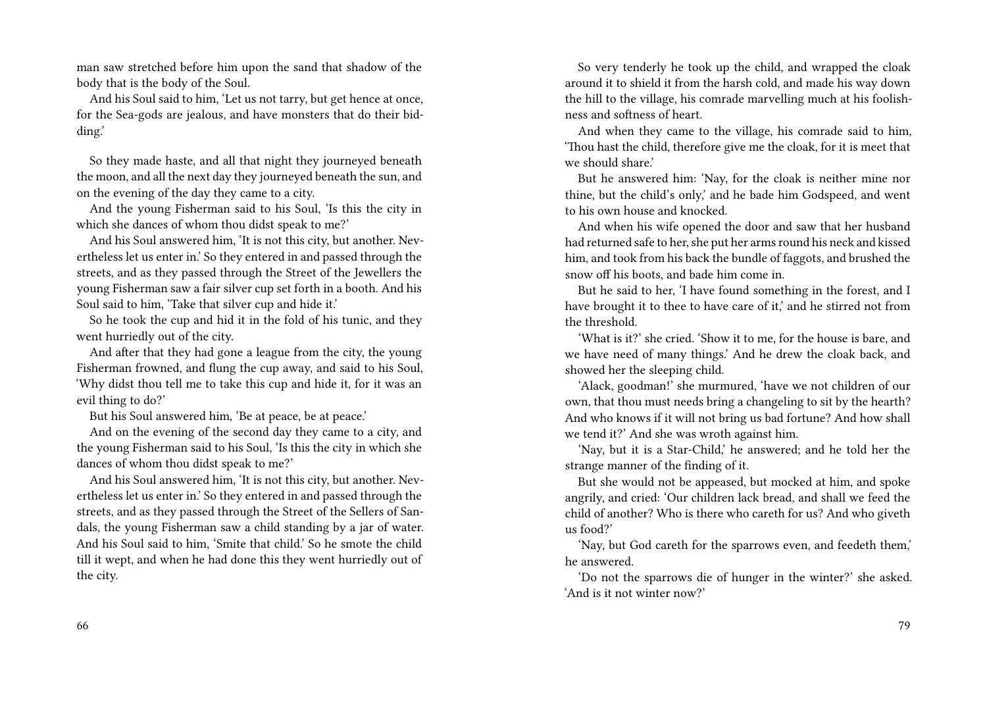man saw stretched before him upon the sand that shadow of the body that is the body of the Soul.

And his Soul said to him, 'Let us not tarry, but get hence at once, for the Sea-gods are jealous, and have monsters that do their bidding.'

So they made haste, and all that night they journeyed beneath the moon, and all the next day they journeyed beneath the sun, and on the evening of the day they came to a city.

And the young Fisherman said to his Soul, 'Is this the city in which she dances of whom thou didst speak to me?'

And his Soul answered him, 'It is not this city, but another. Nevertheless let us enter in.' So they entered in and passed through the streets, and as they passed through the Street of the Jewellers the young Fisherman saw a fair silver cup set forth in a booth. And his Soul said to him, 'Take that silver cup and hide it.'

So he took the cup and hid it in the fold of his tunic, and they went hurriedly out of the city.

And after that they had gone a league from the city, the young Fisherman frowned, and flung the cup away, and said to his Soul, 'Why didst thou tell me to take this cup and hide it, for it was an evil thing to do?'

But his Soul answered him, 'Be at peace, be at peace.'

And on the evening of the second day they came to a city, and the young Fisherman said to his Soul, 'Is this the city in which she dances of whom thou didst speak to me?'

And his Soul answered him, 'It is not this city, but another. Nevertheless let us enter in.' So they entered in and passed through the streets, and as they passed through the Street of the Sellers of Sandals, the young Fisherman saw a child standing by a jar of water. And his Soul said to him, 'Smite that child.' So he smote the child till it wept, and when he had done this they went hurriedly out of the city.

So very tenderly he took up the child, and wrapped the cloak around it to shield it from the harsh cold, and made his way down the hill to the village, his comrade marvelling much at his foolishness and softness of heart.

And when they came to the village, his comrade said to him, 'Thou hast the child, therefore give me the cloak, for it is meet that we should share.'

But he answered him: 'Nay, for the cloak is neither mine nor thine, but the child's only,' and he bade him Godspeed, and went to his own house and knocked.

And when his wife opened the door and saw that her husband had returned safe to her, she put her arms round his neck and kissed him, and took from his back the bundle of faggots, and brushed the snow off his boots, and bade him come in.

But he said to her, 'I have found something in the forest, and I have brought it to thee to have care of it,' and he stirred not from the threshold.

'What is it?' she cried. 'Show it to me, for the house is bare, and we have need of many things.' And he drew the cloak back, and showed her the sleeping child.

'Alack, goodman!' she murmured, 'have we not children of our own, that thou must needs bring a changeling to sit by the hearth? And who knows if it will not bring us bad fortune? And how shall we tend it?' And she was wroth against him.

'Nay, but it is a Star-Child,' he answered; and he told her the strange manner of the finding of it.

But she would not be appeased, but mocked at him, and spoke angrily, and cried: 'Our children lack bread, and shall we feed the child of another? Who is there who careth for us? And who giveth us food?'

'Nay, but God careth for the sparrows even, and feedeth them,' he answered.

'Do not the sparrows die of hunger in the winter?' she asked. 'And is it not winter now?'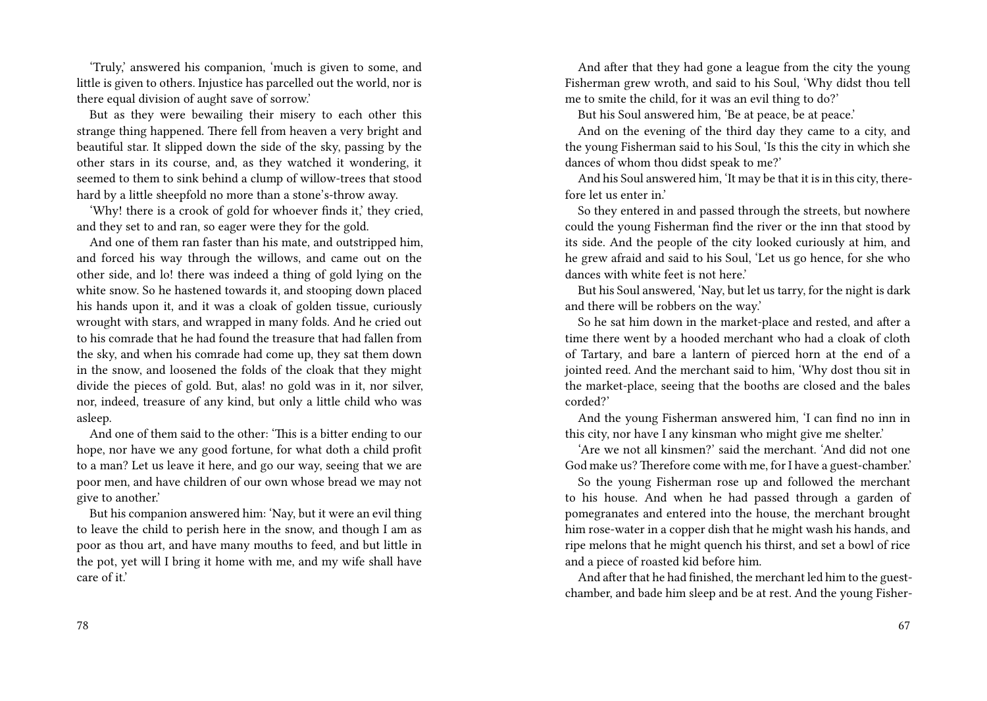'Truly,' answered his companion, 'much is given to some, and little is given to others. Injustice has parcelled out the world, nor is there equal division of aught save of sorrow.'

But as they were bewailing their misery to each other this strange thing happened. There fell from heaven a very bright and beautiful star. It slipped down the side of the sky, passing by the other stars in its course, and, as they watched it wondering, it seemed to them to sink behind a clump of willow-trees that stood hard by a little sheepfold no more than a stone's-throw away.

'Why! there is a crook of gold for whoever finds it,' they cried, and they set to and ran, so eager were they for the gold.

And one of them ran faster than his mate, and outstripped him, and forced his way through the willows, and came out on the other side, and lo! there was indeed a thing of gold lying on the white snow. So he hastened towards it, and stooping down placed his hands upon it, and it was a cloak of golden tissue, curiously wrought with stars, and wrapped in many folds. And he cried out to his comrade that he had found the treasure that had fallen from the sky, and when his comrade had come up, they sat them down in the snow, and loosened the folds of the cloak that they might divide the pieces of gold. But, alas! no gold was in it, nor silver, nor, indeed, treasure of any kind, but only a little child who was asleep.

And one of them said to the other: 'This is a bitter ending to our hope, nor have we any good fortune, for what doth a child profit to a man? Let us leave it here, and go our way, seeing that we are poor men, and have children of our own whose bread we may not give to another.'

But his companion answered him: 'Nay, but it were an evil thing to leave the child to perish here in the snow, and though I am as poor as thou art, and have many mouths to feed, and but little in the pot, yet will I bring it home with me, and my wife shall have care of it.'

And after that they had gone a league from the city the young Fisherman grew wroth, and said to his Soul, 'Why didst thou tell me to smite the child, for it was an evil thing to do?'

But his Soul answered him, 'Be at peace, be at peace.'

And on the evening of the third day they came to a city, and the young Fisherman said to his Soul, 'Is this the city in which she dances of whom thou didst speak to me?'

And his Soul answered him, 'It may be that it is in this city, therefore let us enter in.'

So they entered in and passed through the streets, but nowhere could the young Fisherman find the river or the inn that stood by its side. And the people of the city looked curiously at him, and he grew afraid and said to his Soul, 'Let us go hence, for she who dances with white feet is not here.'

But his Soul answered, 'Nay, but let us tarry, for the night is dark and there will be robbers on the way.'

So he sat him down in the market-place and rested, and after a time there went by a hooded merchant who had a cloak of cloth of Tartary, and bare a lantern of pierced horn at the end of a jointed reed. And the merchant said to him, 'Why dost thou sit in the market-place, seeing that the booths are closed and the bales corded?'

And the young Fisherman answered him, 'I can find no inn in this city, nor have I any kinsman who might give me shelter.'

'Are we not all kinsmen?' said the merchant. 'And did not one God make us? Therefore come with me, for I have a guest-chamber.'

So the young Fisherman rose up and followed the merchant to his house. And when he had passed through a garden of pomegranates and entered into the house, the merchant brought him rose-water in a copper dish that he might wash his hands, and ripe melons that he might quench his thirst, and set a bowl of rice and a piece of roasted kid before him.

And after that he had finished, the merchant led him to the guestchamber, and bade him sleep and be at rest. And the young Fisher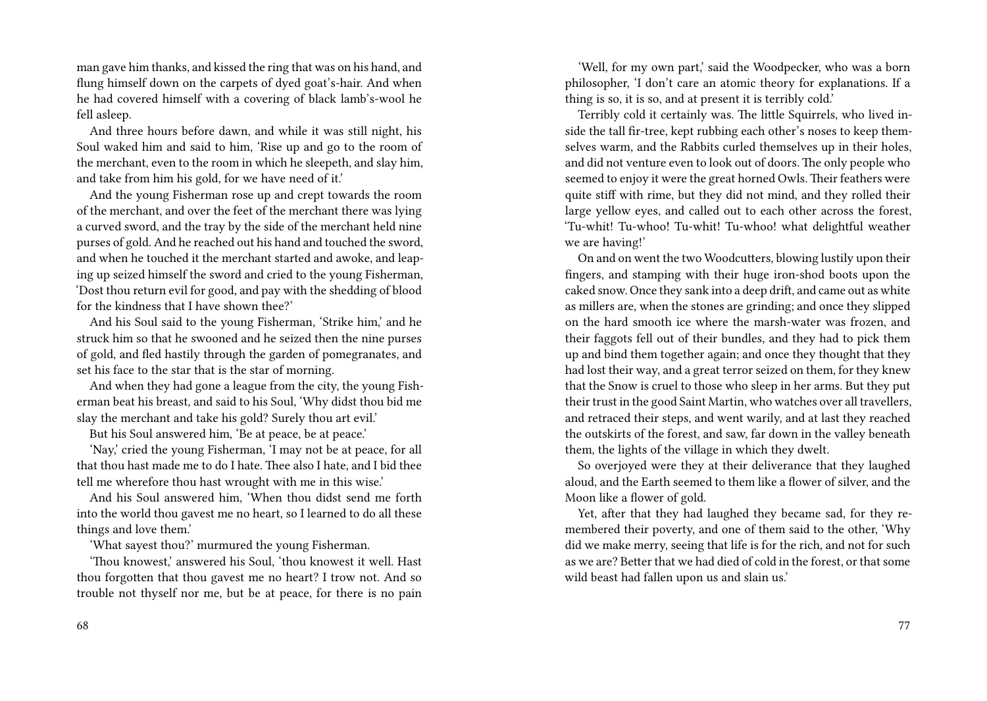man gave him thanks, and kissed the ring that was on his hand, and flung himself down on the carpets of dyed goat's-hair. And when he had covered himself with a covering of black lamb's-wool he fell asleep.

And three hours before dawn, and while it was still night, his Soul waked him and said to him, 'Rise up and go to the room of the merchant, even to the room in which he sleepeth, and slay him, and take from him his gold, for we have need of it.'

And the young Fisherman rose up and crept towards the room of the merchant, and over the feet of the merchant there was lying a curved sword, and the tray by the side of the merchant held nine purses of gold. And he reached out his hand and touched the sword, and when he touched it the merchant started and awoke, and leaping up seized himself the sword and cried to the young Fisherman, 'Dost thou return evil for good, and pay with the shedding of blood for the kindness that I have shown thee?'

And his Soul said to the young Fisherman, 'Strike him,' and he struck him so that he swooned and he seized then the nine purses of gold, and fled hastily through the garden of pomegranates, and set his face to the star that is the star of morning.

And when they had gone a league from the city, the young Fisherman beat his breast, and said to his Soul, 'Why didst thou bid me slay the merchant and take his gold? Surely thou art evil.'

But his Soul answered him, 'Be at peace, be at peace.'

'Nay,' cried the young Fisherman, 'I may not be at peace, for all that thou hast made me to do I hate. Thee also I hate, and I bid thee tell me wherefore thou hast wrought with me in this wise.'

And his Soul answered him, 'When thou didst send me forth into the world thou gavest me no heart, so I learned to do all these things and love them.'

'What sayest thou?' murmured the young Fisherman.

'Thou knowest,' answered his Soul, 'thou knowest it well. Hast thou forgotten that thou gavest me no heart? I trow not. And so trouble not thyself nor me, but be at peace, for there is no pain

'Well, for my own part,' said the Woodpecker, who was a born philosopher, 'I don't care an atomic theory for explanations. If a thing is so, it is so, and at present it is terribly cold.'

Terribly cold it certainly was. The little Squirrels, who lived inside the tall fir-tree, kept rubbing each other's noses to keep themselves warm, and the Rabbits curled themselves up in their holes, and did not venture even to look out of doors. The only people who seemed to enjoy it were the great horned Owls. Their feathers were quite stiff with rime, but they did not mind, and they rolled their large yellow eyes, and called out to each other across the forest, 'Tu-whit! Tu-whoo! Tu-whit! Tu-whoo! what delightful weather we are having!'

On and on went the two Woodcutters, blowing lustily upon their fingers, and stamping with their huge iron-shod boots upon the caked snow. Once they sank into a deep drift, and came out as white as millers are, when the stones are grinding; and once they slipped on the hard smooth ice where the marsh-water was frozen, and their faggots fell out of their bundles, and they had to pick them up and bind them together again; and once they thought that they had lost their way, and a great terror seized on them, for they knew that the Snow is cruel to those who sleep in her arms. But they put their trust in the good Saint Martin, who watches over all travellers, and retraced their steps, and went warily, and at last they reached the outskirts of the forest, and saw, far down in the valley beneath them, the lights of the village in which they dwelt.

So overjoyed were they at their deliverance that they laughed aloud, and the Earth seemed to them like a flower of silver, and the Moon like a flower of gold.

Yet, after that they had laughed they became sad, for they remembered their poverty, and one of them said to the other, 'Why did we make merry, seeing that life is for the rich, and not for such as we are? Better that we had died of cold in the forest, or that some wild beast had fallen upon us and slain us.'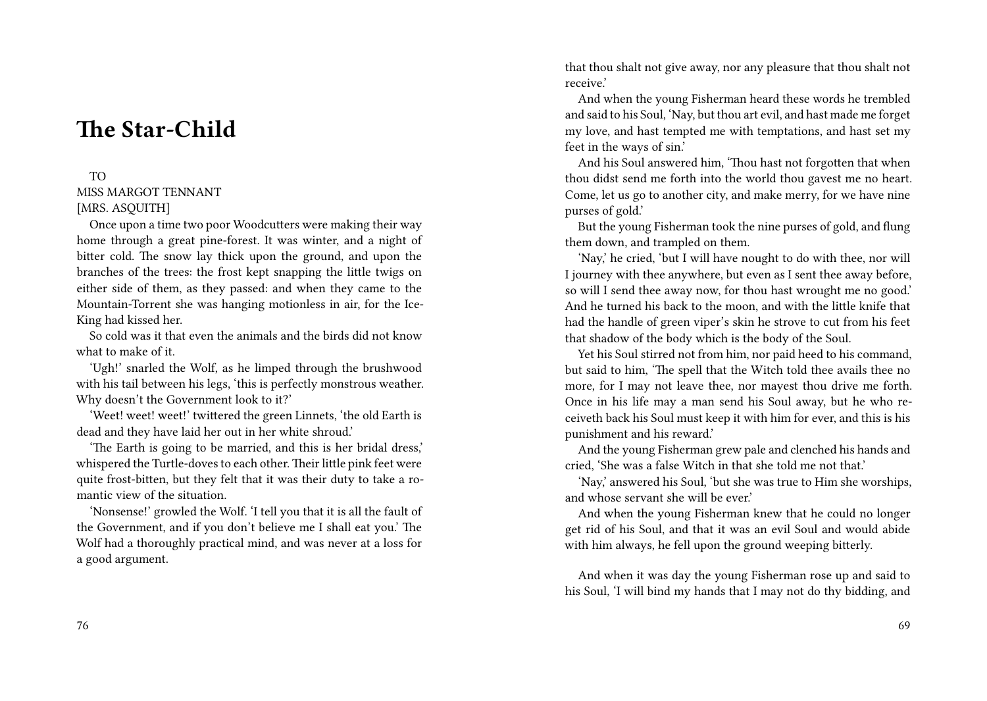# **The Star-Child**

#### TO

MISS MARGOT TENNANT [MRS. ASOUITH]

Once upon a time two poor Woodcutters were making their way home through a great pine-forest. It was winter, and a night of bitter cold. The snow lay thick upon the ground, and upon the branches of the trees: the frost kept snapping the little twigs on either side of them, as they passed: and when they came to the Mountain-Torrent she was hanging motionless in air, for the Ice-King had kissed her.

So cold was it that even the animals and the birds did not know what to make of it.

'Ugh!' snarled the Wolf, as he limped through the brushwood with his tail between his legs, 'this is perfectly monstrous weather. Why doesn't the Government look to it?'

'Weet! weet! weet!' twittered the green Linnets, 'the old Earth is dead and they have laid her out in her white shroud.'

'The Earth is going to be married, and this is her bridal dress,' whispered the Turtle-doves to each other. Their little pink feet were quite frost-bitten, but they felt that it was their duty to take a romantic view of the situation.

'Nonsense!' growled the Wolf. 'I tell you that it is all the fault of the Government, and if you don't believe me I shall eat you.' The Wolf had a thoroughly practical mind, and was never at a loss for a good argument.

that thou shalt not give away, nor any pleasure that thou shalt not receive.'

And when the young Fisherman heard these words he trembled and said to his Soul, 'Nay, but thou art evil, and hast made me forget my love, and hast tempted me with temptations, and hast set my feet in the ways of sin.'

And his Soul answered him, 'Thou hast not forgotten that when thou didst send me forth into the world thou gavest me no heart. Come, let us go to another city, and make merry, for we have nine purses of gold.'

But the young Fisherman took the nine purses of gold, and flung them down, and trampled on them.

'Nay,' he cried, 'but I will have nought to do with thee, nor will I journey with thee anywhere, but even as I sent thee away before, so will I send thee away now, for thou hast wrought me no good.' And he turned his back to the moon, and with the little knife that had the handle of green viper's skin he strove to cut from his feet that shadow of the body which is the body of the Soul.

Yet his Soul stirred not from him, nor paid heed to his command, but said to him, 'The spell that the Witch told thee avails thee no more, for I may not leave thee, nor mayest thou drive me forth. Once in his life may a man send his Soul away, but he who receiveth back his Soul must keep it with him for ever, and this is his punishment and his reward.'

And the young Fisherman grew pale and clenched his hands and cried, 'She was a false Witch in that she told me not that.'

'Nay,' answered his Soul, 'but she was true to Him she worships, and whose servant she will be ever.'

And when the young Fisherman knew that he could no longer get rid of his Soul, and that it was an evil Soul and would abide with him always, he fell upon the ground weeping bitterly.

And when it was day the young Fisherman rose up and said to his Soul, 'I will bind my hands that I may not do thy bidding, and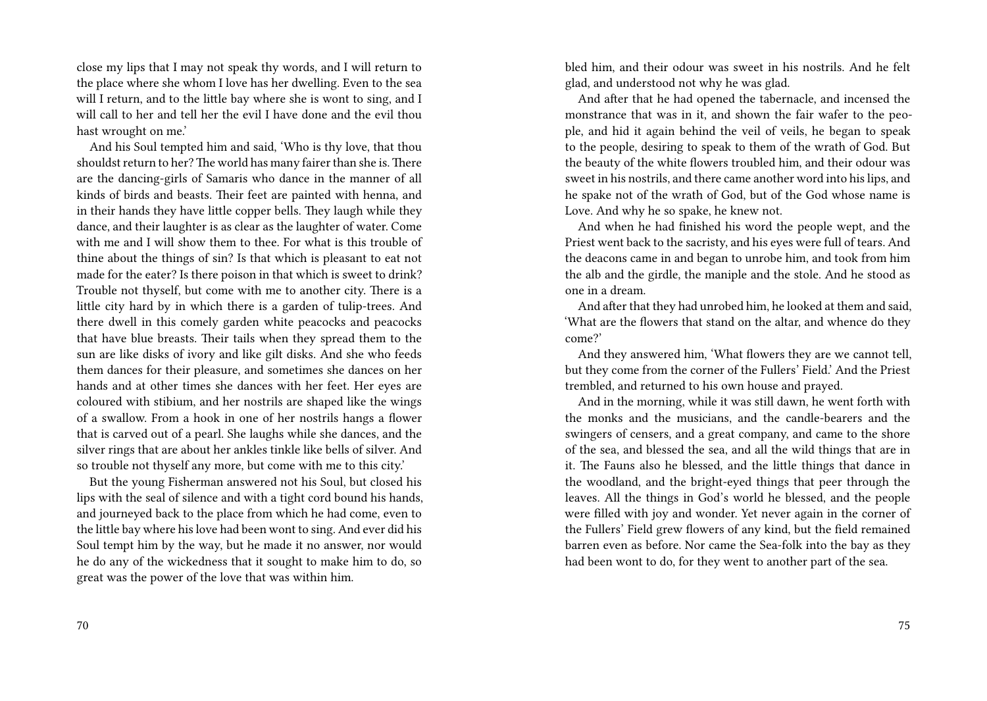close my lips that I may not speak thy words, and I will return to the place where she whom I love has her dwelling. Even to the sea will I return, and to the little bay where she is wont to sing, and I will call to her and tell her the evil I have done and the evil thou hast wrought on me.'

And his Soul tempted him and said, 'Who is thy love, that thou shouldst return to her? The world has many fairer than she is. There are the dancing-girls of Samaris who dance in the manner of all kinds of birds and beasts. Their feet are painted with henna, and in their hands they have little copper bells. They laugh while they dance, and their laughter is as clear as the laughter of water. Come with me and I will show them to thee. For what is this trouble of thine about the things of sin? Is that which is pleasant to eat not made for the eater? Is there poison in that which is sweet to drink? Trouble not thyself, but come with me to another city. There is a little city hard by in which there is a garden of tulip-trees. And there dwell in this comely garden white peacocks and peacocks that have blue breasts. Their tails when they spread them to the sun are like disks of ivory and like gilt disks. And she who feeds them dances for their pleasure, and sometimes she dances on her hands and at other times she dances with her feet. Her eyes are coloured with stibium, and her nostrils are shaped like the wings of a swallow. From a hook in one of her nostrils hangs a flower that is carved out of a pearl. She laughs while she dances, and the silver rings that are about her ankles tinkle like bells of silver. And so trouble not thyself any more, but come with me to this city.'

But the young Fisherman answered not his Soul, but closed his lips with the seal of silence and with a tight cord bound his hands, and journeyed back to the place from which he had come, even to the little bay where his love had been wont to sing. And ever did his Soul tempt him by the way, but he made it no answer, nor would he do any of the wickedness that it sought to make him to do, so great was the power of the love that was within him.

70

bled him, and their odour was sweet in his nostrils. And he felt glad, and understood not why he was glad.

And after that he had opened the tabernacle, and incensed the monstrance that was in it, and shown the fair wafer to the people, and hid it again behind the veil of veils, he began to speak to the people, desiring to speak to them of the wrath of God. But the beauty of the white flowers troubled him, and their odour was sweet in his nostrils, and there came another word into his lips, and he spake not of the wrath of God, but of the God whose name is Love. And why he so spake, he knew not.

And when he had finished his word the people wept, and the Priest went back to the sacristy, and his eyes were full of tears. And the deacons came in and began to unrobe him, and took from him the alb and the girdle, the maniple and the stole. And he stood as one in a dream.

And after that they had unrobed him, he looked at them and said, 'What are the flowers that stand on the altar, and whence do they come?'

And they answered him, 'What flowers they are we cannot tell, but they come from the corner of the Fullers' Field.' And the Priest trembled, and returned to his own house and prayed.

And in the morning, while it was still dawn, he went forth with the monks and the musicians, and the candle-bearers and the swingers of censers, and a great company, and came to the shore of the sea, and blessed the sea, and all the wild things that are in it. The Fauns also he blessed, and the little things that dance in the woodland, and the bright-eyed things that peer through the leaves. All the things in God's world he blessed, and the people were filled with joy and wonder. Yet never again in the corner of the Fullers' Field grew flowers of any kind, but the field remained barren even as before. Nor came the Sea-folk into the bay as they had been wont to do, for they went to another part of the sea.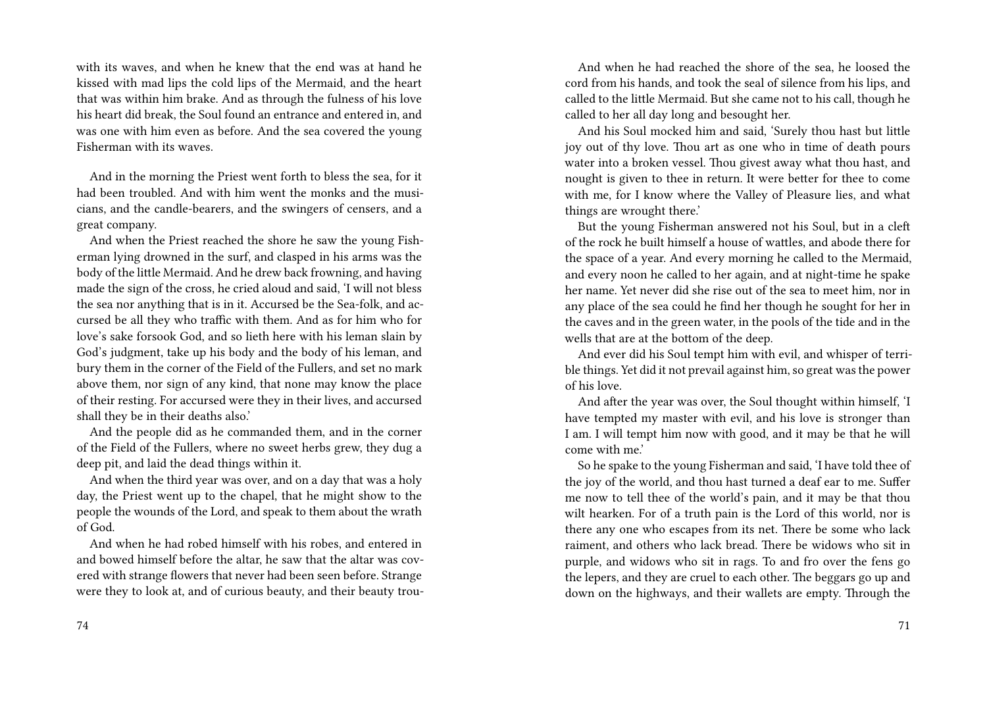with its waves, and when he knew that the end was at hand he kissed with mad lips the cold lips of the Mermaid, and the heart that was within him brake. And as through the fulness of his love his heart did break, the Soul found an entrance and entered in, and was one with him even as before. And the sea covered the young Fisherman with its waves.

And in the morning the Priest went forth to bless the sea, for it had been troubled. And with him went the monks and the musicians, and the candle-bearers, and the swingers of censers, and a great company.

And when the Priest reached the shore he saw the young Fisherman lying drowned in the surf, and clasped in his arms was the body of the little Mermaid. And he drew back frowning, and having made the sign of the cross, he cried aloud and said, 'I will not bless the sea nor anything that is in it. Accursed be the Sea-folk, and accursed be all they who traffic with them. And as for him who for love's sake forsook God, and so lieth here with his leman slain by God's judgment, take up his body and the body of his leman, and bury them in the corner of the Field of the Fullers, and set no mark above them, nor sign of any kind, that none may know the place of their resting. For accursed were they in their lives, and accursed shall they be in their deaths also.'

And the people did as he commanded them, and in the corner of the Field of the Fullers, where no sweet herbs grew, they dug a deep pit, and laid the dead things within it.

And when the third year was over, and on a day that was a holy day, the Priest went up to the chapel, that he might show to the people the wounds of the Lord, and speak to them about the wrath of God.

And when he had robed himself with his robes, and entered in and bowed himself before the altar, he saw that the altar was covered with strange flowers that never had been seen before. Strange were they to look at, and of curious beauty, and their beauty trou-

And when he had reached the shore of the sea, he loosed the cord from his hands, and took the seal of silence from his lips, and called to the little Mermaid. But she came not to his call, though he called to her all day long and besought her.

And his Soul mocked him and said, 'Surely thou hast but little joy out of thy love. Thou art as one who in time of death pours water into a broken vessel. Thou givest away what thou hast, and nought is given to thee in return. It were better for thee to come with me, for I know where the Valley of Pleasure lies, and what things are wrought there.'

But the young Fisherman answered not his Soul, but in a cleft of the rock he built himself a house of wattles, and abode there for the space of a year. And every morning he called to the Mermaid, and every noon he called to her again, and at night-time he spake her name. Yet never did she rise out of the sea to meet him, nor in any place of the sea could he find her though he sought for her in the caves and in the green water, in the pools of the tide and in the wells that are at the bottom of the deep.

And ever did his Soul tempt him with evil, and whisper of terrible things. Yet did it not prevail against him, so great was the power of his love.

And after the year was over, the Soul thought within himself, 'I have tempted my master with evil, and his love is stronger than I am. I will tempt him now with good, and it may be that he will come with me.'

So he spake to the young Fisherman and said, 'I have told thee of the joy of the world, and thou hast turned a deaf ear to me. Suffer me now to tell thee of the world's pain, and it may be that thou wilt hearken. For of a truth pain is the Lord of this world, nor is there any one who escapes from its net. There be some who lack raiment, and others who lack bread. There be widows who sit in purple, and widows who sit in rags. To and fro over the fens go the lepers, and they are cruel to each other. The beggars go up and down on the highways, and their wallets are empty. Through the